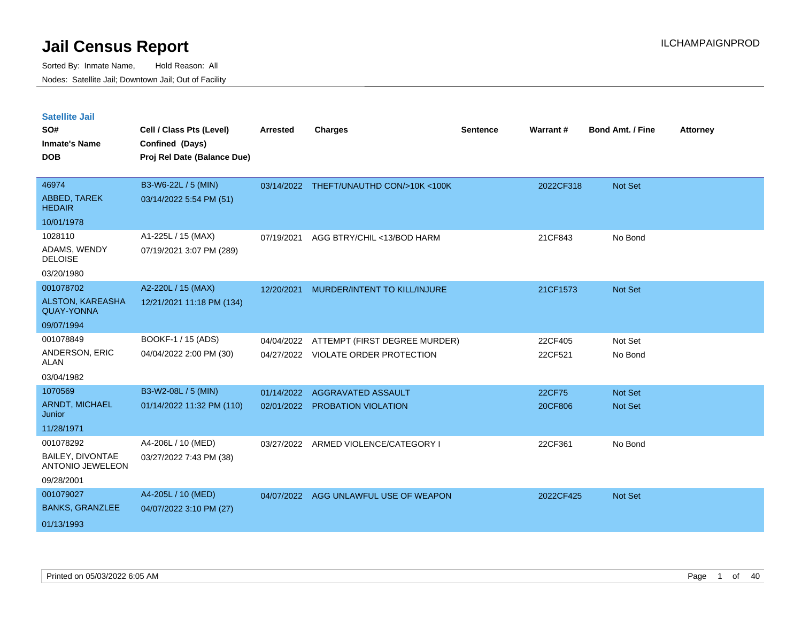| <b>Satellite Jail</b><br>SO#<br><b>Inmate's Name</b><br><b>DOB</b> | Cell / Class Pts (Level)<br>Confined (Days)<br>Proj Rel Date (Balance Due) | <b>Arrested</b> | <b>Charges</b>                                                       | <b>Sentence</b> | Warrant#           | <b>Bond Amt. / Fine</b> | <b>Attorney</b> |
|--------------------------------------------------------------------|----------------------------------------------------------------------------|-----------------|----------------------------------------------------------------------|-----------------|--------------------|-------------------------|-----------------|
| 46974<br>ABBED, TAREK<br><b>HEDAIR</b>                             | B3-W6-22L / 5 (MIN)<br>03/14/2022 5:54 PM (51)                             |                 | 03/14/2022 THEFT/UNAUTHD CON/>10K <100K                              |                 | 2022CF318          | Not Set                 |                 |
| 10/01/1978                                                         |                                                                            |                 |                                                                      |                 |                    |                         |                 |
| 1028110<br>ADAMS, WENDY<br><b>DELOISE</b>                          | A1-225L / 15 (MAX)<br>07/19/2021 3:07 PM (289)                             | 07/19/2021      | AGG BTRY/CHIL <13/BOD HARM                                           |                 | 21CF843            | No Bond                 |                 |
| 03/20/1980<br>001078702                                            |                                                                            |                 |                                                                      |                 |                    |                         |                 |
| ALSTON, KAREASHA<br><b>QUAY-YONNA</b>                              | A2-220L / 15 (MAX)<br>12/21/2021 11:18 PM (134)                            | 12/20/2021      | MURDER/INTENT TO KILL/INJURE                                         |                 | 21CF1573           | Not Set                 |                 |
| 09/07/1994                                                         |                                                                            |                 |                                                                      |                 |                    |                         |                 |
| 001078849<br>ANDERSON, ERIC<br><b>ALAN</b><br>03/04/1982           | BOOKF-1 / 15 (ADS)<br>04/04/2022 2:00 PM (30)                              | 04/04/2022      | ATTEMPT (FIRST DEGREE MURDER)<br>04/27/2022 VIOLATE ORDER PROTECTION |                 | 22CF405<br>22CF521 | Not Set<br>No Bond      |                 |
| 1070569                                                            | B3-W2-08L / 5 (MIN)                                                        | 01/14/2022      | AGGRAVATED ASSAULT                                                   |                 | 22CF75             | Not Set                 |                 |
| <b>ARNDT, MICHAEL</b><br>Junior                                    | 01/14/2022 11:32 PM (110)                                                  | 02/01/2022      | <b>PROBATION VIOLATION</b>                                           |                 | 20CF806            | <b>Not Set</b>          |                 |
| 11/28/1971                                                         |                                                                            |                 |                                                                      |                 |                    |                         |                 |
| 001078292<br><b>BAILEY, DIVONTAE</b><br>ANTONIO JEWELEON           | A4-206L / 10 (MED)<br>03/27/2022 7:43 PM (38)                              | 03/27/2022      | ARMED VIOLENCE/CATEGORY I                                            |                 | 22CF361            | No Bond                 |                 |
| 09/28/2001                                                         |                                                                            |                 |                                                                      |                 |                    |                         |                 |
| 001079027<br><b>BANKS, GRANZLEE</b><br>01/13/1993                  | A4-205L / 10 (MED)<br>04/07/2022 3:10 PM (27)                              | 04/07/2022      | AGG UNLAWFUL USE OF WEAPON                                           |                 | 2022CF425          | <b>Not Set</b>          |                 |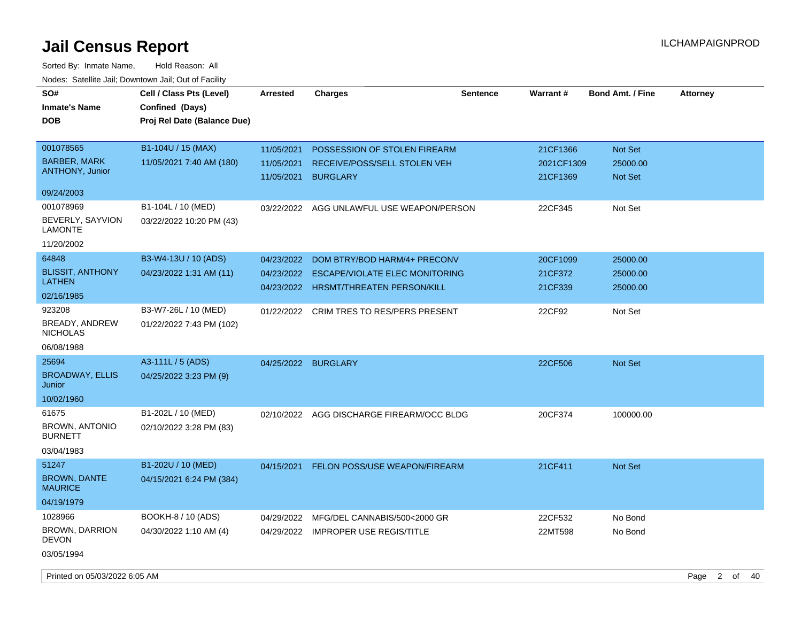| SO#<br><b>Inmate's Name</b><br><b>DOB</b>                     | Cell / Class Pts (Level)<br>Confined (Days)<br>Proj Rel Date (Balance Due) | <b>Arrested</b>                        | <b>Charges</b>                                                                                      | <b>Sentence</b> | Warrant#                           | <b>Bond Amt. / Fine</b>               | <b>Attorney</b> |
|---------------------------------------------------------------|----------------------------------------------------------------------------|----------------------------------------|-----------------------------------------------------------------------------------------------------|-----------------|------------------------------------|---------------------------------------|-----------------|
| 001078565<br><b>BARBER, MARK</b><br><b>ANTHONY, Junior</b>    | B1-104U / 15 (MAX)<br>11/05/2021 7:40 AM (180)                             | 11/05/2021<br>11/05/2021<br>11/05/2021 | POSSESSION OF STOLEN FIREARM<br>RECEIVE/POSS/SELL STOLEN VEH<br><b>BURGLARY</b>                     |                 | 21CF1366<br>2021CF1309<br>21CF1369 | Not Set<br>25000.00<br><b>Not Set</b> |                 |
| 09/24/2003                                                    |                                                                            |                                        |                                                                                                     |                 |                                    |                                       |                 |
| 001078969<br>BEVERLY, SAYVION<br><b>LAMONTE</b><br>11/20/2002 | B1-104L / 10 (MED)<br>03/22/2022 10:20 PM (43)                             | 03/22/2022                             | AGG UNLAWFUL USE WEAPON/PERSON                                                                      |                 | 22CF345                            | Not Set                               |                 |
| 64848                                                         | B3-W4-13U / 10 (ADS)                                                       |                                        |                                                                                                     |                 |                                    |                                       |                 |
| <b>BLISSIT, ANTHONY</b><br><b>LATHEN</b>                      | 04/23/2022 1:31 AM (11)                                                    | 04/23/2022<br>04/23/2022<br>04/23/2022 | DOM BTRY/BOD HARM/4+ PRECONV<br>ESCAPE/VIOLATE ELEC MONITORING<br><b>HRSMT/THREATEN PERSON/KILL</b> |                 | 20CF1099<br>21CF372<br>21CF339     | 25000.00<br>25000.00<br>25000.00      |                 |
| 02/16/1985                                                    |                                                                            |                                        |                                                                                                     |                 |                                    |                                       |                 |
| 923208<br>BREADY, ANDREW<br><b>NICHOLAS</b>                   | B3-W7-26L / 10 (MED)<br>01/22/2022 7:43 PM (102)                           | 01/22/2022                             | <b>CRIM TRES TO RES/PERS PRESENT</b>                                                                |                 | 22CF92                             | Not Set                               |                 |
| 06/08/1988                                                    |                                                                            |                                        |                                                                                                     |                 |                                    |                                       |                 |
| 25694<br><b>BROADWAY, ELLIS</b>                               | A3-111L / 5 (ADS)<br>04/25/2022 3:23 PM (9)                                | 04/25/2022 BURGLARY                    |                                                                                                     |                 | 22CF506                            | <b>Not Set</b>                        |                 |
| Junior<br>10/02/1960                                          |                                                                            |                                        |                                                                                                     |                 |                                    |                                       |                 |
| 61675<br><b>BROWN, ANTONIO</b><br><b>BURNETT</b>              | B1-202L / 10 (MED)<br>02/10/2022 3:28 PM (83)                              | 02/10/2022                             | AGG DISCHARGE FIREARM/OCC BLDG                                                                      |                 | 20CF374                            | 100000.00                             |                 |
| 03/04/1983                                                    |                                                                            |                                        |                                                                                                     |                 |                                    |                                       |                 |
| 51247<br><b>BROWN, DANTE</b><br><b>MAURICE</b>                | B1-202U / 10 (MED)<br>04/15/2021 6:24 PM (384)                             | 04/15/2021                             | FELON POSS/USE WEAPON/FIREARM                                                                       |                 | 21CF411                            | Not Set                               |                 |
| 04/19/1979                                                    |                                                                            |                                        |                                                                                                     |                 |                                    |                                       |                 |
| 1028966<br>BROWN, DARRION<br><b>DEVON</b>                     | BOOKH-8 / 10 (ADS)<br>04/30/2022 1:10 AM (4)                               | 04/29/2022                             | MFG/DEL CANNABIS/500<2000 GR<br>04/29/2022 IMPROPER USE REGIS/TITLE                                 |                 | 22CF532<br>22MT598                 | No Bond<br>No Bond                    |                 |
| 03/05/1994                                                    |                                                                            |                                        |                                                                                                     |                 |                                    |                                       |                 |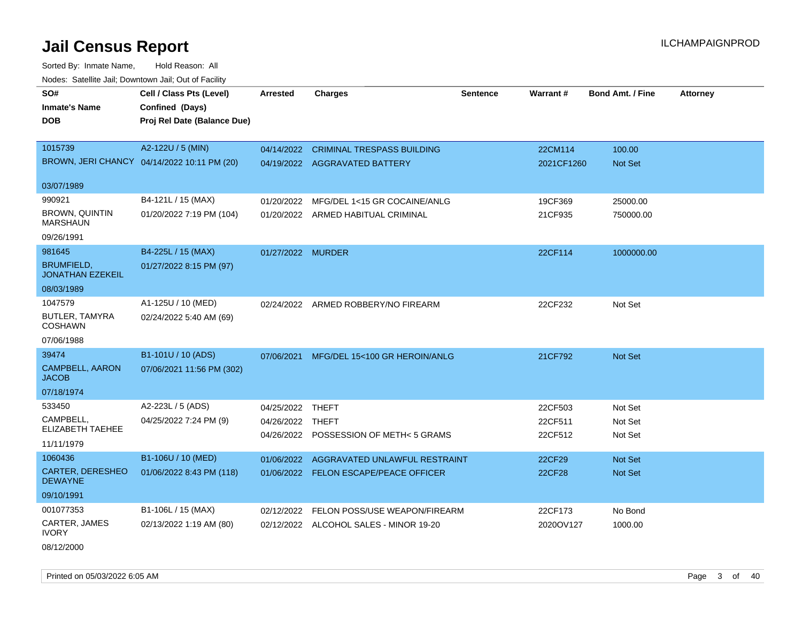Sorted By: Inmate Name, Hold Reason: All Nodes: Satellite Jail; Downtown Jail; Out of Facility

| SO#                                          | Cell / Class Pts (Level)                    | <b>Arrested</b>   | <b>Charges</b>                         | <b>Sentence</b> | Warrant#      | <b>Bond Amt. / Fine</b> | <b>Attorney</b> |
|----------------------------------------------|---------------------------------------------|-------------------|----------------------------------------|-----------------|---------------|-------------------------|-----------------|
| Inmate's Name                                | Confined (Days)                             |                   |                                        |                 |               |                         |                 |
| DOB                                          | Proj Rel Date (Balance Due)                 |                   |                                        |                 |               |                         |                 |
|                                              |                                             |                   |                                        |                 |               |                         |                 |
| 1015739                                      | A2-122U / 5 (MIN)                           | 04/14/2022        | <b>CRIMINAL TRESPASS BUILDING</b>      |                 | 22CM114       | 100.00                  |                 |
|                                              | BROWN, JERI CHANCY 04/14/2022 10:11 PM (20) |                   | 04/19/2022 AGGRAVATED BATTERY          |                 | 2021CF1260    | Not Set                 |                 |
| 03/07/1989                                   |                                             |                   |                                        |                 |               |                         |                 |
| 990921                                       | B4-121L / 15 (MAX)                          | 01/20/2022        | MFG/DEL 1<15 GR COCAINE/ANLG           |                 | 19CF369       | 25000.00                |                 |
| BROWN, QUINTIN<br><b>MARSHAUN</b>            | 01/20/2022 7:19 PM (104)                    | 01/20/2022        | ARMED HABITUAL CRIMINAL                |                 | 21CF935       | 750000.00               |                 |
| 09/26/1991                                   |                                             |                   |                                        |                 |               |                         |                 |
| 981645                                       | B4-225L / 15 (MAX)                          | 01/27/2022 MURDER |                                        |                 | 22CF114       | 1000000.00              |                 |
| <b>BRUMFIELD,</b><br><b>JONATHAN EZEKEIL</b> | 01/27/2022 8:15 PM (97)                     |                   |                                        |                 |               |                         |                 |
| 08/03/1989                                   |                                             |                   |                                        |                 |               |                         |                 |
| 1047579                                      | A1-125U / 10 (MED)                          |                   | 02/24/2022 ARMED ROBBERY/NO FIREARM    |                 | 22CF232       | Not Set                 |                 |
| <b>BUTLER, TAMYRA</b><br><b>COSHAWN</b>      | 02/24/2022 5:40 AM (69)                     |                   |                                        |                 |               |                         |                 |
| 07/06/1988                                   |                                             |                   |                                        |                 |               |                         |                 |
| 39474                                        | B1-101U / 10 (ADS)                          | 07/06/2021        | MFG/DEL 15<100 GR HEROIN/ANLG          |                 | 21CF792       | Not Set                 |                 |
| CAMPBELL, AARON<br><b>JACOB</b>              | 07/06/2021 11:56 PM (302)                   |                   |                                        |                 |               |                         |                 |
| 07/18/1974                                   |                                             |                   |                                        |                 |               |                         |                 |
| 533450                                       | A2-223L / 5 (ADS)                           | 04/25/2022        | THEFT                                  |                 | 22CF503       | Not Set                 |                 |
| CAMPBELL,<br>ELIZABETH TAEHEE                | 04/25/2022 7:24 PM (9)                      | 04/26/2022        | THEFT                                  |                 | 22CF511       | Not Set                 |                 |
| 11/11/1979                                   |                                             |                   | 04/26/2022 POSSESSION OF METH< 5 GRAMS |                 | 22CF512       | Not Set                 |                 |
| 1060436                                      | B1-106U / 10 (MED)                          | 01/06/2022        | AGGRAVATED UNLAWFUL RESTRAINT          |                 | 22CF29        | <b>Not Set</b>          |                 |
| <b>CARTER, DERESHEO</b><br><b>DEWAYNE</b>    | 01/06/2022 8:43 PM (118)                    |                   | 01/06/2022 FELON ESCAPE/PEACE OFFICER  |                 | <b>22CF28</b> | <b>Not Set</b>          |                 |
| 09/10/1991                                   |                                             |                   |                                        |                 |               |                         |                 |
| 001077353                                    | B1-106L / 15 (MAX)                          | 02/12/2022        | FELON POSS/USE WEAPON/FIREARM          |                 | 22CF173       | No Bond                 |                 |
| CARTER, JAMES<br><b>IVORY</b>                | 02/13/2022 1:19 AM (80)                     |                   | 02/12/2022 ALCOHOL SALES - MINOR 19-20 |                 | 2020OV127     | 1000.00                 |                 |

08/12/2000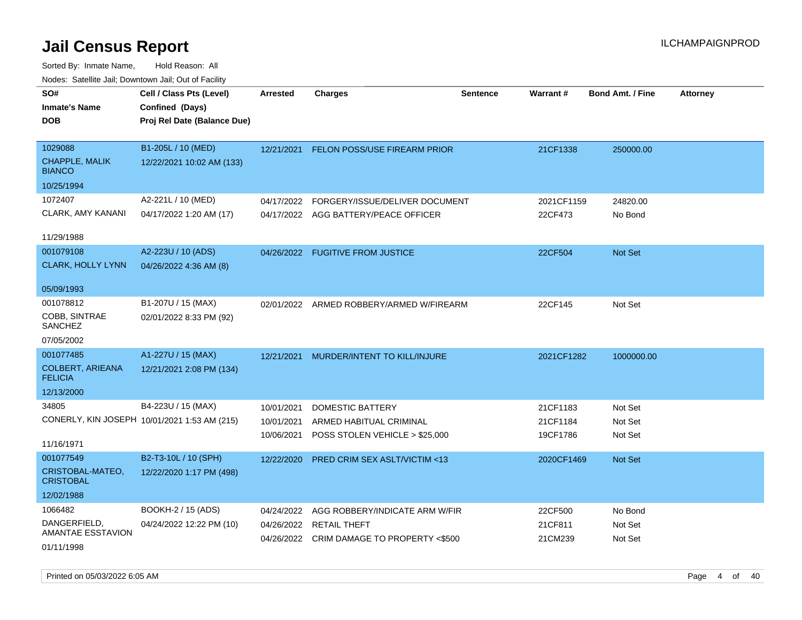| SO#                                       | Cell / Class Pts (Level)                     | <b>Arrested</b> | <b>Charges</b>                            | <b>Sentence</b> | Warrant#   | <b>Bond Amt. / Fine</b> | <b>Attorney</b> |
|-------------------------------------------|----------------------------------------------|-----------------|-------------------------------------------|-----------------|------------|-------------------------|-----------------|
| <b>Inmate's Name</b>                      | Confined (Days)                              |                 |                                           |                 |            |                         |                 |
| <b>DOB</b>                                | Proj Rel Date (Balance Due)                  |                 |                                           |                 |            |                         |                 |
|                                           |                                              |                 |                                           |                 |            |                         |                 |
| 1029088                                   | B1-205L / 10 (MED)                           | 12/21/2021      | FELON POSS/USE FIREARM PRIOR              |                 | 21CF1338   | 250000.00               |                 |
| <b>CHAPPLE, MALIK</b><br><b>BIANCO</b>    | 12/22/2021 10:02 AM (133)                    |                 |                                           |                 |            |                         |                 |
| 10/25/1994                                |                                              |                 |                                           |                 |            |                         |                 |
| 1072407                                   | A2-221L / 10 (MED)                           | 04/17/2022      | FORGERY/ISSUE/DELIVER DOCUMENT            |                 | 2021CF1159 | 24820.00                |                 |
| CLARK, AMY KANANI                         | 04/17/2022 1:20 AM (17)                      |                 | 04/17/2022 AGG BATTERY/PEACE OFFICER      |                 | 22CF473    | No Bond                 |                 |
|                                           |                                              |                 |                                           |                 |            |                         |                 |
| 11/29/1988                                |                                              |                 |                                           |                 |            |                         |                 |
| 001079108                                 | A2-223U / 10 (ADS)                           |                 | 04/26/2022 FUGITIVE FROM JUSTICE          |                 | 22CF504    | Not Set                 |                 |
| <b>CLARK, HOLLY LYNN</b>                  | 04/26/2022 4:36 AM (8)                       |                 |                                           |                 |            |                         |                 |
|                                           |                                              |                 |                                           |                 |            |                         |                 |
| 05/09/1993                                |                                              |                 |                                           |                 |            |                         |                 |
| 001078812                                 | B1-207U / 15 (MAX)                           |                 | 02/01/2022 ARMED ROBBERY/ARMED W/FIREARM  |                 | 22CF145    | Not Set                 |                 |
| COBB, SINTRAE<br><b>SANCHEZ</b>           | 02/01/2022 8:33 PM (92)                      |                 |                                           |                 |            |                         |                 |
| 07/05/2002                                |                                              |                 |                                           |                 |            |                         |                 |
| 001077485                                 | A1-227U / 15 (MAX)                           | 12/21/2021      | MURDER/INTENT TO KILL/INJURE              |                 | 2021CF1282 | 1000000.00              |                 |
| <b>COLBERT, ARIEANA</b><br><b>FELICIA</b> | 12/21/2021 2:08 PM (134)                     |                 |                                           |                 |            |                         |                 |
| 12/13/2000                                |                                              |                 |                                           |                 |            |                         |                 |
| 34805                                     | B4-223U / 15 (MAX)                           | 10/01/2021      | <b>DOMESTIC BATTERY</b>                   |                 | 21CF1183   | Not Set                 |                 |
|                                           | CONERLY, KIN JOSEPH 10/01/2021 1:53 AM (215) | 10/01/2021      | ARMED HABITUAL CRIMINAL                   |                 | 21CF1184   | Not Set                 |                 |
|                                           |                                              | 10/06/2021      | POSS STOLEN VEHICLE > \$25,000            |                 | 19CF1786   | Not Set                 |                 |
| 11/16/1971                                |                                              |                 |                                           |                 |            |                         |                 |
| 001077549                                 | B2-T3-10L / 10 (SPH)                         | 12/22/2020      | <b>PRED CRIM SEX ASLT/VICTIM &lt;13</b>   |                 | 2020CF1469 | Not Set                 |                 |
| CRISTOBAL-MATEO,<br><b>CRISTOBAL</b>      | 12/22/2020 1:17 PM (498)                     |                 |                                           |                 |            |                         |                 |
| 12/02/1988                                |                                              |                 |                                           |                 |            |                         |                 |
| 1066482                                   | BOOKH-2 / 15 (ADS)                           | 04/24/2022      | AGG ROBBERY/INDICATE ARM W/FIR            |                 | 22CF500    | No Bond                 |                 |
| DANGERFIELD,                              | 04/24/2022 12:22 PM (10)                     | 04/26/2022      | <b>RETAIL THEFT</b>                       |                 | 21CF811    | Not Set                 |                 |
| AMANTAE ESSTAVION                         |                                              |                 | 04/26/2022 CRIM DAMAGE TO PROPERTY <\$500 |                 | 21CM239    | Not Set                 |                 |
| 01/11/1998                                |                                              |                 |                                           |                 |            |                         |                 |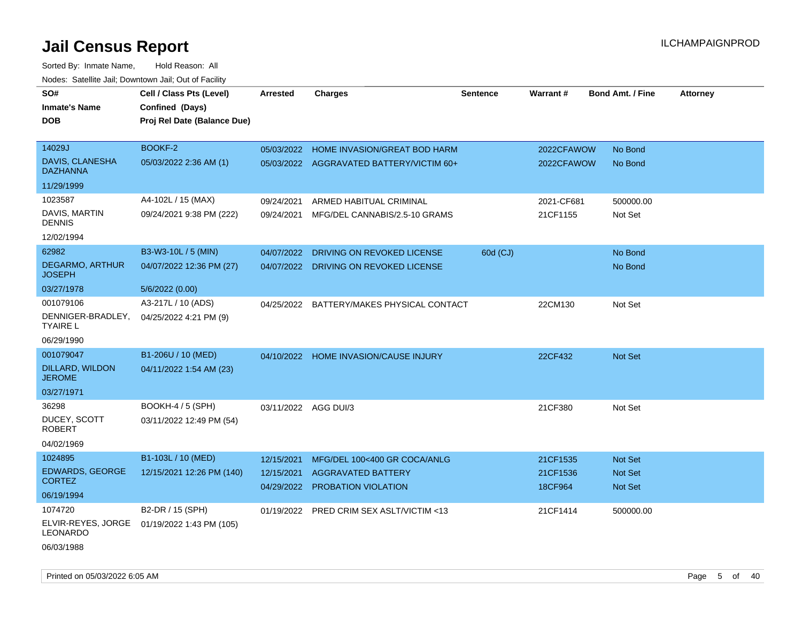| SO#                                     | Cell / Class Pts (Level)    | <b>Arrested</b>      | <b>Charges</b>                                   | <b>Sentence</b> | Warrant#            | <b>Bond Amt. / Fine</b>   | <b>Attorney</b> |
|-----------------------------------------|-----------------------------|----------------------|--------------------------------------------------|-----------------|---------------------|---------------------------|-----------------|
| <b>Inmate's Name</b>                    | Confined (Days)             |                      |                                                  |                 |                     |                           |                 |
| <b>DOB</b>                              | Proj Rel Date (Balance Due) |                      |                                                  |                 |                     |                           |                 |
|                                         |                             |                      |                                                  |                 |                     |                           |                 |
| 14029J                                  | BOOKF-2                     | 05/03/2022           | HOME INVASION/GREAT BOD HARM                     |                 | 2022CFAWOW          | No Bond                   |                 |
| DAVIS, CLANESHA<br><b>DAZHANNA</b>      | 05/03/2022 2:36 AM (1)      |                      | 05/03/2022 AGGRAVATED BATTERY/VICTIM 60+         |                 | 2022CFAWOW          | No Bond                   |                 |
| 11/29/1999                              |                             |                      |                                                  |                 |                     |                           |                 |
| 1023587                                 | A4-102L / 15 (MAX)          | 09/24/2021           | ARMED HABITUAL CRIMINAL                          |                 | 2021-CF681          | 500000.00                 |                 |
| DAVIS, MARTIN<br><b>DENNIS</b>          | 09/24/2021 9:38 PM (222)    | 09/24/2021           | MFG/DEL CANNABIS/2.5-10 GRAMS                    |                 | 21CF1155            | Not Set                   |                 |
| 12/02/1994                              |                             |                      |                                                  |                 |                     |                           |                 |
| 62982                                   | B3-W3-10L / 5 (MIN)         | 04/07/2022           | DRIVING ON REVOKED LICENSE                       | 60d (CJ)        |                     | No Bond                   |                 |
| <b>DEGARMO, ARTHUR</b><br><b>JOSEPH</b> | 04/07/2022 12:36 PM (27)    | 04/07/2022           | DRIVING ON REVOKED LICENSE                       |                 |                     | No Bond                   |                 |
| 03/27/1978                              | 5/6/2022 (0.00)             |                      |                                                  |                 |                     |                           |                 |
| 001079106                               | A3-217L / 10 (ADS)          | 04/25/2022           | BATTERY/MAKES PHYSICAL CONTACT                   |                 | 22CM130             | Not Set                   |                 |
| DENNIGER-BRADLEY,<br><b>TYAIRE L</b>    | 04/25/2022 4:21 PM (9)      |                      |                                                  |                 |                     |                           |                 |
| 06/29/1990                              |                             |                      |                                                  |                 |                     |                           |                 |
| 001079047                               | B1-206U / 10 (MED)          |                      | 04/10/2022 HOME INVASION/CAUSE INJURY            |                 | 22CF432             | <b>Not Set</b>            |                 |
| <b>DILLARD, WILDON</b><br><b>JEROME</b> | 04/11/2022 1:54 AM (23)     |                      |                                                  |                 |                     |                           |                 |
| 03/27/1971                              |                             |                      |                                                  |                 |                     |                           |                 |
| 36298                                   | <b>BOOKH-4 / 5 (SPH)</b>    | 03/11/2022 AGG DUI/3 |                                                  |                 | 21CF380             | Not Set                   |                 |
| DUCEY, SCOTT<br><b>ROBERT</b>           | 03/11/2022 12:49 PM (54)    |                      |                                                  |                 |                     |                           |                 |
| 04/02/1969                              |                             |                      |                                                  |                 |                     |                           |                 |
| 1024895                                 | B1-103L / 10 (MED)          | 12/15/2021           | MFG/DEL 100<400 GR COCA/ANLG                     |                 | 21CF1535            | Not Set                   |                 |
| <b>EDWARDS, GEORGE</b><br><b>CORTEZ</b> | 12/15/2021 12:26 PM (140)   | 12/15/2021           | <b>AGGRAVATED BATTERY</b><br>PROBATION VIOLATION |                 | 21CF1536<br>18CF964 | Not Set<br><b>Not Set</b> |                 |
| 06/19/1994                              |                             | 04/29/2022           |                                                  |                 |                     |                           |                 |
| 1074720                                 | B2-DR / 15 (SPH)            | 01/19/2022           | <b>PRED CRIM SEX ASLT/VICTIM &lt;13</b>          |                 | 21CF1414            | 500000.00                 |                 |
| ELVIR-REYES, JORGE<br>LEONARDO          | 01/19/2022 1:43 PM (105)    |                      |                                                  |                 |                     |                           |                 |
| 06/03/1988                              |                             |                      |                                                  |                 |                     |                           |                 |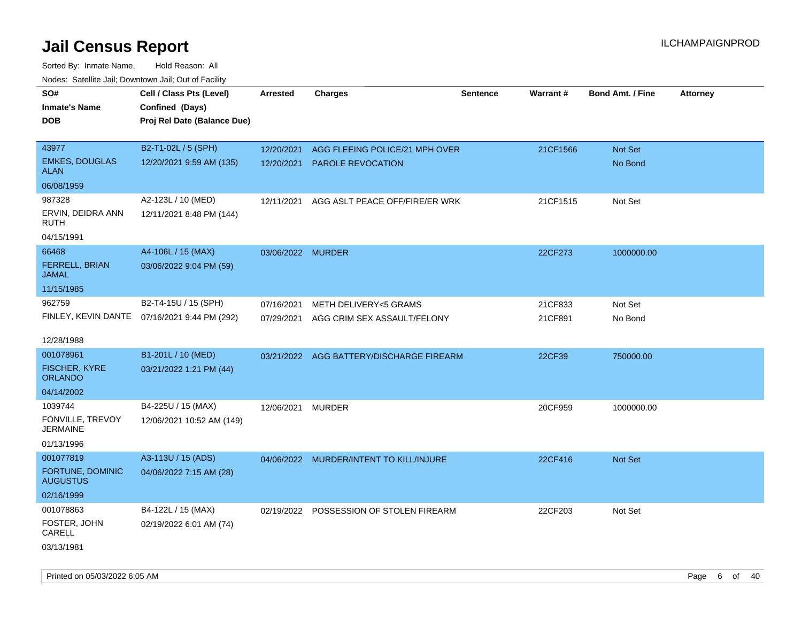| roaco. Catolino dall, Downtown dall, Out of Fability |                                              |                   |                                          |                 |          |                         |                 |
|------------------------------------------------------|----------------------------------------------|-------------------|------------------------------------------|-----------------|----------|-------------------------|-----------------|
| SO#                                                  | Cell / Class Pts (Level)                     | <b>Arrested</b>   | <b>Charges</b>                           | <b>Sentence</b> | Warrant# | <b>Bond Amt. / Fine</b> | <b>Attorney</b> |
| <b>Inmate's Name</b>                                 | Confined (Days)                              |                   |                                          |                 |          |                         |                 |
| <b>DOB</b>                                           | Proj Rel Date (Balance Due)                  |                   |                                          |                 |          |                         |                 |
|                                                      |                                              |                   |                                          |                 |          |                         |                 |
| 43977                                                | B2-T1-02L / 5 (SPH)                          | 12/20/2021        | AGG FLEEING POLICE/21 MPH OVER           |                 | 21CF1566 | Not Set                 |                 |
| <b>EMKES, DOUGLAS</b><br>ALAN                        | 12/20/2021 9:59 AM (135)                     |                   | 12/20/2021 PAROLE REVOCATION             |                 |          | No Bond                 |                 |
| 06/08/1959                                           |                                              |                   |                                          |                 |          |                         |                 |
| 987328                                               | A2-123L / 10 (MED)                           | 12/11/2021        | AGG ASLT PEACE OFF/FIRE/ER WRK           |                 | 21CF1515 | Not Set                 |                 |
| ERVIN, DEIDRA ANN<br>RUTH                            | 12/11/2021 8:48 PM (144)                     |                   |                                          |                 |          |                         |                 |
| 04/15/1991                                           |                                              |                   |                                          |                 |          |                         |                 |
| 66468                                                | A4-106L / 15 (MAX)                           | 03/06/2022 MURDER |                                          |                 | 22CF273  | 1000000.00              |                 |
| FERRELL, BRIAN<br><b>JAMAL</b>                       | 03/06/2022 9:04 PM (59)                      |                   |                                          |                 |          |                         |                 |
| 11/15/1985                                           |                                              |                   |                                          |                 |          |                         |                 |
| 962759                                               | B2-T4-15U / 15 (SPH)                         | 07/16/2021        | METH DELIVERY<5 GRAMS                    |                 | 21CF833  | Not Set                 |                 |
|                                                      | FINLEY, KEVIN DANTE 07/16/2021 9:44 PM (292) | 07/29/2021        | AGG CRIM SEX ASSAULT/FELONY              |                 | 21CF891  | No Bond                 |                 |
|                                                      |                                              |                   |                                          |                 |          |                         |                 |
| 12/28/1988                                           |                                              |                   |                                          |                 |          |                         |                 |
| 001078961                                            | B1-201L / 10 (MED)                           |                   | 03/21/2022 AGG BATTERY/DISCHARGE FIREARM |                 | 22CF39   | 750000.00               |                 |
| <b>FISCHER, KYRE</b><br><b>ORLANDO</b>               | 03/21/2022 1:21 PM (44)                      |                   |                                          |                 |          |                         |                 |
| 04/14/2002                                           |                                              |                   |                                          |                 |          |                         |                 |
| 1039744                                              | B4-225U / 15 (MAX)                           | 12/06/2021 MURDER |                                          |                 | 20CF959  | 1000000.00              |                 |
| FONVILLE, TREVOY<br><b>JERMAINE</b>                  | 12/06/2021 10:52 AM (149)                    |                   |                                          |                 |          |                         |                 |
| 01/13/1996                                           |                                              |                   |                                          |                 |          |                         |                 |
| 001077819                                            | A3-113U / 15 (ADS)                           |                   | 04/06/2022 MURDER/INTENT TO KILL/INJURE  |                 | 22CF416  | Not Set                 |                 |
| FORTUNE, DOMINIC<br><b>AUGUSTUS</b>                  | 04/06/2022 7:15 AM (28)                      |                   |                                          |                 |          |                         |                 |
| 02/16/1999                                           |                                              |                   |                                          |                 |          |                         |                 |
| 001078863                                            | B4-122L / 15 (MAX)                           |                   | 02/19/2022 POSSESSION OF STOLEN FIREARM  |                 | 22CF203  | Not Set                 |                 |
| FOSTER, JOHN<br>CARELL                               | 02/19/2022 6:01 AM (74)                      |                   |                                          |                 |          |                         |                 |
| 03/13/1981                                           |                                              |                   |                                          |                 |          |                         |                 |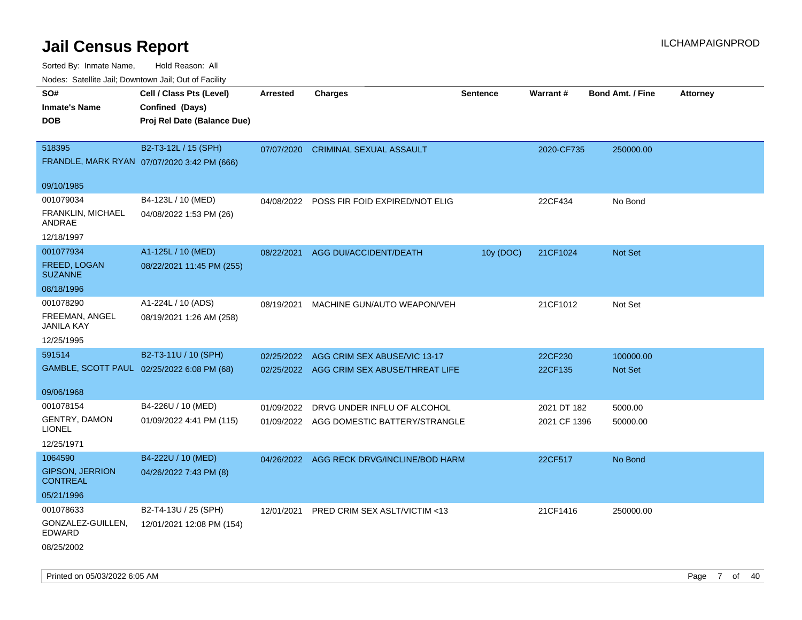Sorted By: Inmate Name, Hold Reason: All

|  | Nodes: Satellite Jail; Downtown Jail; Out of Facility |  |  |  |
|--|-------------------------------------------------------|--|--|--|
|--|-------------------------------------------------------|--|--|--|

| SO#                            | Cell / Class Pts (Level)                    | <b>Arrested</b> | <b>Charges</b>                            | <b>Sentence</b> | Warrant#     | <b>Bond Amt. / Fine</b> | <b>Attorney</b> |
|--------------------------------|---------------------------------------------|-----------------|-------------------------------------------|-----------------|--------------|-------------------------|-----------------|
| <b>Inmate's Name</b>           | Confined (Days)                             |                 |                                           |                 |              |                         |                 |
| <b>DOB</b>                     | Proj Rel Date (Balance Due)                 |                 |                                           |                 |              |                         |                 |
| 518395                         | B2-T3-12L / 15 (SPH)                        | 07/07/2020      | <b>CRIMINAL SEXUAL ASSAULT</b>            |                 | 2020-CF735   | 250000.00               |                 |
|                                | FRANDLE, MARK RYAN 07/07/2020 3:42 PM (666) |                 |                                           |                 |              |                         |                 |
| 09/10/1985                     |                                             |                 |                                           |                 |              |                         |                 |
| 001079034                      | B4-123L / 10 (MED)                          | 04/08/2022      | POSS FIR FOID EXPIRED/NOT ELIG            |                 | 22CF434      | No Bond                 |                 |
| FRANKLIN, MICHAEL              | 04/08/2022 1:53 PM (26)                     |                 |                                           |                 |              |                         |                 |
| ANDRAE                         |                                             |                 |                                           |                 |              |                         |                 |
| 12/18/1997                     |                                             |                 |                                           |                 |              |                         |                 |
| 001077934                      | A1-125L / 10 (MED)                          | 08/22/2021      | AGG DUI/ACCIDENT/DEATH                    | 10y (DOC)       | 21CF1024     | Not Set                 |                 |
| FREED, LOGAN<br><b>SUZANNE</b> | 08/22/2021 11:45 PM (255)                   |                 |                                           |                 |              |                         |                 |
| 08/18/1996                     |                                             |                 |                                           |                 |              |                         |                 |
| 001078290                      | A1-224L / 10 (ADS)                          | 08/19/2021      | MACHINE GUN/AUTO WEAPON/VEH               |                 | 21CF1012     | Not Set                 |                 |
| FREEMAN, ANGEL<br>JANILA KAY   | 08/19/2021 1:26 AM (258)                    |                 |                                           |                 |              |                         |                 |
| 12/25/1995                     |                                             |                 |                                           |                 |              |                         |                 |
| 591514                         | B2-T3-11U / 10 (SPH)                        | 02/25/2022      | AGG CRIM SEX ABUSE/VIC 13-17              |                 | 22CF230      | 100000.00               |                 |
|                                | GAMBLE, SCOTT PAUL 02/25/2022 6:08 PM (68)  |                 | 02/25/2022 AGG CRIM SEX ABUSE/THREAT LIFE |                 | 22CF135      | Not Set                 |                 |
| 09/06/1968                     |                                             |                 |                                           |                 |              |                         |                 |
| 001078154                      | B4-226U / 10 (MED)                          | 01/09/2022      | DRVG UNDER INFLU OF ALCOHOL               |                 | 2021 DT 182  | 5000.00                 |                 |
| <b>GENTRY, DAMON</b>           | 01/09/2022 4:41 PM (115)                    |                 | 01/09/2022 AGG DOMESTIC BATTERY/STRANGLE  |                 | 2021 CF 1396 | 50000.00                |                 |
| <b>LIONEL</b>                  |                                             |                 |                                           |                 |              |                         |                 |
| 12/25/1971<br>1064590          | B4-222U / 10 (MED)                          |                 |                                           |                 |              |                         |                 |
| <b>GIPSON, JERRION</b>         | 04/26/2022 7:43 PM (8)                      |                 | 04/26/2022 AGG RECK DRVG/INCLINE/BOD HARM |                 | 22CF517      | No Bond                 |                 |
| <b>CONTREAL</b>                |                                             |                 |                                           |                 |              |                         |                 |
| 05/21/1996                     |                                             |                 |                                           |                 |              |                         |                 |
| 001078633                      | B2-T4-13U / 25 (SPH)                        | 12/01/2021      | PRED CRIM SEX ASLT/VICTIM <13             |                 | 21CF1416     | 250000.00               |                 |
| GONZALEZ-GUILLEN,<br>EDWARD    | 12/01/2021 12:08 PM (154)                   |                 |                                           |                 |              |                         |                 |
| 08/25/2002                     |                                             |                 |                                           |                 |              |                         |                 |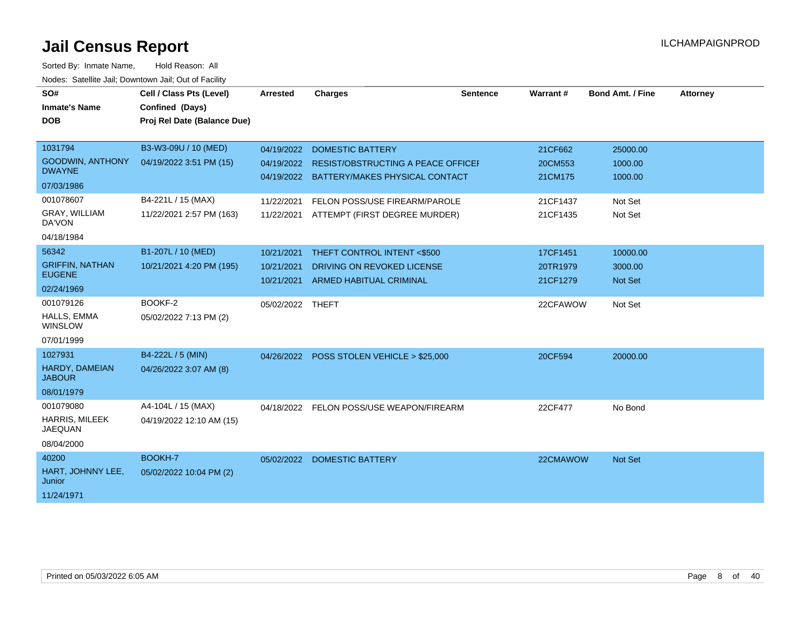| SO#<br><b>Inmate's Name</b><br><b>DOB</b>                                                       | Cell / Class Pts (Level)<br>Confined (Days)<br>Proj Rel Date (Balance Due)                        | <b>Arrested</b>                                      | <b>Charges</b>                                                                                                                                                                      | <b>Sentence</b> | Warrant#                                              | <b>Bond Amt. / Fine</b>                              | <b>Attorney</b> |
|-------------------------------------------------------------------------------------------------|---------------------------------------------------------------------------------------------------|------------------------------------------------------|-------------------------------------------------------------------------------------------------------------------------------------------------------------------------------------|-----------------|-------------------------------------------------------|------------------------------------------------------|-----------------|
| 1031794<br><b>GOODWIN, ANTHONY</b><br><b>DWAYNE</b><br>07/03/1986<br>001078607<br>GRAY, WILLIAM | B3-W3-09U / 10 (MED)<br>04/19/2022 3:51 PM (15)<br>B4-221L / 15 (MAX)<br>11/22/2021 2:57 PM (163) | 04/19/2022<br>04/19/2022<br>11/22/2021<br>11/22/2021 | <b>DOMESTIC BATTERY</b><br><b>RESIST/OBSTRUCTING A PEACE OFFICEF</b><br>04/19/2022 BATTERY/MAKES PHYSICAL CONTACT<br>FELON POSS/USE FIREARM/PAROLE<br>ATTEMPT (FIRST DEGREE MURDER) |                 | 21CF662<br>20CM553<br>21CM175<br>21CF1437<br>21CF1435 | 25000.00<br>1000.00<br>1000.00<br>Not Set<br>Not Set |                 |
| DA'VON<br>04/18/1984                                                                            |                                                                                                   |                                                      |                                                                                                                                                                                     |                 |                                                       |                                                      |                 |
| 56342<br><b>GRIFFIN, NATHAN</b><br><b>EUGENE</b><br>02/24/1969                                  | B1-207L / 10 (MED)<br>10/21/2021 4:20 PM (195)                                                    | 10/21/2021<br>10/21/2021<br>10/21/2021               | THEFT CONTROL INTENT <\$500<br>DRIVING ON REVOKED LICENSE<br>ARMED HABITUAL CRIMINAL                                                                                                |                 | 17CF1451<br>20TR1979<br>21CF1279                      | 10000.00<br>3000.00<br><b>Not Set</b>                |                 |
| 001079126<br>HALLS, EMMA<br>WINSLOW<br>07/01/1999                                               | BOOKF-2<br>05/02/2022 7:13 PM (2)                                                                 | 05/02/2022 THEFT                                     |                                                                                                                                                                                     |                 | 22CFAWOW                                              | Not Set                                              |                 |
| 1027931<br>HARDY, DAMEIAN<br><b>JABOUR</b><br>08/01/1979                                        | B4-222L / 5 (MIN)<br>04/26/2022 3:07 AM (8)                                                       |                                                      | 04/26/2022 POSS STOLEN VEHICLE > \$25,000                                                                                                                                           |                 | 20CF594                                               | 20000.00                                             |                 |
| 001079080<br><b>HARRIS, MILEEK</b><br><b>JAEQUAN</b><br>08/04/2000                              | A4-104L / 15 (MAX)<br>04/19/2022 12:10 AM (15)                                                    |                                                      | 04/18/2022 FELON POSS/USE WEAPON/FIREARM                                                                                                                                            |                 | 22CF477                                               | No Bond                                              |                 |
| 40200<br>HART, JOHNNY LEE,<br>Junior<br>11/24/1971                                              | BOOKH-7<br>05/02/2022 10:04 PM (2)                                                                | 05/02/2022                                           | <b>DOMESTIC BATTERY</b>                                                                                                                                                             |                 | 22CMAWOW                                              | <b>Not Set</b>                                       |                 |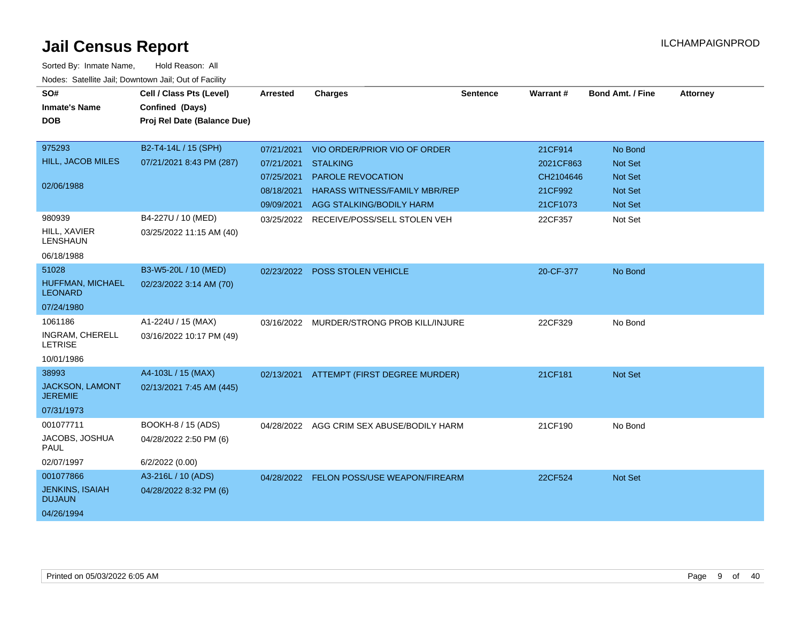| SO#<br><b>Inmate's Name</b><br><b>DOB</b>                          | Cell / Class Pts (Level)<br>Confined (Days)<br>Proj Rel Date (Balance Due) | Arrested                                             | <b>Charges</b>                                                                                                                                      | <b>Sentence</b> | <b>Warrant#</b>                                          | <b>Bond Amt. / Fine</b>                                                         | <b>Attorney</b> |
|--------------------------------------------------------------------|----------------------------------------------------------------------------|------------------------------------------------------|-----------------------------------------------------------------------------------------------------------------------------------------------------|-----------------|----------------------------------------------------------|---------------------------------------------------------------------------------|-----------------|
| 975293<br>HILL, JACOB MILES<br>02/06/1988                          | B2-T4-14L / 15 (SPH)<br>07/21/2021 8:43 PM (287)                           | 07/21/2021<br>07/21/2021<br>07/25/2021<br>08/18/2021 | VIO ORDER/PRIOR VIO OF ORDER<br><b>STALKING</b><br><b>PAROLE REVOCATION</b><br>HARASS WITNESS/FAMILY MBR/REP<br>09/09/2021 AGG STALKING/BODILY HARM |                 | 21CF914<br>2021CF863<br>CH2104646<br>21CF992<br>21CF1073 | No Bond<br><b>Not Set</b><br><b>Not Set</b><br><b>Not Set</b><br><b>Not Set</b> |                 |
| 980939<br>HILL, XAVIER<br><b>LENSHAUN</b><br>06/18/1988            | B4-227U / 10 (MED)<br>03/25/2022 11:15 AM (40)                             | 03/25/2022                                           | RECEIVE/POSS/SELL STOLEN VEH                                                                                                                        |                 | 22CF357                                                  | Not Set                                                                         |                 |
| 51028<br>HUFFMAN, MICHAEL<br><b>LEONARD</b><br>07/24/1980          | B3-W5-20L / 10 (MED)<br>02/23/2022 3:14 AM (70)                            |                                                      | 02/23/2022 POSS STOLEN VEHICLE                                                                                                                      |                 | 20-CF-377                                                | No Bond                                                                         |                 |
| 1061186<br><b>INGRAM, CHERELL</b><br><b>LETRISE</b><br>10/01/1986  | A1-224U / 15 (MAX)<br>03/16/2022 10:17 PM (49)                             |                                                      | 03/16/2022 MURDER/STRONG PROB KILL/INJURE                                                                                                           |                 | 22CF329                                                  | No Bond                                                                         |                 |
| 38993<br>JACKSON, LAMONT<br><b>JEREMIE</b><br>07/31/1973           | A4-103L / 15 (MAX)<br>02/13/2021 7:45 AM (445)                             |                                                      | 02/13/2021 ATTEMPT (FIRST DEGREE MURDER)                                                                                                            |                 | 21CF181                                                  | <b>Not Set</b>                                                                  |                 |
| 001077711<br>JACOBS, JOSHUA<br>PAUL<br>02/07/1997                  | BOOKH-8 / 15 (ADS)<br>04/28/2022 2:50 PM (6)<br>6/2/2022 (0.00)            | 04/28/2022                                           | AGG CRIM SEX ABUSE/BODILY HARM                                                                                                                      |                 | 21CF190                                                  | No Bond                                                                         |                 |
| 001077866<br><b>JENKINS, ISAIAH</b><br><b>DUJAUN</b><br>04/26/1994 | A3-216L / 10 (ADS)<br>04/28/2022 8:32 PM (6)                               | 04/28/2022                                           | FELON POSS/USE WEAPON/FIREARM                                                                                                                       |                 | 22CF524                                                  | <b>Not Set</b>                                                                  |                 |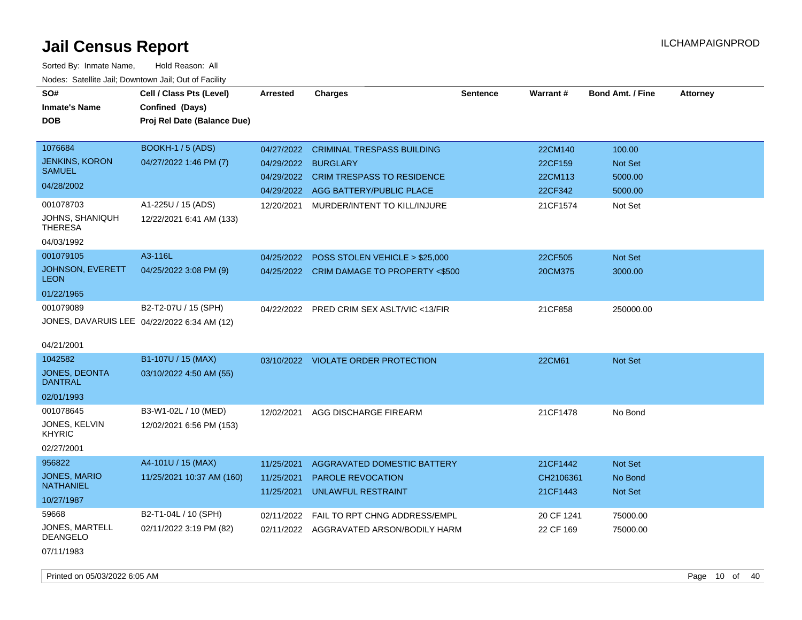| SO#                                         | Cell / Class Pts (Level)    | <b>Arrested</b> | <b>Charges</b>                            | <b>Sentence</b> | <b>Warrant#</b> | <b>Bond Amt. / Fine</b> | <b>Attorney</b> |
|---------------------------------------------|-----------------------------|-----------------|-------------------------------------------|-----------------|-----------------|-------------------------|-----------------|
| <b>Inmate's Name</b>                        | Confined (Days)             |                 |                                           |                 |                 |                         |                 |
| DOB                                         | Proj Rel Date (Balance Due) |                 |                                           |                 |                 |                         |                 |
|                                             |                             |                 |                                           |                 |                 |                         |                 |
| 1076684                                     | <b>BOOKH-1 / 5 (ADS)</b>    | 04/27/2022      | <b>CRIMINAL TRESPASS BUILDING</b>         |                 | 22CM140         | 100.00                  |                 |
| <b>JENKINS, KORON</b><br><b>SAMUEL</b>      | 04/27/2022 1:46 PM (7)      | 04/29/2022      | <b>BURGLARY</b>                           |                 | 22CF159         | <b>Not Set</b>          |                 |
| 04/28/2002                                  |                             | 04/29/2022      | <b>CRIM TRESPASS TO RESIDENCE</b>         |                 | 22CM113         | 5000.00                 |                 |
|                                             |                             |                 | 04/29/2022 AGG BATTERY/PUBLIC PLACE       |                 | 22CF342         | 5000.00                 |                 |
| 001078703                                   | A1-225U / 15 (ADS)          | 12/20/2021      | MURDER/INTENT TO KILL/INJURE              |                 | 21CF1574        | Not Set                 |                 |
| JOHNS, SHANIQUH<br><b>THERESA</b>           | 12/22/2021 6:41 AM (133)    |                 |                                           |                 |                 |                         |                 |
| 04/03/1992                                  |                             |                 |                                           |                 |                 |                         |                 |
| 001079105                                   | A3-116L                     | 04/25/2022      | POSS STOLEN VEHICLE > \$25,000            |                 | 22CF505         | Not Set                 |                 |
| JOHNSON, EVERETT<br><b>LEON</b>             | 04/25/2022 3:08 PM (9)      |                 | 04/25/2022 CRIM DAMAGE TO PROPERTY <\$500 |                 | 20CM375         | 3000.00                 |                 |
| 01/22/1965                                  |                             |                 |                                           |                 |                 |                         |                 |
| 001079089                                   | B2-T2-07U / 15 (SPH)        | 04/22/2022      | PRED CRIM SEX ASLT/VIC <13/FIR            |                 | 21CF858         | 250000.00               |                 |
| JONES, DAVARUIS LEE 04/22/2022 6:34 AM (12) |                             |                 |                                           |                 |                 |                         |                 |
| 04/21/2001                                  |                             |                 |                                           |                 |                 |                         |                 |
| 1042582                                     | B1-107U / 15 (MAX)          |                 |                                           |                 | 22CM61          | Not Set                 |                 |
| <b>JONES, DEONTA</b>                        | 03/10/2022 4:50 AM (55)     |                 | 03/10/2022 VIOLATE ORDER PROTECTION       |                 |                 |                         |                 |
| <b>DANTRAL</b>                              |                             |                 |                                           |                 |                 |                         |                 |
| 02/01/1993                                  |                             |                 |                                           |                 |                 |                         |                 |
| 001078645                                   | B3-W1-02L / 10 (MED)        | 12/02/2021      | AGG DISCHARGE FIREARM                     |                 | 21CF1478        | No Bond                 |                 |
| JONES, KELVIN<br>KHYRIC                     | 12/02/2021 6:56 PM (153)    |                 |                                           |                 |                 |                         |                 |
| 02/27/2001                                  |                             |                 |                                           |                 |                 |                         |                 |
| 956822                                      | A4-101U / 15 (MAX)          | 11/25/2021      | AGGRAVATED DOMESTIC BATTERY               |                 | 21CF1442        | Not Set                 |                 |
| JONES, MARIO                                | 11/25/2021 10:37 AM (160)   | 11/25/2021      | <b>PAROLE REVOCATION</b>                  |                 | CH2106361       | No Bond                 |                 |
| <b>NATHANIEL</b>                            |                             | 11/25/2021      | <b>UNLAWFUL RESTRAINT</b>                 |                 | 21CF1443        | Not Set                 |                 |
| 10/27/1987                                  |                             |                 |                                           |                 |                 |                         |                 |
| 59668                                       | B2-T1-04L / 10 (SPH)        | 02/11/2022      | FAIL TO RPT CHNG ADDRESS/EMPL             |                 | 20 CF 1241      | 75000.00                |                 |
| JONES, MARTELL<br><b>DEANGELO</b>           | 02/11/2022 3:19 PM (82)     | 02/11/2022      | AGGRAVATED ARSON/BODILY HARM              |                 | 22 CF 169       | 75000.00                |                 |
| 07/11/1983                                  |                             |                 |                                           |                 |                 |                         |                 |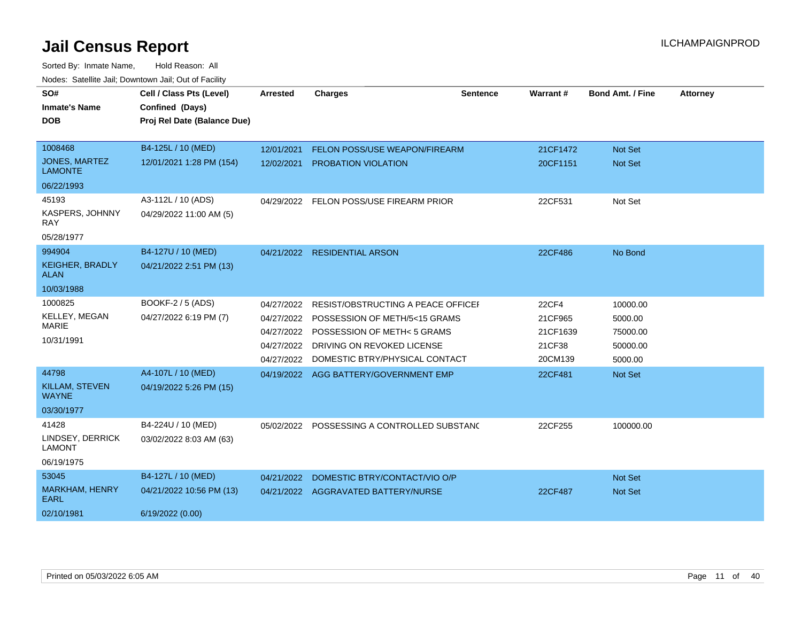| SO#                                    | Cell / Class Pts (Level)    | <b>Arrested</b> | <b>Charges</b>                              | <b>Sentence</b> | <b>Warrant#</b> | <b>Bond Amt. / Fine</b> | <b>Attorney</b> |
|----------------------------------------|-----------------------------|-----------------|---------------------------------------------|-----------------|-----------------|-------------------------|-----------------|
| <b>Inmate's Name</b>                   | Confined (Days)             |                 |                                             |                 |                 |                         |                 |
| DOB                                    | Proj Rel Date (Balance Due) |                 |                                             |                 |                 |                         |                 |
|                                        |                             |                 |                                             |                 |                 |                         |                 |
| 1008468                                | B4-125L / 10 (MED)          | 12/01/2021      | <b>FELON POSS/USE WEAPON/FIREARM</b>        |                 | 21CF1472        | <b>Not Set</b>          |                 |
| <b>JONES, MARTEZ</b><br><b>LAMONTE</b> | 12/01/2021 1:28 PM (154)    | 12/02/2021      | PROBATION VIOLATION                         |                 | 20CF1151        | Not Set                 |                 |
| 06/22/1993                             |                             |                 |                                             |                 |                 |                         |                 |
| 45193                                  | A3-112L / 10 (ADS)          |                 | 04/29/2022 FELON POSS/USE FIREARM PRIOR     |                 | 22CF531         | Not Set                 |                 |
| <b>KASPERS, JOHNNY</b><br>RAY          | 04/29/2022 11:00 AM (5)     |                 |                                             |                 |                 |                         |                 |
| 05/28/1977                             |                             |                 |                                             |                 |                 |                         |                 |
| 994904                                 | B4-127U / 10 (MED)          |                 | 04/21/2022 RESIDENTIAL ARSON                |                 | 22CF486         | No Bond                 |                 |
| <b>KEIGHER, BRADLY</b><br>ALAN         | 04/21/2022 2:51 PM (13)     |                 |                                             |                 |                 |                         |                 |
| 10/03/1988                             |                             |                 |                                             |                 |                 |                         |                 |
| 1000825                                | BOOKF-2 / 5 (ADS)           | 04/27/2022      | RESIST/OBSTRUCTING A PEACE OFFICEL          |                 | 22CF4           | 10000.00                |                 |
| KELLEY, MEGAN                          | 04/27/2022 6:19 PM (7)      |                 | 04/27/2022 POSSESSION OF METH/5<15 GRAMS    |                 | 21CF965         | 5000.00                 |                 |
| <b>MARIE</b>                           |                             | 04/27/2022      | <b>POSSESSION OF METH&lt; 5 GRAMS</b>       |                 | 21CF1639        | 75000.00                |                 |
| 10/31/1991                             |                             |                 | 04/27/2022 DRIVING ON REVOKED LICENSE       |                 | 21CF38          | 50000.00                |                 |
|                                        |                             | 04/27/2022      | DOMESTIC BTRY/PHYSICAL CONTACT              |                 | 20CM139         | 5000.00                 |                 |
| 44798                                  | A4-107L / 10 (MED)          |                 | 04/19/2022 AGG BATTERY/GOVERNMENT EMP       |                 | 22CF481         | Not Set                 |                 |
| KILLAM, STEVEN<br><b>WAYNE</b>         | 04/19/2022 5:26 PM (15)     |                 |                                             |                 |                 |                         |                 |
| 03/30/1977                             |                             |                 |                                             |                 |                 |                         |                 |
| 41428                                  | B4-224U / 10 (MED)          |                 | 05/02/2022 POSSESSING A CONTROLLED SUBSTANG |                 | 22CF255         | 100000.00               |                 |
| LINDSEY, DERRICK<br><b>LAMONT</b>      | 03/02/2022 8:03 AM (63)     |                 |                                             |                 |                 |                         |                 |
| 06/19/1975                             |                             |                 |                                             |                 |                 |                         |                 |
| 53045                                  | B4-127L / 10 (MED)          | 04/21/2022      | DOMESTIC BTRY/CONTACT/VIO O/P               |                 |                 | <b>Not Set</b>          |                 |
| MARKHAM, HENRY<br>EARL                 | 04/21/2022 10:56 PM (13)    |                 | 04/21/2022 AGGRAVATED BATTERY/NURSE         |                 | 22CF487         | <b>Not Set</b>          |                 |
| 02/10/1981                             | 6/19/2022 (0.00)            |                 |                                             |                 |                 |                         |                 |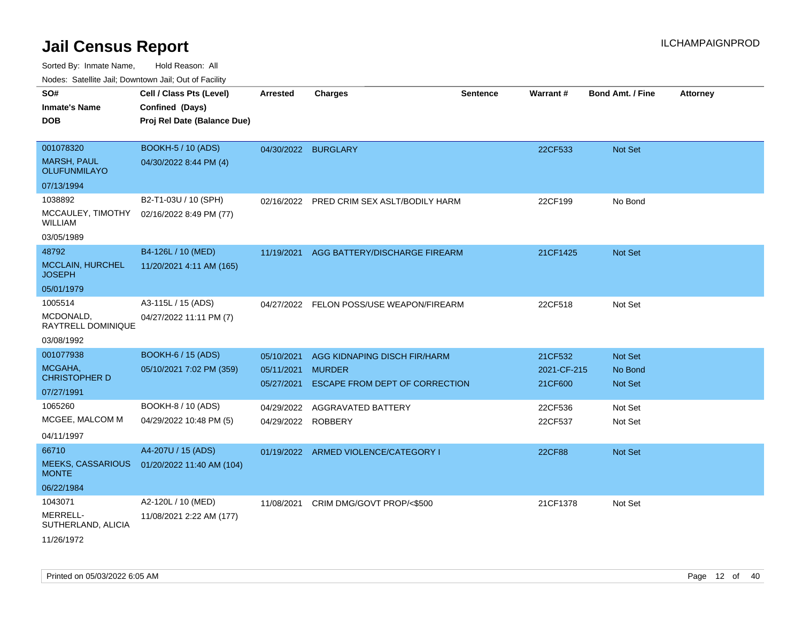| SO#<br>Inmate's Name<br>DOB                                     | Cell / Class Pts (Level)<br>Confined (Days)<br>Proj Rel Date (Balance Due) | <b>Arrested</b>                        | <b>Charges</b>                                                                  | <b>Sentence</b> | Warrant#                          | <b>Bond Amt. / Fine</b>       | <b>Attorney</b> |
|-----------------------------------------------------------------|----------------------------------------------------------------------------|----------------------------------------|---------------------------------------------------------------------------------|-----------------|-----------------------------------|-------------------------------|-----------------|
| 001078320<br><b>MARSH, PAUL</b><br>OLUFUNMILAYO<br>07/13/1994   | <b>BOOKH-5 / 10 (ADS)</b><br>04/30/2022 8:44 PM (4)                        | 04/30/2022 BURGLARY                    |                                                                                 |                 | 22CF533                           | Not Set                       |                 |
| 1038892<br>MCCAULEY, TIMOTHY<br>WILLIAM<br>03/05/1989           | B2-T1-03U / 10 (SPH)<br>02/16/2022 8:49 PM (77)                            | 02/16/2022                             | PRED CRIM SEX ASLT/BODILY HARM                                                  |                 | 22CF199                           | No Bond                       |                 |
| 48792<br>MCCLAIN, HURCHEL<br><b>JOSEPH</b><br>05/01/1979        | B4-126L / 10 (MED)<br>11/20/2021 4:11 AM (165)                             | 11/19/2021                             | AGG BATTERY/DISCHARGE FIREARM                                                   |                 | 21CF1425                          | Not Set                       |                 |
| 1005514<br>MCDONALD,<br>RAYTRELL DOMINIQUE<br>03/08/1992        | A3-115L / 15 (ADS)<br>04/27/2022 11:11 PM (7)                              |                                        | 04/27/2022 FELON POSS/USE WEAPON/FIREARM                                        |                 | 22CF518                           | Not Set                       |                 |
| 001077938<br>MCGAHA,<br><b>CHRISTOPHER D</b><br>07/27/1991      | <b>BOOKH-6 / 15 (ADS)</b><br>05/10/2021 7:02 PM (359)                      | 05/10/2021<br>05/11/2021<br>05/27/2021 | AGG KIDNAPING DISCH FIR/HARM<br><b>MURDER</b><br>ESCAPE FROM DEPT OF CORRECTION |                 | 21CF532<br>2021-CF-215<br>21CF600 | Not Set<br>No Bond<br>Not Set |                 |
| 1065260<br>MCGEE, MALCOM M<br>04/11/1997                        | BOOKH-8 / 10 (ADS)<br>04/29/2022 10:48 PM (5)                              | 04/29/2022<br>04/29/2022 ROBBERY       | AGGRAVATED BATTERY                                                              |                 | 22CF536<br>22CF537                | Not Set<br>Not Set            |                 |
| 66710<br><b>MEEKS, CASSARIOUS</b><br><b>MONTE</b><br>06/22/1984 | A4-207U / 15 (ADS)<br>01/20/2022 11:40 AM (104)                            |                                        | 01/19/2022 ARMED VIOLENCE/CATEGORY I                                            |                 | 22CF88                            | Not Set                       |                 |
| 1043071<br>MERRELL-<br>SUTHERLAND, ALICIA<br>11/26/1972         | A2-120L / 10 (MED)<br>11/08/2021 2:22 AM (177)                             | 11/08/2021                             | CRIM DMG/GOVT PROP/<\$500                                                       |                 | 21CF1378                          | Not Set                       |                 |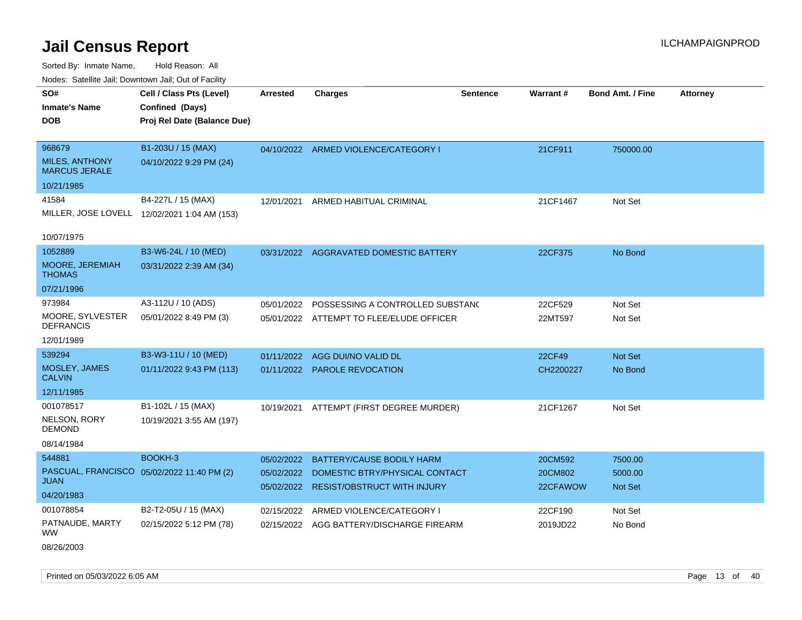Sorted By: Inmate Name, Hold Reason: All Nodes: Satellite Jail; Downtown Jail; Out of Facility

| rouco. Calcinic Jan, Downtown Jan, Out of Facility      |                                                                            |                          |                                                                      |                 |                     |                           |                 |
|---------------------------------------------------------|----------------------------------------------------------------------------|--------------------------|----------------------------------------------------------------------|-----------------|---------------------|---------------------------|-----------------|
| SO#<br><b>Inmate's Name</b><br>DOB                      | Cell / Class Pts (Level)<br>Confined (Days)<br>Proj Rel Date (Balance Due) | <b>Arrested</b>          | <b>Charges</b>                                                       | <b>Sentence</b> | <b>Warrant#</b>     | <b>Bond Amt. / Fine</b>   | <b>Attorney</b> |
| 968679<br><b>MILES, ANTHONY</b><br><b>MARCUS JERALE</b> | B1-203U / 15 (MAX)<br>04/10/2022 9:29 PM (24)                              |                          | 04/10/2022 ARMED VIOLENCE/CATEGORY I                                 |                 | 21CF911             | 750000.00                 |                 |
| 10/21/1985                                              |                                                                            |                          |                                                                      |                 |                     |                           |                 |
| 41584<br>10/07/1975                                     | B4-227L / 15 (MAX)<br>MILLER, JOSE LOVELL 12/02/2021 1:04 AM (153)         | 12/01/2021               | ARMED HABITUAL CRIMINAL                                              |                 | 21CF1467            | Not Set                   |                 |
| 1052889                                                 | B3-W6-24L / 10 (MED)                                                       |                          | 03/31/2022 AGGRAVATED DOMESTIC BATTERY                               |                 | 22CF375             | No Bond                   |                 |
| <b>MOORE, JEREMIAH</b><br>THOMAS                        | 03/31/2022 2:39 AM (34)                                                    |                          |                                                                      |                 |                     |                           |                 |
| 07/21/1996                                              |                                                                            |                          |                                                                      |                 |                     |                           |                 |
| 973984                                                  | A3-112U / 10 (ADS)                                                         | 05/01/2022               | POSSESSING A CONTROLLED SUBSTANC                                     |                 | 22CF529             | Not Set                   |                 |
| MOORE, SYLVESTER<br>DEFRANCIS                           | 05/01/2022 8:49 PM (3)                                                     |                          | 05/01/2022 ATTEMPT TO FLEE/ELUDE OFFICER                             |                 | 22MT597             | Not Set                   |                 |
| 12/01/1989                                              |                                                                            |                          |                                                                      |                 |                     |                           |                 |
| 539294                                                  | B3-W3-11U / 10 (MED)                                                       | 01/11/2022               | AGG DUI/NO VALID DL                                                  |                 | 22CF49              | <b>Not Set</b>            |                 |
| MOSLEY, JAMES<br>CALVIN                                 | 01/11/2022 9:43 PM (113)                                                   |                          | 01/11/2022 PAROLE REVOCATION                                         |                 | CH2200227           | No Bond                   |                 |
| 12/11/1985                                              |                                                                            |                          |                                                                      |                 |                     |                           |                 |
| 001078517                                               | B1-102L / 15 (MAX)                                                         |                          | 10/19/2021 ATTEMPT (FIRST DEGREE MURDER)                             |                 | 21CF1267            | Not Set                   |                 |
| NELSON, RORY<br>DEMOND                                  | 10/19/2021 3:55 AM (197)                                                   |                          |                                                                      |                 |                     |                           |                 |
| 08/14/1984                                              |                                                                            |                          |                                                                      |                 |                     |                           |                 |
| 544881                                                  | BOOKH-3                                                                    | 05/02/2022               | <b>BATTERY/CAUSE BODILY HARM</b>                                     |                 | 20CM592             | 7500.00                   |                 |
| JUAN                                                    | PASCUAL, FRANCISCO 05/02/2022 11:40 PM (2)                                 | 05/02/2022<br>05/02/2022 | DOMESTIC BTRY/PHYSICAL CONTACT<br><b>RESIST/OBSTRUCT WITH INJURY</b> |                 | 20CM802<br>22CFAWOW | 5000.00<br><b>Not Set</b> |                 |
| 04/20/1983                                              |                                                                            |                          |                                                                      |                 |                     |                           |                 |
| 001078854<br>PATNAUDE, MARTY<br>WW.                     | B2-T2-05U / 15 (MAX)<br>02/15/2022 5:12 PM (78)                            | 02/15/2022<br>02/15/2022 | ARMED VIOLENCE/CATEGORY I<br>AGG BATTERY/DISCHARGE FIREARM           |                 | 22CF190<br>2019JD22 | Not Set<br>No Bond        |                 |
|                                                         |                                                                            |                          |                                                                      |                 |                     |                           |                 |

08/26/2003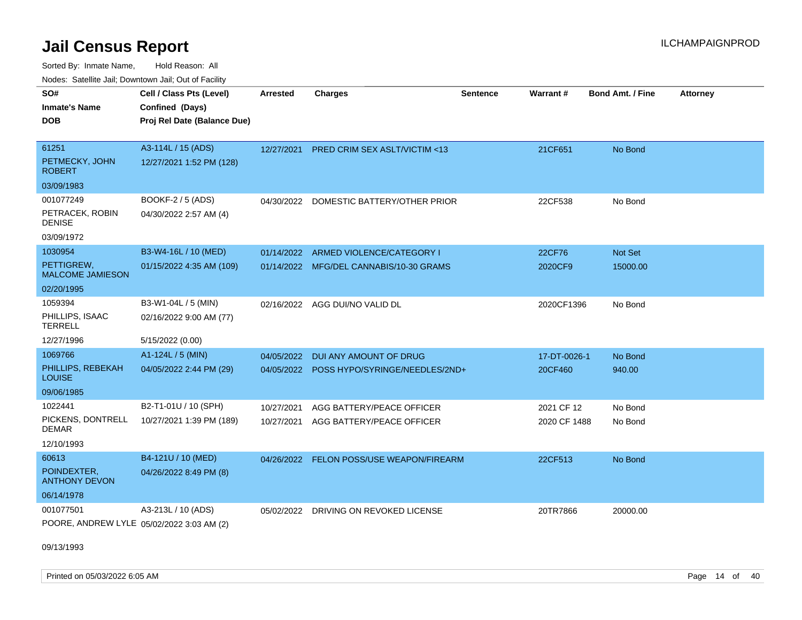Sorted By: Inmate Name, Hold Reason: All Nodes: Satellite Jail; Downtown Jail; Out of Facility

| <u>Houcs.</u> Oatchite Jail, Downtown Jail, Out of Facility |                             |                 |                                           |                 |              |                         |                 |
|-------------------------------------------------------------|-----------------------------|-----------------|-------------------------------------------|-----------------|--------------|-------------------------|-----------------|
| SO#                                                         | Cell / Class Pts (Level)    | <b>Arrested</b> | <b>Charges</b>                            | <b>Sentence</b> | Warrant#     | <b>Bond Amt. / Fine</b> | <b>Attorney</b> |
| <b>Inmate's Name</b>                                        | Confined (Days)             |                 |                                           |                 |              |                         |                 |
| <b>DOB</b>                                                  | Proj Rel Date (Balance Due) |                 |                                           |                 |              |                         |                 |
|                                                             |                             |                 |                                           |                 |              |                         |                 |
| 61251                                                       | A3-114L / 15 (ADS)          | 12/27/2021      | <b>PRED CRIM SEX ASLT/VICTIM &lt;13</b>   |                 | 21CF651      | No Bond                 |                 |
| PETMECKY, JOHN<br><b>ROBERT</b>                             | 12/27/2021 1:52 PM (128)    |                 |                                           |                 |              |                         |                 |
| 03/09/1983                                                  |                             |                 |                                           |                 |              |                         |                 |
| 001077249                                                   | BOOKF-2 / 5 (ADS)           | 04/30/2022      | DOMESTIC BATTERY/OTHER PRIOR              |                 | 22CF538      | No Bond                 |                 |
| PETRACEK, ROBIN<br><b>DENISE</b>                            | 04/30/2022 2:57 AM (4)      |                 |                                           |                 |              |                         |                 |
| 03/09/1972                                                  |                             |                 |                                           |                 |              |                         |                 |
| 1030954                                                     | B3-W4-16L / 10 (MED)        | 01/14/2022      | ARMED VIOLENCE/CATEGORY I                 |                 | 22CF76       | Not Set                 |                 |
| PETTIGREW,<br><b>MALCOME JAMIESON</b>                       | 01/15/2022 4:35 AM (109)    |                 | 01/14/2022 MFG/DEL CANNABIS/10-30 GRAMS   |                 | 2020CF9      | 15000.00                |                 |
| 02/20/1995                                                  |                             |                 |                                           |                 |              |                         |                 |
| 1059394                                                     | B3-W1-04L / 5 (MIN)         | 02/16/2022      | AGG DUI/NO VALID DL                       |                 | 2020CF1396   | No Bond                 |                 |
| PHILLIPS, ISAAC<br><b>TERRELL</b>                           | 02/16/2022 9:00 AM (77)     |                 |                                           |                 |              |                         |                 |
| 12/27/1996                                                  | 5/15/2022 (0.00)            |                 |                                           |                 |              |                         |                 |
| 1069766                                                     | $A1-124L / 5$ (MIN)         | 04/05/2022      | DUI ANY AMOUNT OF DRUG                    |                 | 17-DT-0026-1 | No Bond                 |                 |
| PHILLIPS, REBEKAH<br><b>LOUISE</b>                          | 04/05/2022 2:44 PM (29)     |                 | 04/05/2022 POSS HYPO/SYRINGE/NEEDLES/2ND+ |                 | 20CF460      | 940.00                  |                 |
| 09/06/1985                                                  |                             |                 |                                           |                 |              |                         |                 |
| 1022441                                                     | B2-T1-01U / 10 (SPH)        | 10/27/2021      | AGG BATTERY/PEACE OFFICER                 |                 | 2021 CF 12   | No Bond                 |                 |
| PICKENS, DONTRELL<br><b>DEMAR</b>                           | 10/27/2021 1:39 PM (189)    | 10/27/2021      | AGG BATTERY/PEACE OFFICER                 |                 | 2020 CF 1488 | No Bond                 |                 |
| 12/10/1993                                                  |                             |                 |                                           |                 |              |                         |                 |
| 60613                                                       | B4-121U / 10 (MED)          |                 | 04/26/2022 FELON POSS/USE WEAPON/FIREARM  |                 | 22CF513      | No Bond                 |                 |
| POINDEXTER,<br><b>ANTHONY DEVON</b>                         | 04/26/2022 8:49 PM (8)      |                 |                                           |                 |              |                         |                 |
| 06/14/1978                                                  |                             |                 |                                           |                 |              |                         |                 |
| 001077501<br>POORE, ANDREW LYLE 05/02/2022 3:03 AM (2)      | A3-213L / 10 (ADS)          | 05/02/2022      | DRIVING ON REVOKED LICENSE                |                 | 20TR7866     | 20000.00                |                 |
|                                                             |                             |                 |                                           |                 |              |                         |                 |

09/13/1993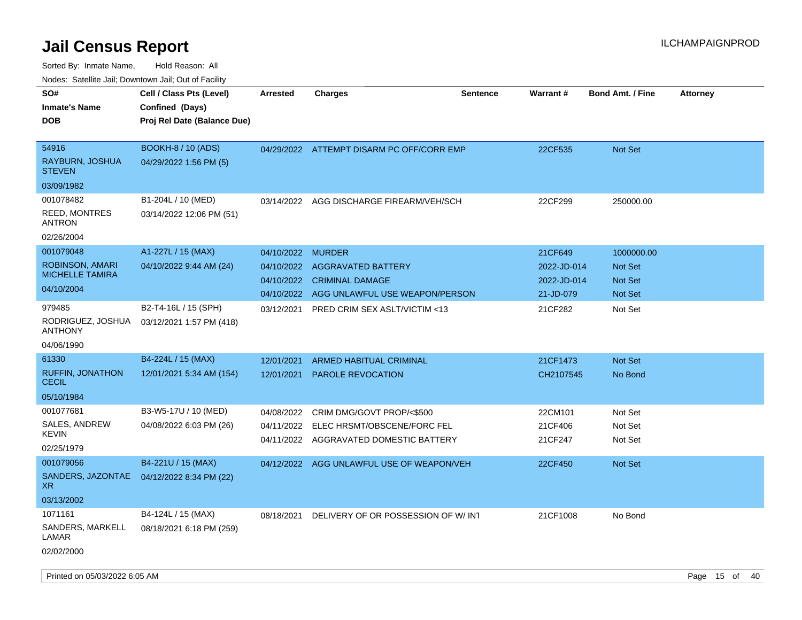| rouco. Calcillo Jali, Downtown Jali, Out of Facility |                                                                            |                 |                                           |                 |             |                         |                 |
|------------------------------------------------------|----------------------------------------------------------------------------|-----------------|-------------------------------------------|-----------------|-------------|-------------------------|-----------------|
| SO#<br><b>Inmate's Name</b><br><b>DOB</b>            | Cell / Class Pts (Level)<br>Confined (Days)<br>Proj Rel Date (Balance Due) | <b>Arrested</b> | Charges                                   | <b>Sentence</b> | Warrant#    | <b>Bond Amt. / Fine</b> | <b>Attorney</b> |
|                                                      |                                                                            |                 |                                           |                 |             |                         |                 |
| 54916                                                | <b>BOOKH-8 / 10 (ADS)</b>                                                  |                 | 04/29/2022 ATTEMPT DISARM PC OFF/CORR EMP |                 | 22CF535     | <b>Not Set</b>          |                 |
| RAYBURN, JOSHUA<br>STEVEN                            | 04/29/2022 1:56 PM (5)                                                     |                 |                                           |                 |             |                         |                 |
| 03/09/1982                                           |                                                                            |                 |                                           |                 |             |                         |                 |
| 001078482                                            | B1-204L / 10 (MED)                                                         |                 | 03/14/2022 AGG DISCHARGE FIREARM/VEH/SCH  |                 | 22CF299     | 250000.00               |                 |
| <b>REED, MONTRES</b><br>ANTRON                       | 03/14/2022 12:06 PM (51)                                                   |                 |                                           |                 |             |                         |                 |
| 02/26/2004                                           |                                                                            |                 |                                           |                 |             |                         |                 |
| 001079048                                            | A1-227L / 15 (MAX)                                                         | 04/10/2022      | <b>MURDER</b>                             |                 | 21CF649     | 1000000.00              |                 |
| <b>ROBINSON, AMARI</b>                               | 04/10/2022 9:44 AM (24)                                                    | 04/10/2022      | <b>AGGRAVATED BATTERY</b>                 |                 | 2022-JD-014 | <b>Not Set</b>          |                 |
| <b>MICHELLE TAMIRA</b>                               |                                                                            | 04/10/2022      | <b>CRIMINAL DAMAGE</b>                    |                 | 2022-JD-014 | <b>Not Set</b>          |                 |
| 04/10/2004                                           |                                                                            | 04/10/2022      | AGG UNLAWFUL USE WEAPON/PERSON            |                 | 21-JD-079   | <b>Not Set</b>          |                 |
| 979485                                               | B2-T4-16L / 15 (SPH)                                                       | 03/12/2021      | <b>PRED CRIM SEX ASLT/VICTIM &lt;13</b>   |                 | 21CF282     | Not Set                 |                 |
| RODRIGUEZ, JOSHUA<br><b>ANTHONY</b>                  | 03/12/2021 1:57 PM (418)                                                   |                 |                                           |                 |             |                         |                 |
| 04/06/1990                                           |                                                                            |                 |                                           |                 |             |                         |                 |
| 61330                                                | B4-224L / 15 (MAX)                                                         | 12/01/2021      | <b>ARMED HABITUAL CRIMINAL</b>            |                 | 21CF1473    | <b>Not Set</b>          |                 |
| <b>RUFFIN, JONATHON</b><br>CECIL                     | 12/01/2021 5:34 AM (154)                                                   | 12/01/2021      | <b>PAROLE REVOCATION</b>                  |                 | CH2107545   | No Bond                 |                 |
| 05/10/1984                                           |                                                                            |                 |                                           |                 |             |                         |                 |
| 001077681                                            | B3-W5-17U / 10 (MED)                                                       | 04/08/2022      | CRIM DMG/GOVT PROP/<\$500                 |                 | 22CM101     | Not Set                 |                 |
| SALES, ANDREW                                        | 04/08/2022 6:03 PM (26)                                                    | 04/11/2022      | ELEC HRSMT/OBSCENE/FORC FEL               |                 | 21CF406     | Not Set                 |                 |
| KEVIN                                                |                                                                            | 04/11/2022      | AGGRAVATED DOMESTIC BATTERY               |                 | 21CF247     | Not Set                 |                 |
| 02/25/1979                                           |                                                                            |                 |                                           |                 |             |                         |                 |
| 001079056                                            | B4-221U / 15 (MAX)                                                         |                 | 04/12/2022 AGG UNLAWFUL USE OF WEAPON/VEH |                 | 22CF450     | <b>Not Set</b>          |                 |
| XR.                                                  | SANDERS, JAZONTAE 04/12/2022 8:34 PM (22)                                  |                 |                                           |                 |             |                         |                 |
| 03/13/2002                                           |                                                                            |                 |                                           |                 |             |                         |                 |
| 1071161                                              | B4-124L / 15 (MAX)                                                         | 08/18/2021      | DELIVERY OF OR POSSESSION OF W/INT        |                 | 21CF1008    | No Bond                 |                 |
| SANDERS, MARKELL<br>LAMAR                            | 08/18/2021 6:18 PM (259)                                                   |                 |                                           |                 |             |                         |                 |
| 02/02/2000                                           |                                                                            |                 |                                           |                 |             |                         |                 |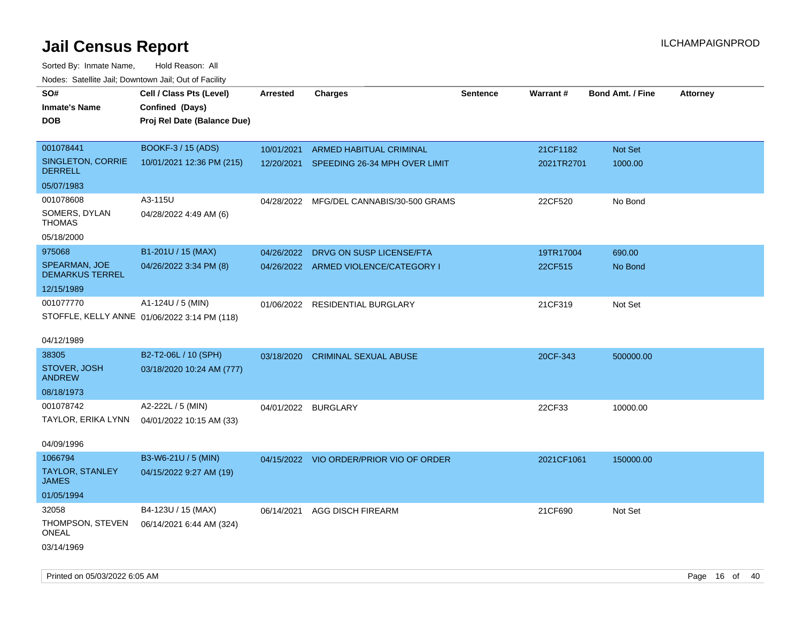| rouco. Calcinic Jan, Downtown Jan, Out of Facility |                                              |                 |                                          |                 |            |                         |                 |
|----------------------------------------------------|----------------------------------------------|-----------------|------------------------------------------|-----------------|------------|-------------------------|-----------------|
| SO#                                                | Cell / Class Pts (Level)                     | <b>Arrested</b> | Charges                                  | <b>Sentence</b> | Warrant#   | <b>Bond Amt. / Fine</b> | <b>Attorney</b> |
| Inmate's Name                                      | Confined (Days)                              |                 |                                          |                 |            |                         |                 |
| <b>DOB</b>                                         | Proj Rel Date (Balance Due)                  |                 |                                          |                 |            |                         |                 |
|                                                    |                                              |                 |                                          |                 |            |                         |                 |
| 001078441                                          | BOOKF-3 / 15 (ADS)                           | 10/01/2021      | ARMED HABITUAL CRIMINAL                  |                 | 21CF1182   | Not Set                 |                 |
| SINGLETON, CORRIE<br><b>DERRELL</b>                | 10/01/2021 12:36 PM (215)                    |                 | 12/20/2021 SPEEDING 26-34 MPH OVER LIMIT |                 | 2021TR2701 | 1000.00                 |                 |
| 05/07/1983                                         |                                              |                 |                                          |                 |            |                         |                 |
| 001078608                                          | A3-115U                                      |                 | 04/28/2022 MFG/DEL CANNABIS/30-500 GRAMS |                 | 22CF520    | No Bond                 |                 |
| SOMERS, DYLAN<br>THOMAS                            | 04/28/2022 4:49 AM (6)                       |                 |                                          |                 |            |                         |                 |
| 05/18/2000                                         |                                              |                 |                                          |                 |            |                         |                 |
| 975068                                             | B1-201U / 15 (MAX)                           |                 | 04/26/2022 DRVG ON SUSP LICENSE/FTA      |                 | 19TR17004  | 690.00                  |                 |
| SPEARMAN, JOE<br><b>DEMARKUS TERREL</b>            | 04/26/2022 3:34 PM (8)                       |                 | 04/26/2022 ARMED VIOLENCE/CATEGORY I     |                 | 22CF515    | No Bond                 |                 |
| 12/15/1989                                         |                                              |                 |                                          |                 |            |                         |                 |
| 001077770                                          | A1-124U / 5 (MIN)                            |                 | 01/06/2022 RESIDENTIAL BURGLARY          |                 | 21CF319    | Not Set                 |                 |
|                                                    | STOFFLE, KELLY ANNE 01/06/2022 3:14 PM (118) |                 |                                          |                 |            |                         |                 |
| 04/12/1989                                         |                                              |                 |                                          |                 |            |                         |                 |
| 38305                                              | B2-T2-06L / 10 (SPH)                         |                 | 03/18/2020 CRIMINAL SEXUAL ABUSE         |                 | 20CF-343   | 500000.00               |                 |
| STOVER, JOSH<br><b>ANDREW</b>                      | 03/18/2020 10:24 AM (777)                    |                 |                                          |                 |            |                         |                 |
| 08/18/1973                                         |                                              |                 |                                          |                 |            |                         |                 |
| 001078742                                          | A2-222L / 5 (MIN)                            |                 | 04/01/2022 BURGLARY                      |                 | 22CF33     | 10000.00                |                 |
|                                                    | TAYLOR, ERIKA LYNN 04/01/2022 10:15 AM (33)  |                 |                                          |                 |            |                         |                 |
|                                                    |                                              |                 |                                          |                 |            |                         |                 |
| 04/09/1996                                         |                                              |                 |                                          |                 |            |                         |                 |
| 1066794                                            | B3-W6-21U / 5 (MIN)                          |                 | 04/15/2022 VIO ORDER/PRIOR VIO OF ORDER  |                 | 2021CF1061 | 150000.00               |                 |
| TAYLOR, STANLEY<br>JAMES                           | 04/15/2022 9:27 AM (19)                      |                 |                                          |                 |            |                         |                 |
| 01/05/1994                                         |                                              |                 |                                          |                 |            |                         |                 |
| 32058                                              | B4-123U / 15 (MAX)                           | 06/14/2021      | AGG DISCH FIREARM                        |                 | 21CF690    | Not Set                 |                 |
| THOMPSON, STEVEN<br>ONEAL                          | 06/14/2021 6:44 AM (324)                     |                 |                                          |                 |            |                         |                 |
| 03/14/1969                                         |                                              |                 |                                          |                 |            |                         |                 |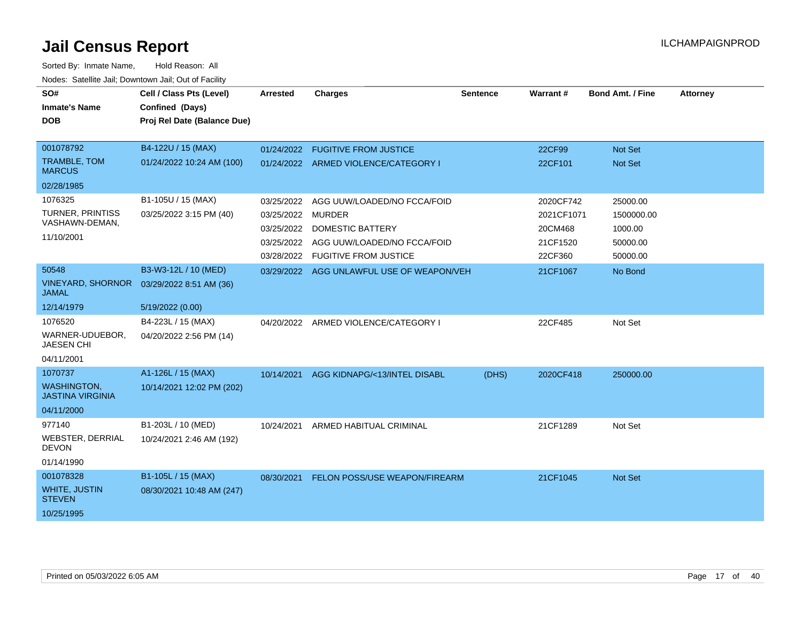| SO#<br><b>Inmate's Name</b><br><b>DOB</b>                              | Cell / Class Pts (Level)<br>Confined (Days)<br>Proj Rel Date (Balance Due) | <b>Arrested</b>                                                    | <b>Charges</b>                                                                                                                         | <b>Sentence</b> | Warrant#                                                  | <b>Bond Amt. / Fine</b>                                   | <b>Attorney</b> |
|------------------------------------------------------------------------|----------------------------------------------------------------------------|--------------------------------------------------------------------|----------------------------------------------------------------------------------------------------------------------------------------|-----------------|-----------------------------------------------------------|-----------------------------------------------------------|-----------------|
| 001078792<br><b>TRAMBLE, TOM</b><br><b>MARCUS</b><br>02/28/1985        | B4-122U / 15 (MAX)<br>01/24/2022 10:24 AM (100)                            | 01/24/2022                                                         | <b>FUGITIVE FROM JUSTICE</b><br>01/24/2022 ARMED VIOLENCE/CATEGORY I                                                                   |                 | 22CF99<br>22CF101                                         | <b>Not Set</b><br>Not Set                                 |                 |
| 1076325<br>TURNER, PRINTISS<br>VASHAWN-DEMAN,<br>11/10/2001            | B1-105U / 15 (MAX)<br>03/25/2022 3:15 PM (40)                              | 03/25/2022<br>03/25/2022<br>03/25/2022<br>03/25/2022<br>03/28/2022 | AGG UUW/LOADED/NO FCCA/FOID<br><b>MURDER</b><br><b>DOMESTIC BATTERY</b><br>AGG UUW/LOADED/NO FCCA/FOID<br><b>FUGITIVE FROM JUSTICE</b> |                 | 2020CF742<br>2021CF1071<br>20CM468<br>21CF1520<br>22CF360 | 25000.00<br>1500000.00<br>1000.00<br>50000.00<br>50000.00 |                 |
| 50548<br><b>VINEYARD, SHORNOR</b><br><b>JAMAL</b><br>12/14/1979        | B3-W3-12L / 10 (MED)<br>03/29/2022 8:51 AM (36)<br>5/19/2022 (0.00)        |                                                                    | 03/29/2022 AGG UNLAWFUL USE OF WEAPON/VEH                                                                                              |                 | 21CF1067                                                  | No Bond                                                   |                 |
| 1076520<br>WARNER-UDUEBOR,<br><b>JAESEN CHI</b><br>04/11/2001          | B4-223L / 15 (MAX)<br>04/20/2022 2:56 PM (14)                              |                                                                    | 04/20/2022 ARMED VIOLENCE/CATEGORY I                                                                                                   |                 | 22CF485                                                   | Not Set                                                   |                 |
| 1070737<br><b>WASHINGTON,</b><br><b>JASTINA VIRGINIA</b><br>04/11/2000 | A1-126L / 15 (MAX)<br>10/14/2021 12:02 PM (202)                            | 10/14/2021                                                         | AGG KIDNAPG/<13/INTEL DISABL                                                                                                           | (DHS)           | 2020CF418                                                 | 250000.00                                                 |                 |
| 977140<br><b>WEBSTER, DERRIAL</b><br><b>DEVON</b><br>01/14/1990        | B1-203L / 10 (MED)<br>10/24/2021 2:46 AM (192)                             | 10/24/2021                                                         | ARMED HABITUAL CRIMINAL                                                                                                                |                 | 21CF1289                                                  | Not Set                                                   |                 |
| 001078328<br><b>WHITE, JUSTIN</b><br><b>STEVEN</b><br>10/25/1995       | B1-105L / 15 (MAX)<br>08/30/2021 10:48 AM (247)                            | 08/30/2021                                                         | FELON POSS/USE WEAPON/FIREARM                                                                                                          |                 | 21CF1045                                                  | Not Set                                                   |                 |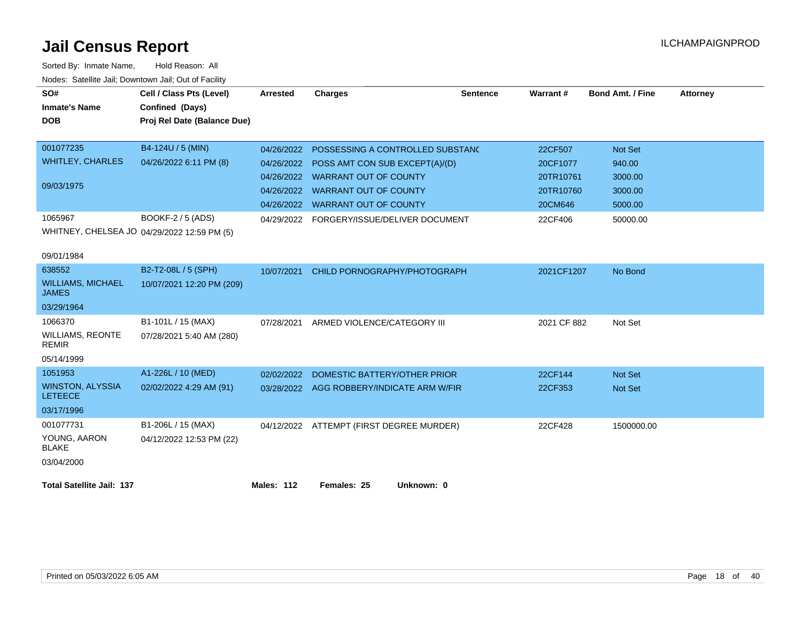| SO#<br><b>Inmate's Name</b><br><b>DOB</b> | Cell / Class Pts (Level)<br>Confined (Days)<br>Proj Rel Date (Balance Due) | <b>Arrested</b>   | <b>Charges</b>                            | <b>Sentence</b> | Warrant#    | <b>Bond Amt. / Fine</b> | <b>Attorney</b> |
|-------------------------------------------|----------------------------------------------------------------------------|-------------------|-------------------------------------------|-----------------|-------------|-------------------------|-----------------|
| 001077235                                 | B4-124U / 5 (MIN)                                                          | 04/26/2022        | POSSESSING A CONTROLLED SUBSTAND          |                 | 22CF507     | <b>Not Set</b>          |                 |
| <b>WHITLEY, CHARLES</b>                   | 04/26/2022 6:11 PM (8)                                                     | 04/26/2022        | POSS AMT CON SUB EXCEPT(A)/(D)            |                 | 20CF1077    | 940.00                  |                 |
|                                           |                                                                            |                   | 04/26/2022 WARRANT OUT OF COUNTY          |                 | 20TR10761   | 3000.00                 |                 |
| 09/03/1975                                |                                                                            | 04/26/2022        | <b>WARRANT OUT OF COUNTY</b>              |                 | 20TR10760   | 3000.00                 |                 |
|                                           |                                                                            | 04/26/2022        | <b>WARRANT OUT OF COUNTY</b>              |                 | 20CM646     | 5000.00                 |                 |
| 1065967                                   | BOOKF-2 / 5 (ADS)                                                          |                   | 04/29/2022 FORGERY/ISSUE/DELIVER DOCUMENT |                 | 22CF406     | 50000.00                |                 |
| 09/01/1984                                | WHITNEY, CHELSEA JO 04/29/2022 12:59 PM (5)                                |                   |                                           |                 |             |                         |                 |
| 638552                                    | B2-T2-08L / 5 (SPH)                                                        | 10/07/2021        | CHILD PORNOGRAPHY/PHOTOGRAPH              |                 | 2021CF1207  | No Bond                 |                 |
| <b>WILLIAMS, MICHAEL</b><br><b>JAMES</b>  | 10/07/2021 12:20 PM (209)                                                  |                   |                                           |                 |             |                         |                 |
| 03/29/1964                                |                                                                            |                   |                                           |                 |             |                         |                 |
| 1066370                                   | B1-101L / 15 (MAX)                                                         | 07/28/2021        | ARMED VIOLENCE/CATEGORY III               |                 | 2021 CF 882 | Not Set                 |                 |
| <b>WILLIAMS, REONTE</b><br><b>REMIR</b>   | 07/28/2021 5:40 AM (280)                                                   |                   |                                           |                 |             |                         |                 |
| 05/14/1999                                |                                                                            |                   |                                           |                 |             |                         |                 |
| 1051953                                   | A1-226L / 10 (MED)                                                         | 02/02/2022        | DOMESTIC BATTERY/OTHER PRIOR              |                 | 22CF144     | <b>Not Set</b>          |                 |
| <b>WINSTON, ALYSSIA</b><br><b>LETEECE</b> | 02/02/2022 4:29 AM (91)                                                    |                   | 03/28/2022 AGG ROBBERY/INDICATE ARM W/FIR |                 | 22CF353     | <b>Not Set</b>          |                 |
| 03/17/1996                                |                                                                            |                   |                                           |                 |             |                         |                 |
| 001077731                                 | B1-206L / 15 (MAX)                                                         |                   | 04/12/2022 ATTEMPT (FIRST DEGREE MURDER)  |                 | 22CF428     | 1500000.00              |                 |
| YOUNG, AARON<br><b>BLAKE</b>              | 04/12/2022 12:53 PM (22)                                                   |                   |                                           |                 |             |                         |                 |
| 03/04/2000                                |                                                                            |                   |                                           |                 |             |                         |                 |
| <b>Total Satellite Jail: 137</b>          |                                                                            | <b>Males: 112</b> | Females: 25<br>Unknown: 0                 |                 |             |                         |                 |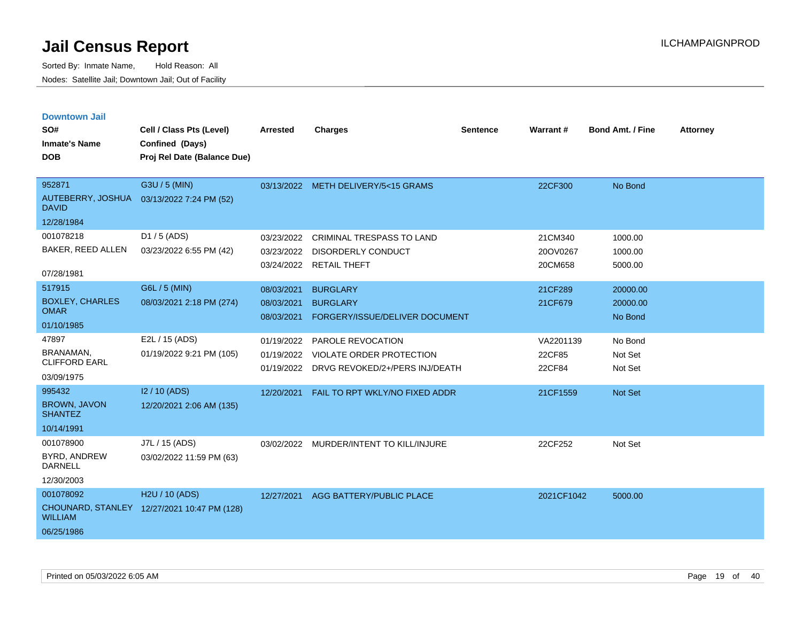| <b>Downtown Jail</b>                  |                                             |                          |                                                   |                 |                 |                         |                 |
|---------------------------------------|---------------------------------------------|--------------------------|---------------------------------------------------|-----------------|-----------------|-------------------------|-----------------|
| SO#                                   | Cell / Class Pts (Level)                    | <b>Arrested</b>          | <b>Charges</b>                                    | <b>Sentence</b> | <b>Warrant#</b> | <b>Bond Amt. / Fine</b> | <b>Attorney</b> |
| <b>Inmate's Name</b>                  | Confined (Days)                             |                          |                                                   |                 |                 |                         |                 |
| <b>DOB</b>                            | Proj Rel Date (Balance Due)                 |                          |                                                   |                 |                 |                         |                 |
|                                       |                                             |                          |                                                   |                 |                 |                         |                 |
| 952871                                | G3U / 5 (MIN)                               |                          | 03/13/2022 METH DELIVERY/5<15 GRAMS               |                 | 22CF300         | No Bond                 |                 |
| <b>DAVID</b>                          | AUTEBERRY, JOSHUA 03/13/2022 7:24 PM (52)   |                          |                                                   |                 |                 |                         |                 |
| 12/28/1984                            |                                             |                          |                                                   |                 |                 |                         |                 |
| 001078218                             | D1 / 5 (ADS)                                | 03/23/2022               | <b>CRIMINAL TRESPASS TO LAND</b>                  |                 | 21CM340         | 1000.00                 |                 |
| BAKER, REED ALLEN                     | 03/23/2022 6:55 PM (42)                     | 03/23/2022               | <b>DISORDERLY CONDUCT</b>                         |                 | 20OV0267        | 1000.00                 |                 |
| 07/28/1981                            |                                             |                          | 03/24/2022 RETAIL THEFT                           |                 | 20CM658         | 5000.00                 |                 |
| 517915                                | G6L / 5 (MIN)                               | 08/03/2021               | <b>BURGLARY</b>                                   |                 | 21CF289         | 20000.00                |                 |
| <b>BOXLEY, CHARLES</b><br><b>OMAR</b> | 08/03/2021 2:18 PM (274)                    | 08/03/2021<br>08/03/2021 | <b>BURGLARY</b><br>FORGERY/ISSUE/DELIVER DOCUMENT |                 | 21CF679         | 20000.00<br>No Bond     |                 |
| 01/10/1985                            |                                             |                          |                                                   |                 |                 |                         |                 |
| 47897                                 | E2L / 15 (ADS)                              | 01/19/2022               | PAROLE REVOCATION                                 |                 | VA2201139       | No Bond                 |                 |
| BRANAMAN,<br><b>CLIFFORD EARL</b>     | 01/19/2022 9:21 PM (105)                    | 01/19/2022               | VIOLATE ORDER PROTECTION                          |                 | 22CF85          | Not Set                 |                 |
| 03/09/1975                            |                                             |                          | 01/19/2022 DRVG REVOKED/2+/PERS INJ/DEATH         |                 | 22CF84          | Not Set                 |                 |
| 995432                                | I2 / 10 (ADS)                               | 12/20/2021               | FAIL TO RPT WKLY/NO FIXED ADDR                    |                 | 21CF1559        | <b>Not Set</b>          |                 |
| <b>BROWN, JAVON</b><br><b>SHANTEZ</b> | 12/20/2021 2:06 AM (135)                    |                          |                                                   |                 |                 |                         |                 |
| 10/14/1991                            |                                             |                          |                                                   |                 |                 |                         |                 |
| 001078900                             | J7L / 15 (ADS)                              |                          | 03/02/2022 MURDER/INTENT TO KILL/INJURE           |                 | 22CF252         | Not Set                 |                 |
| BYRD, ANDREW<br><b>DARNELL</b>        | 03/02/2022 11:59 PM (63)                    |                          |                                                   |                 |                 |                         |                 |
| 12/30/2003                            |                                             |                          |                                                   |                 |                 |                         |                 |
| 001078092                             | H2U / 10 (ADS)                              |                          | 12/27/2021 AGG BATTERY/PUBLIC PLACE               |                 | 2021CF1042      | 5000.00                 |                 |
| <b>WILLIAM</b>                        | CHOUNARD, STANLEY 12/27/2021 10:47 PM (128) |                          |                                                   |                 |                 |                         |                 |
| 06/25/1986                            |                                             |                          |                                                   |                 |                 |                         |                 |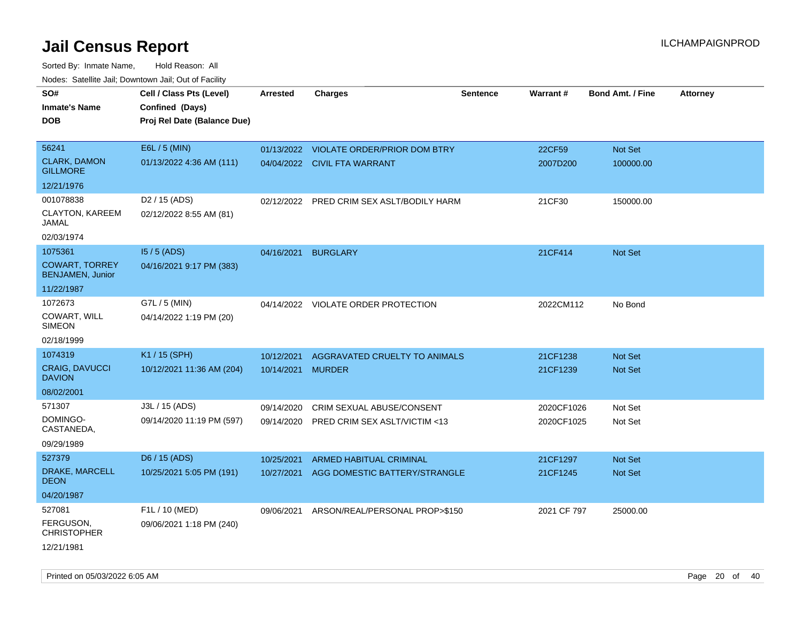| SO#<br><b>Inmate's Name</b>                      | Cell / Class Pts (Level)<br>Confined (Days) | <b>Arrested</b> | <b>Charges</b>                            | Sentence | Warrant#    | <b>Bond Amt. / Fine</b> | <b>Attorney</b> |
|--------------------------------------------------|---------------------------------------------|-----------------|-------------------------------------------|----------|-------------|-------------------------|-----------------|
| <b>DOB</b>                                       | Proj Rel Date (Balance Due)                 |                 |                                           |          |             |                         |                 |
|                                                  |                                             |                 |                                           |          |             |                         |                 |
| 56241                                            | E6L / 5 (MIN)                               |                 | 01/13/2022 VIOLATE ORDER/PRIOR DOM BTRY   |          | 22CF59      | Not Set                 |                 |
| <b>CLARK, DAMON</b><br><b>GILLMORE</b>           | 01/13/2022 4:36 AM (111)                    |                 | 04/04/2022 CIVIL FTA WARRANT              |          | 2007D200    | 100000.00               |                 |
| 12/21/1976                                       |                                             |                 |                                           |          |             |                         |                 |
| 001078838                                        | D <sub>2</sub> / 15 (ADS)                   |                 | 02/12/2022 PRED CRIM SEX ASLT/BODILY HARM |          | 21CF30      | 150000.00               |                 |
| CLAYTON, KAREEM<br>JAMAL                         | 02/12/2022 8:55 AM (81)                     |                 |                                           |          |             |                         |                 |
| 02/03/1974                                       |                                             |                 |                                           |          |             |                         |                 |
| 1075361                                          | $15/5$ (ADS)                                | 04/16/2021      | <b>BURGLARY</b>                           |          | 21CF414     | <b>Not Set</b>          |                 |
| <b>COWART, TORREY</b><br><b>BENJAMEN, Junior</b> | 04/16/2021 9:17 PM (383)                    |                 |                                           |          |             |                         |                 |
| 11/22/1987                                       |                                             |                 |                                           |          |             |                         |                 |
| 1072673                                          | G7L / 5 (MIN)                               |                 | 04/14/2022 VIOLATE ORDER PROTECTION       |          | 2022CM112   | No Bond                 |                 |
| COWART, WILL<br><b>SIMEON</b>                    | 04/14/2022 1:19 PM (20)                     |                 |                                           |          |             |                         |                 |
| 02/18/1999                                       |                                             |                 |                                           |          |             |                         |                 |
| 1074319                                          | K1 / 15 (SPH)                               | 10/12/2021      | AGGRAVATED CRUELTY TO ANIMALS             |          | 21CF1238    | <b>Not Set</b>          |                 |
| CRAIG, DAVUCCI<br><b>DAVION</b>                  | 10/12/2021 11:36 AM (204)                   | 10/14/2021      | <b>MURDER</b>                             |          | 21CF1239    | Not Set                 |                 |
| 08/02/2001                                       |                                             |                 |                                           |          |             |                         |                 |
| 571307                                           | J3L / 15 (ADS)                              | 09/14/2020      | CRIM SEXUAL ABUSE/CONSENT                 |          | 2020CF1026  | Not Set                 |                 |
| DOMINGO-<br>CASTANEDA,                           | 09/14/2020 11:19 PM (597)                   | 09/14/2020      | PRED CRIM SEX ASLT/VICTIM <13             |          | 2020CF1025  | Not Set                 |                 |
| 09/29/1989                                       |                                             |                 |                                           |          |             |                         |                 |
| 527379                                           | D6 / 15 (ADS)                               | 10/25/2021      | <b>ARMED HABITUAL CRIMINAL</b>            |          | 21CF1297    | <b>Not Set</b>          |                 |
| DRAKE, MARCELL<br><b>DEON</b>                    | 10/25/2021 5:05 PM (191)                    | 10/27/2021      | AGG DOMESTIC BATTERY/STRANGLE             |          | 21CF1245    | <b>Not Set</b>          |                 |
| 04/20/1987                                       |                                             |                 |                                           |          |             |                         |                 |
| 527081                                           | F1L / 10 (MED)                              | 09/06/2021      | ARSON/REAL/PERSONAL PROP>\$150            |          | 2021 CF 797 | 25000.00                |                 |
| FERGUSON,<br><b>CHRISTOPHER</b>                  | 09/06/2021 1:18 PM (240)                    |                 |                                           |          |             |                         |                 |
| 12/21/1981                                       |                                             |                 |                                           |          |             |                         |                 |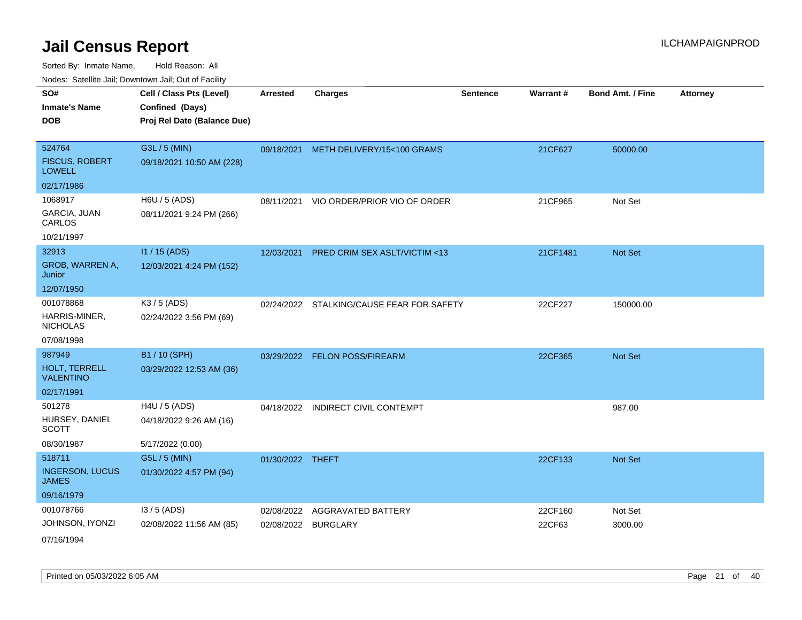Sorted By: Inmate Name, Hold Reason: All Nodes: Satellite Jail; Downtown Jail; Out of Facility

| indues. Satellite Jali, Downtown Jali, Out of Facility |                             |                  |                                           |                 |          |                         |                 |
|--------------------------------------------------------|-----------------------------|------------------|-------------------------------------------|-----------------|----------|-------------------------|-----------------|
| SO#                                                    | Cell / Class Pts (Level)    | <b>Arrested</b>  | <b>Charges</b>                            | <b>Sentence</b> | Warrant# | <b>Bond Amt. / Fine</b> | <b>Attorney</b> |
| <b>Inmate's Name</b>                                   | Confined (Days)             |                  |                                           |                 |          |                         |                 |
| <b>DOB</b>                                             | Proj Rel Date (Balance Due) |                  |                                           |                 |          |                         |                 |
|                                                        |                             |                  |                                           |                 |          |                         |                 |
| 524764                                                 | G3L / 5 (MIN)               |                  | 09/18/2021 METH DELIVERY/15<100 GRAMS     |                 | 21CF627  | 50000.00                |                 |
| <b>FISCUS, ROBERT</b><br><b>LOWELL</b>                 | 09/18/2021 10:50 AM (228)   |                  |                                           |                 |          |                         |                 |
| 02/17/1986                                             |                             |                  |                                           |                 |          |                         |                 |
| 1068917                                                | H6U / 5 (ADS)               | 08/11/2021       | VIO ORDER/PRIOR VIO OF ORDER              |                 | 21CF965  | Not Set                 |                 |
| GARCIA, JUAN<br>CARLOS                                 | 08/11/2021 9:24 PM (266)    |                  |                                           |                 |          |                         |                 |
| 10/21/1997                                             |                             |                  |                                           |                 |          |                         |                 |
| 32913                                                  | I1 / 15 (ADS)               |                  | 12/03/2021 PRED CRIM SEX ASLT/VICTIM <13  |                 | 21CF1481 | Not Set                 |                 |
| GROB, WARREN A,<br>Junior                              | 12/03/2021 4:24 PM (152)    |                  |                                           |                 |          |                         |                 |
| 12/07/1950                                             |                             |                  |                                           |                 |          |                         |                 |
| 001078868                                              | K3 / 5 (ADS)                |                  | 02/24/2022 STALKING/CAUSE FEAR FOR SAFETY |                 | 22CF227  | 150000.00               |                 |
| HARRIS-MINER,<br><b>NICHOLAS</b>                       | 02/24/2022 3:56 PM (69)     |                  |                                           |                 |          |                         |                 |
| 07/08/1998                                             |                             |                  |                                           |                 |          |                         |                 |
| 987949                                                 | B1 / 10 (SPH)               |                  | 03/29/2022 FELON POSS/FIREARM             |                 | 22CF365  | Not Set                 |                 |
| HOLT, TERRELL<br><b>VALENTINO</b>                      | 03/29/2022 12:53 AM (36)    |                  |                                           |                 |          |                         |                 |
| 02/17/1991                                             |                             |                  |                                           |                 |          |                         |                 |
| 501278                                                 | $H4U / 5$ (ADS)             | 04/18/2022       | <b>INDIRECT CIVIL CONTEMPT</b>            |                 |          | 987.00                  |                 |
| HURSEY, DANIEL<br><b>SCOTT</b>                         | 04/18/2022 9:26 AM (16)     |                  |                                           |                 |          |                         |                 |
| 08/30/1987                                             | 5/17/2022 (0.00)            |                  |                                           |                 |          |                         |                 |
| 518711                                                 | G5L / 5 (MIN)               | 01/30/2022 THEFT |                                           |                 | 22CF133  | Not Set                 |                 |
| <b>INGERSON, LUCUS</b><br><b>JAMES</b>                 | 01/30/2022 4:57 PM (94)     |                  |                                           |                 |          |                         |                 |
| 09/16/1979                                             |                             |                  |                                           |                 |          |                         |                 |
| 001078766                                              | $13/5$ (ADS)                | 02/08/2022       | <b>AGGRAVATED BATTERY</b>                 |                 | 22CF160  | Not Set                 |                 |
| JOHNSON, IYONZI                                        | 02/08/2022 11:56 AM (85)    |                  | 02/08/2022 BURGLARY                       |                 | 22CF63   | 3000.00                 |                 |
| 07/16/1994                                             |                             |                  |                                           |                 |          |                         |                 |

Printed on 05/03/2022 6:05 AM Page 21 of 40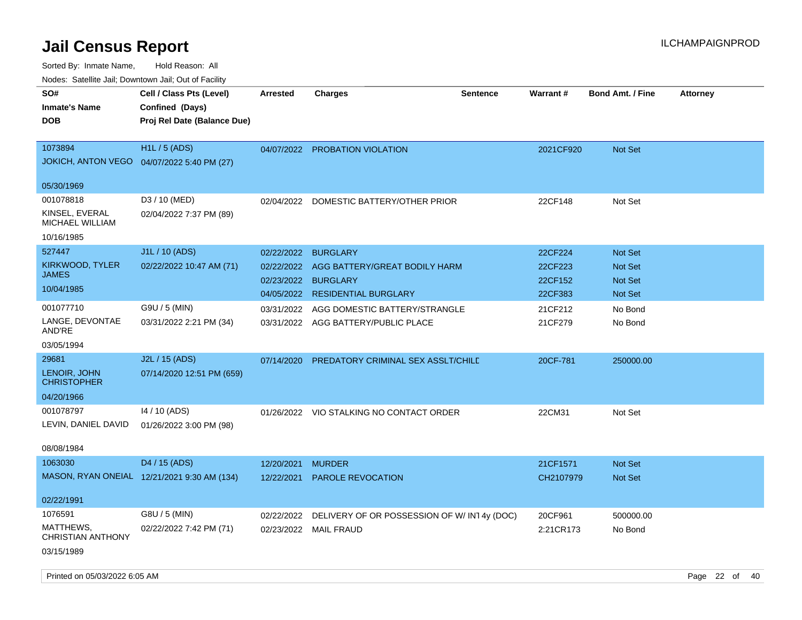| indues. Saleinte Jail, Downtown Jail, Out of Facility |                                             |            |                                            |                 |           |                         |                 |
|-------------------------------------------------------|---------------------------------------------|------------|--------------------------------------------|-----------------|-----------|-------------------------|-----------------|
| SO#                                                   | Cell / Class Pts (Level)                    | Arrested   | <b>Charges</b>                             | <b>Sentence</b> | Warrant#  | <b>Bond Amt. / Fine</b> | <b>Attorney</b> |
| <b>Inmate's Name</b>                                  | Confined (Days)                             |            |                                            |                 |           |                         |                 |
| <b>DOB</b>                                            | Proj Rel Date (Balance Due)                 |            |                                            |                 |           |                         |                 |
|                                                       |                                             |            |                                            |                 |           |                         |                 |
| 1073894                                               | <b>H1L/5 (ADS)</b>                          |            | 04/07/2022 PROBATION VIOLATION             |                 | 2021CF920 | <b>Not Set</b>          |                 |
|                                                       | JOKICH, ANTON VEGO  04/07/2022 5:40 PM (27) |            |                                            |                 |           |                         |                 |
|                                                       |                                             |            |                                            |                 |           |                         |                 |
| 05/30/1969                                            |                                             |            |                                            |                 |           |                         |                 |
| 001078818                                             | D3 / 10 (MED)                               | 02/04/2022 | DOMESTIC BATTERY/OTHER PRIOR               |                 | 22CF148   | Not Set                 |                 |
| KINSEL, EVERAL<br>MICHAEL WILLIAM                     | 02/04/2022 7:37 PM (89)                     |            |                                            |                 |           |                         |                 |
| 10/16/1985                                            |                                             |            |                                            |                 |           |                         |                 |
| 527447                                                | J1L / 10 (ADS)                              | 02/22/2022 | <b>BURGLARY</b>                            |                 | 22CF224   | <b>Not Set</b>          |                 |
| KIRKWOOD, TYLER                                       | 02/22/2022 10:47 AM (71)                    | 02/22/2022 | AGG BATTERY/GREAT BODILY HARM              |                 | 22CF223   | <b>Not Set</b>          |                 |
| <b>JAMES</b>                                          |                                             | 02/23/2022 | <b>BURGLARY</b>                            |                 | 22CF152   | <b>Not Set</b>          |                 |
| 10/04/1985                                            |                                             | 04/05/2022 | <b>RESIDENTIAL BURGLARY</b>                |                 | 22CF383   | Not Set                 |                 |
| 001077710                                             | G9U / 5 (MIN)                               | 03/31/2022 | AGG DOMESTIC BATTERY/STRANGLE              |                 | 21CF212   | No Bond                 |                 |
| LANGE, DEVONTAE                                       | 03/31/2022 2:21 PM (34)                     |            | 03/31/2022 AGG BATTERY/PUBLIC PLACE        |                 | 21CF279   | No Bond                 |                 |
| AND'RE                                                |                                             |            |                                            |                 |           |                         |                 |
| 03/05/1994                                            |                                             |            |                                            |                 |           |                         |                 |
| 29681                                                 | J2L / 15 (ADS)                              | 07/14/2020 | PREDATORY CRIMINAL SEX ASSLT/CHILD         |                 | 20CF-781  | 250000.00               |                 |
| LENOIR, JOHN<br><b>CHRISTOPHER</b>                    | 07/14/2020 12:51 PM (659)                   |            |                                            |                 |           |                         |                 |
| 04/20/1966                                            |                                             |            |                                            |                 |           |                         |                 |
| 001078797                                             | 14 / 10 (ADS)                               |            | 01/26/2022 VIO STALKING NO CONTACT ORDER   |                 | 22CM31    | Not Set                 |                 |
| LEVIN, DANIEL DAVID                                   | 01/26/2022 3:00 PM (98)                     |            |                                            |                 |           |                         |                 |
|                                                       |                                             |            |                                            |                 |           |                         |                 |
| 08/08/1984                                            |                                             |            |                                            |                 |           |                         |                 |
| 1063030                                               | D4 / 15 (ADS)                               | 12/20/2021 | <b>MURDER</b>                              |                 | 21CF1571  | <b>Not Set</b>          |                 |
|                                                       | MASON, RYAN ONEIAL 12/21/2021 9:30 AM (134) | 12/22/2021 | <b>PAROLE REVOCATION</b>                   |                 | CH2107979 | <b>Not Set</b>          |                 |
|                                                       |                                             |            |                                            |                 |           |                         |                 |
| 02/22/1991                                            |                                             |            |                                            |                 |           |                         |                 |
| 1076591                                               | G8U / 5 (MIN)                               | 02/22/2022 | DELIVERY OF OR POSSESSION OF W/IN14y (DOC) |                 | 20CF961   | 500000.00               |                 |
| MATTHEWS,<br><b>CHRISTIAN ANTHONY</b>                 | 02/22/2022 7:42 PM (71)                     |            | 02/23/2022 MAIL FRAUD                      |                 | 2:21CR173 | No Bond                 |                 |
| 03/15/1989                                            |                                             |            |                                            |                 |           |                         |                 |
|                                                       |                                             |            |                                            |                 |           |                         |                 |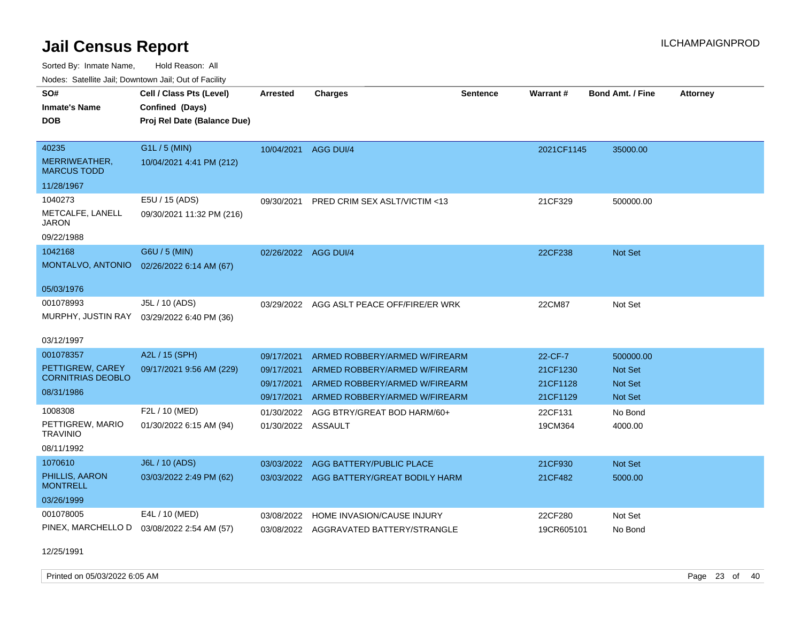Sorted By: Inmate Name, Hold Reason: All

Nodes: Satellite Jail; Downtown Jail; Out of Facility

| SO#                                 | Cell / Class Pts (Level)    | <b>Arrested</b>      | <b>Charges</b>                           | <b>Sentence</b> | <b>Warrant#</b> | <b>Bond Amt. / Fine</b> | <b>Attorney</b> |
|-------------------------------------|-----------------------------|----------------------|------------------------------------------|-----------------|-----------------|-------------------------|-----------------|
| <b>Inmate's Name</b>                | Confined (Days)             |                      |                                          |                 |                 |                         |                 |
| DOB                                 | Proj Rel Date (Balance Due) |                      |                                          |                 |                 |                         |                 |
|                                     |                             |                      |                                          |                 |                 |                         |                 |
| 40235                               | G1L / 5 (MIN)               | 10/04/2021 AGG DUI/4 |                                          |                 | 2021CF1145      | 35000.00                |                 |
| MERRIWEATHER,<br><b>MARCUS TODD</b> | 10/04/2021 4:41 PM (212)    |                      |                                          |                 |                 |                         |                 |
| 11/28/1967                          |                             |                      |                                          |                 |                 |                         |                 |
| 1040273                             | E5U / 15 (ADS)              | 09/30/2021           | PRED CRIM SEX ASLT/VICTIM <13            |                 | 21CF329         | 500000.00               |                 |
| METCALFE, LANELL<br><b>JARON</b>    | 09/30/2021 11:32 PM (216)   |                      |                                          |                 |                 |                         |                 |
| 09/22/1988                          |                             |                      |                                          |                 |                 |                         |                 |
| 1042168                             | G6U / 5 (MIN)               | 02/26/2022 AGG DUI/4 |                                          |                 | 22CF238         | Not Set                 |                 |
| MONTALVO, ANTONIO                   | 02/26/2022 6:14 AM (67)     |                      |                                          |                 |                 |                         |                 |
| 05/03/1976                          |                             |                      |                                          |                 |                 |                         |                 |
| 001078993                           | J5L / 10 (ADS)              | 03/29/2022           | AGG ASLT PEACE OFF/FIRE/ER WRK           |                 | 22CM87          | Not Set                 |                 |
| MURPHY, JUSTIN RAY                  | 03/29/2022 6:40 PM (36)     |                      |                                          |                 |                 |                         |                 |
|                                     |                             |                      |                                          |                 |                 |                         |                 |
| 03/12/1997                          |                             |                      |                                          |                 |                 |                         |                 |
| 001078357                           | A2L / 15 (SPH)              | 09/17/2021           | ARMED ROBBERY/ARMED W/FIREARM            |                 | 22-CF-7         | 500000.00               |                 |
| PETTIGREW, CAREY                    | 09/17/2021 9:56 AM (229)    | 09/17/2021           | ARMED ROBBERY/ARMED W/FIREARM            |                 | 21CF1230        | <b>Not Set</b>          |                 |
| <b>CORNITRIAS DEOBLO</b>            |                             | 09/17/2021           | ARMED ROBBERY/ARMED W/FIREARM            |                 | 21CF1128        | <b>Not Set</b>          |                 |
| 08/31/1986                          |                             | 09/17/2021           | ARMED ROBBERY/ARMED W/FIREARM            |                 | 21CF1129        | <b>Not Set</b>          |                 |
| 1008308                             | F2L / 10 (MED)              | 01/30/2022           | AGG BTRY/GREAT BOD HARM/60+              |                 | 22CF131         | No Bond                 |                 |
| PETTIGREW, MARIO                    | 01/30/2022 6:15 AM (94)     | 01/30/2022 ASSAULT   |                                          |                 | 19CM364         | 4000.00                 |                 |
| <b>TRAVINIO</b>                     |                             |                      |                                          |                 |                 |                         |                 |
| 08/11/1992                          |                             |                      |                                          |                 |                 |                         |                 |
| 1070610                             | J6L / 10 (ADS)              |                      | 03/03/2022 AGG BATTERY/PUBLIC PLACE      |                 | 21CF930         | <b>Not Set</b>          |                 |
| PHILLIS, AARON<br><b>MONTRELL</b>   | 03/03/2022 2:49 PM (62)     |                      | 03/03/2022 AGG BATTERY/GREAT BODILY HARM |                 | 21CF482         | 5000.00                 |                 |
| 03/26/1999                          |                             |                      |                                          |                 |                 |                         |                 |
| 001078005                           | E4L / 10 (MED)              | 03/08/2022           | HOME INVASION/CAUSE INJURY               |                 | 22CF280         | Not Set                 |                 |
| PINEX, MARCHELLO D                  | 03/08/2022 2:54 AM (57)     |                      | 03/08/2022 AGGRAVATED BATTERY/STRANGLE   |                 | 19CR605101      | No Bond                 |                 |
|                                     |                             |                      |                                          |                 |                 |                         |                 |

12/25/1991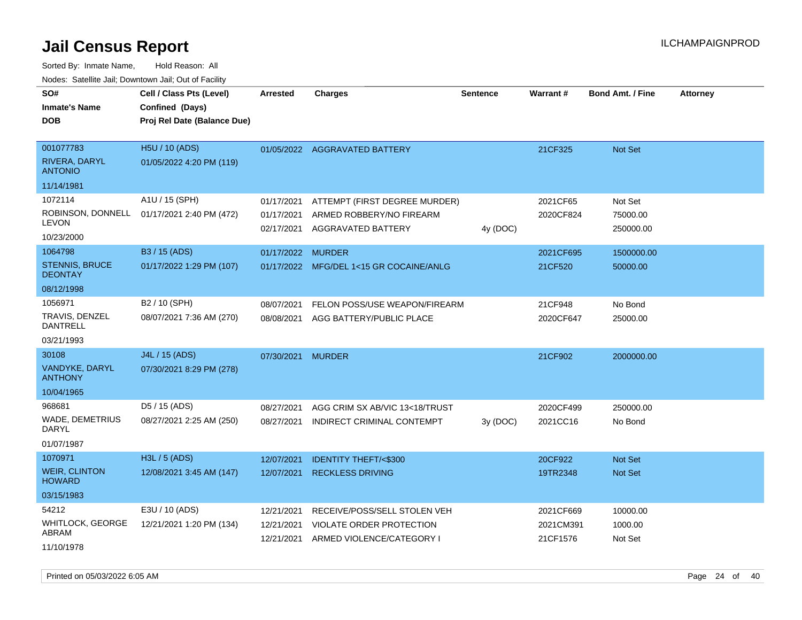Sorted By: Inmate Name, Hold Reason: All Nodes: Satellite Jail; Downtown Jail; Out of Facility

| SO#<br>Inmate's Name<br>DOB                                    | Cell / Class Pts (Level)<br>Confined (Days)<br>Proj Rel Date (Balance Due) | <b>Arrested</b>                        | <b>Charges</b>                                                                               | <b>Sentence</b> | Warrant#                           | <b>Bond Amt. / Fine</b>          | <b>Attorney</b> |
|----------------------------------------------------------------|----------------------------------------------------------------------------|----------------------------------------|----------------------------------------------------------------------------------------------|-----------------|------------------------------------|----------------------------------|-----------------|
| 001077783<br>RIVERA, DARYL<br><b>ANTONIO</b>                   | H5U / 10 (ADS)<br>01/05/2022 4:20 PM (119)                                 |                                        | 01/05/2022 AGGRAVATED BATTERY                                                                |                 | 21CF325                            | Not Set                          |                 |
| 11/14/1981                                                     |                                                                            |                                        |                                                                                              |                 |                                    |                                  |                 |
| 1072114<br><b>LEVON</b><br>10/23/2000                          | A1U / 15 (SPH)<br>ROBINSON, DONNELL 01/17/2021 2:40 PM (472)               | 01/17/2021<br>01/17/2021<br>02/17/2021 | ATTEMPT (FIRST DEGREE MURDER)<br>ARMED ROBBERY/NO FIREARM<br>AGGRAVATED BATTERY              | 4y (DOC)        | 2021CF65<br>2020CF824              | Not Set<br>75000.00<br>250000.00 |                 |
| 1064798                                                        | B3 / 15 (ADS)                                                              | 01/17/2022                             | <b>MURDER</b>                                                                                |                 | 2021CF695                          | 1500000.00                       |                 |
| <b>STENNIS, BRUCE</b><br><b>DEONTAY</b>                        | 01/17/2022 1:29 PM (107)                                                   |                                        | 01/17/2022 MFG/DEL 1<15 GR COCAINE/ANLG                                                      |                 | 21CF520                            | 50000.00                         |                 |
| 08/12/1998                                                     |                                                                            |                                        |                                                                                              |                 |                                    |                                  |                 |
| 1056971<br>TRAVIS, DENZEL<br>DANTRELL<br>03/21/1993            | B2 / 10 (SPH)<br>08/07/2021 7:36 AM (270)                                  | 08/07/2021<br>08/08/2021               | FELON POSS/USE WEAPON/FIREARM<br>AGG BATTERY/PUBLIC PLACE                                    |                 | 21CF948<br>2020CF647               | No Bond<br>25000.00              |                 |
| 30108<br>VANDYKE, DARYL<br><b>ANTHONY</b><br>10/04/1965        | J4L / 15 (ADS)<br>07/30/2021 8:29 PM (278)                                 | 07/30/2021                             | <b>MURDER</b>                                                                                |                 | 21CF902                            | 2000000.00                       |                 |
| 968681<br>WADE, DEMETRIUS<br>DARYL<br>01/07/1987               | D5 / 15 (ADS)<br>08/27/2021 2:25 AM (250)                                  | 08/27/2021<br>08/27/2021               | AGG CRIM SX AB/VIC 13<18/TRUST<br>INDIRECT CRIMINAL CONTEMPT                                 | 3y(DOC)         | 2020CF499<br>2021CC16              | 250000.00<br>No Bond             |                 |
| 1070971<br><b>WEIR, CLINTON</b><br><b>HOWARD</b><br>03/15/1983 | H3L / 5 (ADS)<br>12/08/2021 3:45 AM (147)                                  | 12/07/2021<br>12/07/2021               | <b>IDENTITY THEFT/&lt;\$300</b><br><b>RECKLESS DRIVING</b>                                   |                 | 20CF922<br>19TR2348                | <b>Not Set</b><br>Not Set        |                 |
| 54212<br>WHITLOCK, GEORGE<br>ABRAM<br>11/10/1978               | E3U / 10 (ADS)<br>12/21/2021 1:20 PM (134)                                 | 12/21/2021<br>12/21/2021<br>12/21/2021 | RECEIVE/POSS/SELL STOLEN VEH<br><b>VIOLATE ORDER PROTECTION</b><br>ARMED VIOLENCE/CATEGORY I |                 | 2021CF669<br>2021CM391<br>21CF1576 | 10000.00<br>1000.00<br>Not Set   |                 |

Printed on 05/03/2022 6:05 AM Page 24 of 40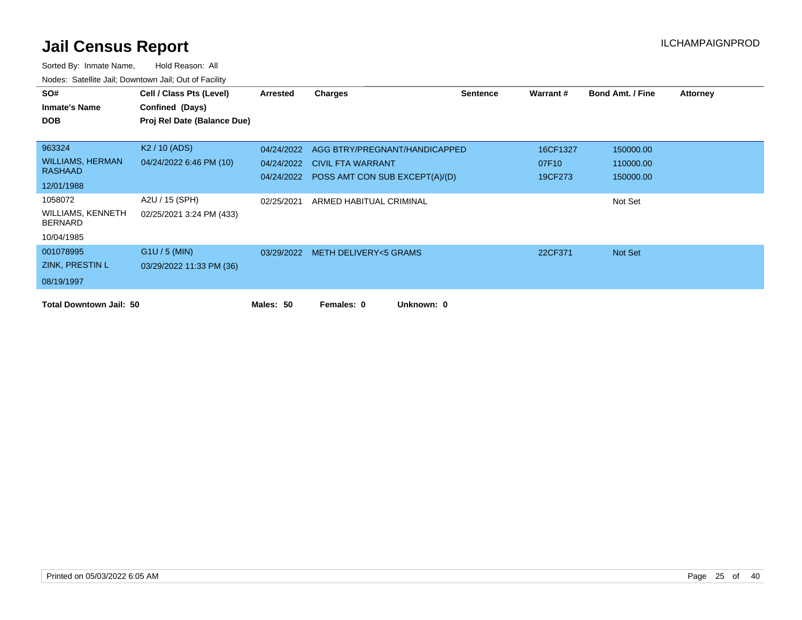| SO#                                 | Cell / Class Pts (Level)    | Arrested   | <b>Charges</b>                            | Sentence | Warrant # | <b>Bond Amt. / Fine</b> | Attorney |
|-------------------------------------|-----------------------------|------------|-------------------------------------------|----------|-----------|-------------------------|----------|
| <b>Inmate's Name</b>                | Confined (Days)             |            |                                           |          |           |                         |          |
| <b>DOB</b>                          | Proj Rel Date (Balance Due) |            |                                           |          |           |                         |          |
|                                     |                             |            |                                           |          |           |                         |          |
| 963324                              | K <sub>2</sub> / 10 (ADS)   | 04/24/2022 | AGG BTRY/PREGNANT/HANDICAPPED             |          | 16CF1327  | 150000.00               |          |
| <b>WILLIAMS, HERMAN</b>             | 04/24/2022 6:46 PM (10)     | 04/24/2022 | <b>CIVIL FTA WARRANT</b>                  |          | 07F10     | 110000.00               |          |
| <b>RASHAAD</b>                      |                             |            | 04/24/2022 POSS AMT CON SUB EXCEPT(A)/(D) |          | 19CF273   | 150000.00               |          |
| 12/01/1988                          |                             |            |                                           |          |           |                         |          |
| 1058072                             | A2U / 15 (SPH)              | 02/25/2021 | ARMED HABITUAL CRIMINAL                   |          |           | Not Set                 |          |
| WILLIAMS, KENNETH<br><b>BERNARD</b> | 02/25/2021 3:24 PM (433)    |            |                                           |          |           |                         |          |
| 10/04/1985                          |                             |            |                                           |          |           |                         |          |
| 001078995                           | $G1U / 5$ (MIN)             |            | 03/29/2022 METH DELIVERY<5 GRAMS          |          | 22CF371   | Not Set                 |          |
| ZINK, PRESTIN L                     | 03/29/2022 11:33 PM (36)    |            |                                           |          |           |                         |          |
| 08/19/1997                          |                             |            |                                           |          |           |                         |          |
| <b>Total Downtown Jail: 50</b>      |                             | Males: 50  | Unknown: 0<br>Females: 0                  |          |           |                         |          |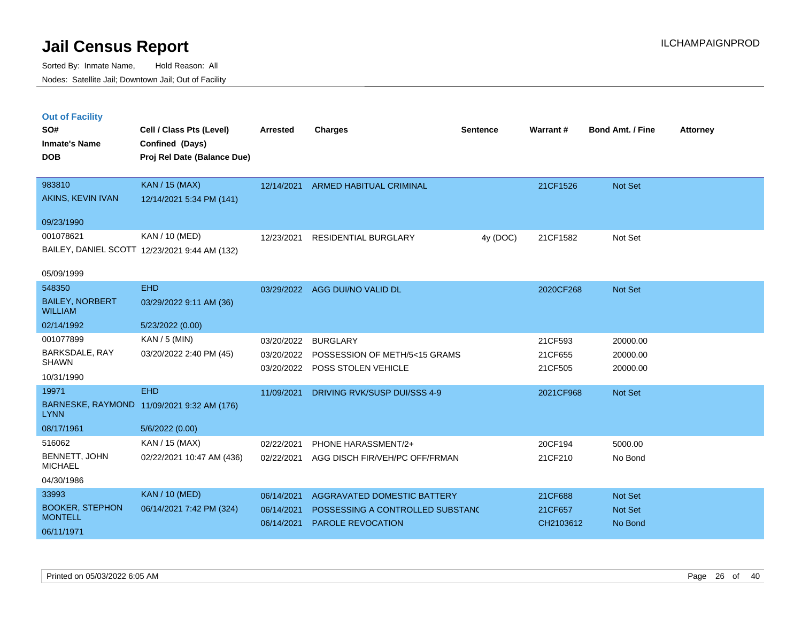|  | <b>Out of Facility</b> |  |
|--|------------------------|--|
|  |                        |  |
|  |                        |  |
|  |                        |  |

| SO#<br><b>Inmate's Name</b>              | Cell / Class Pts (Level)<br>Confined (Days)   | <b>Arrested</b> | <b>Charges</b>                     | <b>Sentence</b> | Warrant#  | <b>Bond Amt. / Fine</b> | <b>Attorney</b> |
|------------------------------------------|-----------------------------------------------|-----------------|------------------------------------|-----------------|-----------|-------------------------|-----------------|
| <b>DOB</b>                               | Proj Rel Date (Balance Due)                   |                 |                                    |                 |           |                         |                 |
| 983810                                   | <b>KAN / 15 (MAX)</b>                         | 12/14/2021      | <b>ARMED HABITUAL CRIMINAL</b>     |                 | 21CF1526  | <b>Not Set</b>          |                 |
| AKINS, KEVIN IVAN                        | 12/14/2021 5:34 PM (141)                      |                 |                                    |                 |           |                         |                 |
| 09/23/1990                               |                                               |                 |                                    |                 |           |                         |                 |
| 001078621                                | KAN / 10 (MED)                                | 12/23/2021      | RESIDENTIAL BURGLARY               | 4y (DOC)        | 21CF1582  | Not Set                 |                 |
|                                          | BAILEY, DANIEL SCOTT 12/23/2021 9:44 AM (132) |                 |                                    |                 |           |                         |                 |
| 05/09/1999                               |                                               |                 |                                    |                 |           |                         |                 |
| 548350                                   | <b>EHD</b>                                    |                 | 03/29/2022 AGG DUI/NO VALID DL     |                 | 2020CF268 | <b>Not Set</b>          |                 |
| <b>BAILEY, NORBERT</b><br><b>WILLIAM</b> | 03/29/2022 9:11 AM (36)                       |                 |                                    |                 |           |                         |                 |
| 02/14/1992                               | 5/23/2022 (0.00)                              |                 |                                    |                 |           |                         |                 |
| 001077899                                | $KAN / 5$ (MIN)                               | 03/20/2022      | <b>BURGLARY</b>                    |                 | 21CF593   | 20000.00                |                 |
| BARKSDALE, RAY<br><b>SHAWN</b>           | 03/20/2022 2:40 PM (45)                       | 03/20/2022      | POSSESSION OF METH/5<15 GRAMS      |                 | 21CF655   | 20000.00                |                 |
| 10/31/1990                               |                                               | 03/20/2022      | POSS STOLEN VEHICLE                |                 | 21CF505   | 20000.00                |                 |
| 19971                                    | <b>EHD</b>                                    | 11/09/2021      | DRIVING RVK/SUSP DUI/SSS 4-9       |                 | 2021CF968 | Not Set                 |                 |
| <b>LYNN</b>                              | BARNESKE, RAYMOND 11/09/2021 9:32 AM (176)    |                 |                                    |                 |           |                         |                 |
| 08/17/1961                               | 5/6/2022 (0.00)                               |                 |                                    |                 |           |                         |                 |
| 516062                                   | KAN / 15 (MAX)                                | 02/22/2021      | PHONE HARASSMENT/2+                |                 | 20CF194   | 5000.00                 |                 |
| BENNETT, JOHN<br><b>MICHAEL</b>          | 02/22/2021 10:47 AM (436)                     | 02/22/2021      | AGG DISCH FIR/VEH/PC OFF/FRMAN     |                 | 21CF210   | No Bond                 |                 |
| 04/30/1986                               |                                               |                 |                                    |                 |           |                         |                 |
| 33993                                    | <b>KAN / 10 (MED)</b>                         | 06/14/2021      | <b>AGGRAVATED DOMESTIC BATTERY</b> |                 | 21CF688   | <b>Not Set</b>          |                 |
| <b>BOOKER, STEPHON</b><br><b>MONTELL</b> | 06/14/2021 7:42 PM (324)                      | 06/14/2021      | POSSESSING A CONTROLLED SUBSTANC   |                 | 21CF657   | <b>Not Set</b>          |                 |
| 06/11/1971                               |                                               | 06/14/2021      | <b>PAROLE REVOCATION</b>           |                 | CH2103612 | No Bond                 |                 |
|                                          |                                               |                 |                                    |                 |           |                         |                 |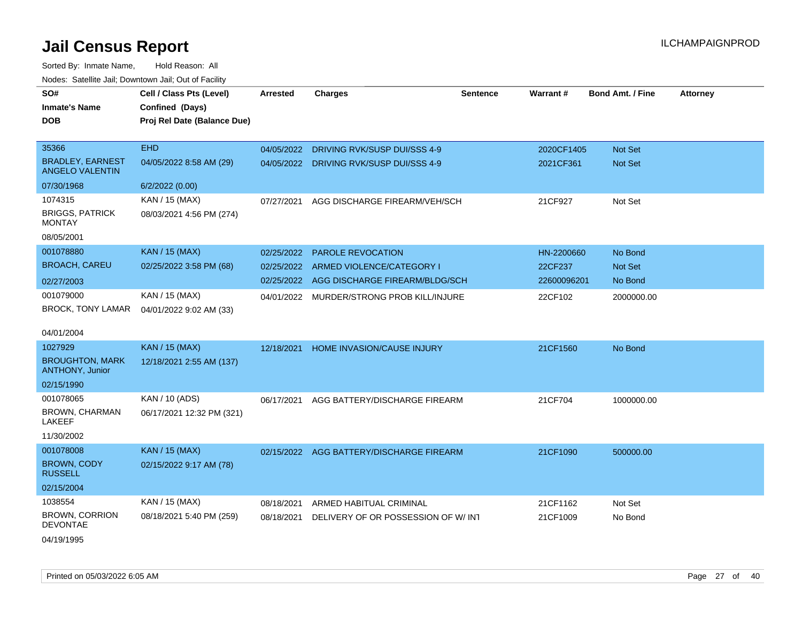| Noues. Sateme Jan, Downtown Jan, Out or Facility  |                             |                 |                                          |                 |                 |                         |                 |
|---------------------------------------------------|-----------------------------|-----------------|------------------------------------------|-----------------|-----------------|-------------------------|-----------------|
| SO#                                               | Cell / Class Pts (Level)    | <b>Arrested</b> | <b>Charges</b>                           | <b>Sentence</b> | <b>Warrant#</b> | <b>Bond Amt. / Fine</b> | <b>Attorney</b> |
| <b>Inmate's Name</b>                              | Confined (Days)             |                 |                                          |                 |                 |                         |                 |
| DOB                                               | Proj Rel Date (Balance Due) |                 |                                          |                 |                 |                         |                 |
|                                                   |                             |                 |                                          |                 |                 |                         |                 |
| 35366                                             | <b>EHD</b>                  | 04/05/2022      | DRIVING RVK/SUSP DUI/SSS 4-9             |                 | 2020CF1405      | Not Set                 |                 |
| <b>BRADLEY, EARNEST</b><br><b>ANGELO VALENTIN</b> | 04/05/2022 8:58 AM (29)     | 04/05/2022      | DRIVING RVK/SUSP DUI/SSS 4-9             |                 | 2021CF361       | Not Set                 |                 |
| 07/30/1968                                        | 6/2/2022 (0.00)             |                 |                                          |                 |                 |                         |                 |
| 1074315                                           | KAN / 15 (MAX)              | 07/27/2021      | AGG DISCHARGE FIREARM/VEH/SCH            |                 | 21CF927         | Not Set                 |                 |
| <b>BRIGGS, PATRICK</b><br>MONTAY                  | 08/03/2021 4:56 PM (274)    |                 |                                          |                 |                 |                         |                 |
| 08/05/2001                                        |                             |                 |                                          |                 |                 |                         |                 |
| 001078880                                         | <b>KAN / 15 (MAX)</b>       | 02/25/2022      | <b>PAROLE REVOCATION</b>                 |                 | HN-2200660      | No Bond                 |                 |
| <b>BROACH, CAREU</b>                              | 02/25/2022 3:58 PM (68)     | 02/25/2022      | ARMED VIOLENCE/CATEGORY I                |                 | 22CF237         | <b>Not Set</b>          |                 |
| 02/27/2003                                        |                             | 02/25/2022      | AGG DISCHARGE FIREARM/BLDG/SCH           |                 | 22600096201     | No Bond                 |                 |
| 001079000                                         | KAN / 15 (MAX)              | 04/01/2022      | MURDER/STRONG PROB KILL/INJURE           |                 | 22CF102         | 2000000.00              |                 |
| BROCK, TONY LAMAR                                 | 04/01/2022 9:02 AM (33)     |                 |                                          |                 |                 |                         |                 |
| 04/01/2004                                        |                             |                 |                                          |                 |                 |                         |                 |
| 1027929                                           | <b>KAN / 15 (MAX)</b>       | 12/18/2021      | HOME INVASION/CAUSE INJURY               |                 | 21CF1560        | No Bond                 |                 |
| <b>BROUGHTON, MARK</b><br><b>ANTHONY, Junior</b>  | 12/18/2021 2:55 AM (137)    |                 |                                          |                 |                 |                         |                 |
| 02/15/1990                                        |                             |                 |                                          |                 |                 |                         |                 |
| 001078065                                         | KAN / 10 (ADS)              | 06/17/2021      | AGG BATTERY/DISCHARGE FIREARM            |                 | 21CF704         | 1000000.00              |                 |
| BROWN, CHARMAN<br>LAKEEF                          | 06/17/2021 12:32 PM (321)   |                 |                                          |                 |                 |                         |                 |
| 11/30/2002                                        |                             |                 |                                          |                 |                 |                         |                 |
| 001078008                                         | <b>KAN / 15 (MAX)</b>       |                 | 02/15/2022 AGG BATTERY/DISCHARGE FIREARM |                 | 21CF1090        | 500000.00               |                 |
| BROWN, CODY<br><b>RUSSELL</b>                     | 02/15/2022 9:17 AM (78)     |                 |                                          |                 |                 |                         |                 |
| 02/15/2004                                        |                             |                 |                                          |                 |                 |                         |                 |
| 1038554                                           | KAN / 15 (MAX)              | 08/18/2021      | ARMED HABITUAL CRIMINAL                  |                 | 21CF1162        | Not Set                 |                 |
| <b>BROWN, CORRION</b><br>DEVONTAE                 | 08/18/2021 5:40 PM (259)    | 08/18/2021      | DELIVERY OF OR POSSESSION OF W/INT       |                 | 21CF1009        | No Bond                 |                 |
| 04/19/1995                                        |                             |                 |                                          |                 |                 |                         |                 |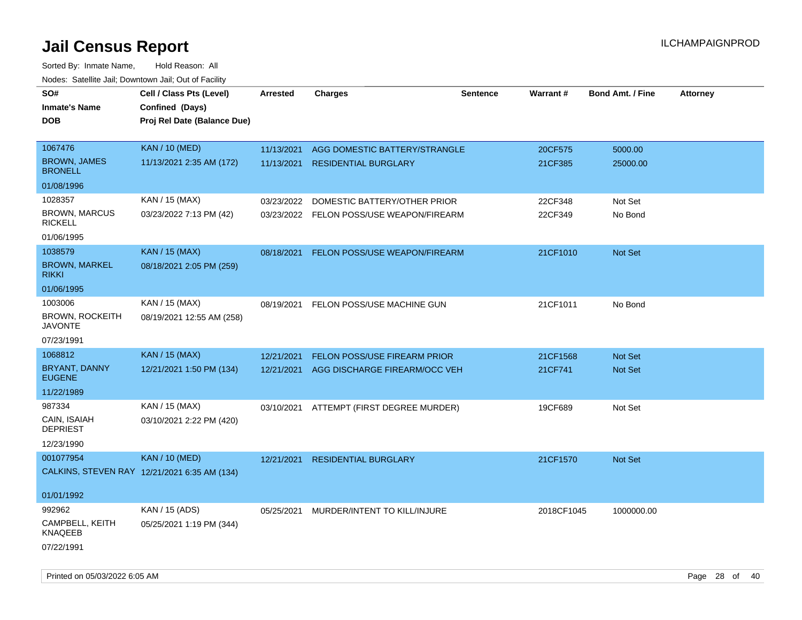| SO#                                      | Cell / Class Pts (Level)                       | Arrested   | <b>Charges</b>                           | <b>Sentence</b> | <b>Warrant#</b> | <b>Bond Amt. / Fine</b> | <b>Attorney</b> |
|------------------------------------------|------------------------------------------------|------------|------------------------------------------|-----------------|-----------------|-------------------------|-----------------|
| <b>Inmate's Name</b><br><b>DOB</b>       | Confined (Days)<br>Proj Rel Date (Balance Due) |            |                                          |                 |                 |                         |                 |
| 1067476                                  | <b>KAN / 10 (MED)</b>                          | 11/13/2021 | AGG DOMESTIC BATTERY/STRANGLE            |                 | 20CF575         | 5000.00                 |                 |
| <b>BROWN, JAMES</b><br><b>BRONELL</b>    | 11/13/2021 2:35 AM (172)                       | 11/13/2021 | <b>RESIDENTIAL BURGLARY</b>              |                 | 21CF385         | 25000.00                |                 |
| 01/08/1996                               |                                                |            |                                          |                 |                 |                         |                 |
| 1028357                                  | KAN / 15 (MAX)                                 | 03/23/2022 | DOMESTIC BATTERY/OTHER PRIOR             |                 | 22CF348         | Not Set                 |                 |
| <b>BROWN, MARCUS</b><br><b>RICKELL</b>   | 03/23/2022 7:13 PM (42)                        |            | 03/23/2022 FELON POSS/USE WEAPON/FIREARM |                 | 22CF349         | No Bond                 |                 |
| 01/06/1995                               |                                                |            |                                          |                 |                 |                         |                 |
| 1038579                                  | <b>KAN / 15 (MAX)</b>                          | 08/18/2021 | FELON POSS/USE WEAPON/FIREARM            |                 | 21CF1010        | Not Set                 |                 |
| <b>BROWN, MARKEL</b><br><b>RIKKI</b>     | 08/18/2021 2:05 PM (259)                       |            |                                          |                 |                 |                         |                 |
| 01/06/1995                               |                                                |            |                                          |                 |                 |                         |                 |
| 1003006                                  | KAN / 15 (MAX)                                 | 08/19/2021 | FELON POSS/USE MACHINE GUN               |                 | 21CF1011        | No Bond                 |                 |
| <b>BROWN, ROCKEITH</b><br><b>JAVONTE</b> | 08/19/2021 12:55 AM (258)                      |            |                                          |                 |                 |                         |                 |
| 07/23/1991                               |                                                |            |                                          |                 |                 |                         |                 |
| 1068812                                  | <b>KAN / 15 (MAX)</b>                          | 12/21/2021 | <b>FELON POSS/USE FIREARM PRIOR</b>      |                 | 21CF1568        | <b>Not Set</b>          |                 |
| <b>BRYANT, DANNY</b><br><b>EUGENE</b>    | 12/21/2021 1:50 PM (134)                       | 12/21/2021 | AGG DISCHARGE FIREARM/OCC VEH            |                 | 21CF741         | Not Set                 |                 |
| 11/22/1989                               |                                                |            |                                          |                 |                 |                         |                 |
| 987334                                   | KAN / 15 (MAX)                                 |            | 03/10/2021 ATTEMPT (FIRST DEGREE MURDER) |                 | 19CF689         | Not Set                 |                 |
| CAIN, ISAIAH<br><b>DEPRIEST</b>          | 03/10/2021 2:22 PM (420)                       |            |                                          |                 |                 |                         |                 |
| 12/23/1990                               |                                                |            |                                          |                 |                 |                         |                 |
| 001077954                                | <b>KAN / 10 (MED)</b>                          | 12/21/2021 | <b>RESIDENTIAL BURGLARY</b>              |                 | 21CF1570        | <b>Not Set</b>          |                 |
|                                          | CALKINS, STEVEN RAY 12/21/2021 6:35 AM (134)   |            |                                          |                 |                 |                         |                 |
| 01/01/1992                               |                                                |            |                                          |                 |                 |                         |                 |
| 992962                                   | KAN / 15 (ADS)                                 | 05/25/2021 | MURDER/INTENT TO KILL/INJURE             |                 | 2018CF1045      | 1000000.00              |                 |
| CAMPBELL, KEITH<br>KNAQEEB               | 05/25/2021 1:19 PM (344)                       |            |                                          |                 |                 |                         |                 |
| 07/22/1991                               |                                                |            |                                          |                 |                 |                         |                 |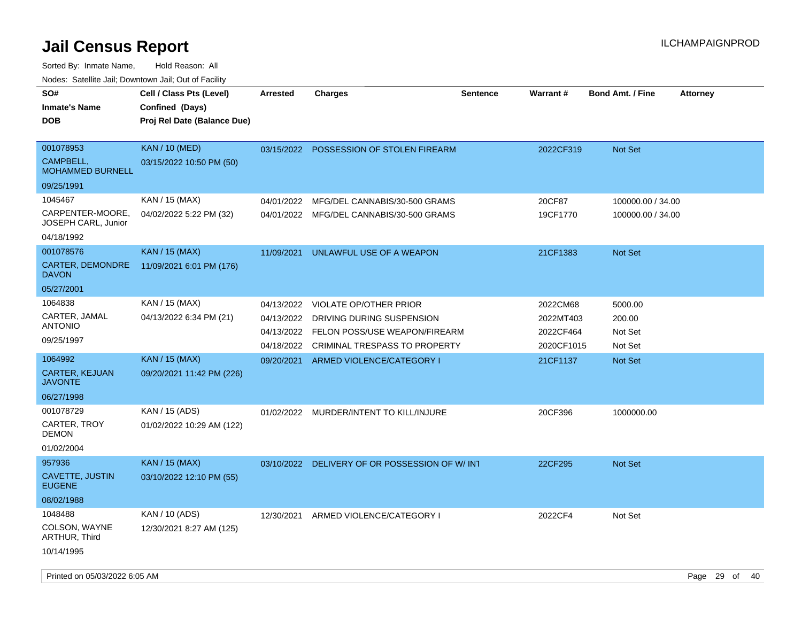Sorted By: Inmate Name, Hold Reason: All

Nodes: Satellite Jail; Downtown Jail; Out of Facility

| SO#<br><b>Inmate's Name</b><br><b>DOB</b>                   | Cell / Class Pts (Level)<br>Confined (Days)<br>Proj Rel Date (Balance Due) | <b>Arrested</b>                        | <b>Charges</b>                                                                              | <b>Sentence</b> | Warrant#                             | <b>Bond Amt. / Fine</b>                | <b>Attorney</b> |
|-------------------------------------------------------------|----------------------------------------------------------------------------|----------------------------------------|---------------------------------------------------------------------------------------------|-----------------|--------------------------------------|----------------------------------------|-----------------|
| 001078953<br>CAMPBELL,<br><b>MOHAMMED BURNELL</b>           | <b>KAN / 10 (MED)</b><br>03/15/2022 10:50 PM (50)                          |                                        | 03/15/2022 POSSESSION OF STOLEN FIREARM                                                     |                 | 2022CF319                            | Not Set                                |                 |
| 09/25/1991                                                  |                                                                            |                                        |                                                                                             |                 |                                      |                                        |                 |
| 1045467<br>CARPENTER-MOORE.<br>JOSEPH CARL, Junior          | KAN / 15 (MAX)<br>04/02/2022 5:22 PM (32)                                  | 04/01/2022                             | MFG/DEL CANNABIS/30-500 GRAMS<br>04/01/2022 MFG/DEL CANNABIS/30-500 GRAMS                   |                 | 20CF87<br>19CF1770                   | 100000.00 / 34.00<br>100000.00 / 34.00 |                 |
| 04/18/1992                                                  |                                                                            |                                        |                                                                                             |                 |                                      |                                        |                 |
| 001078576<br>CARTER, DEMONDRE<br><b>DAVON</b><br>05/27/2001 | <b>KAN / 15 (MAX)</b><br>11/09/2021 6:01 PM (176)                          | 11/09/2021                             | UNLAWFUL USE OF A WEAPON                                                                    |                 | 21CF1383                             | <b>Not Set</b>                         |                 |
| 1064838                                                     | KAN / 15 (MAX)                                                             | 04/13/2022                             | <b>VIOLATE OP/OTHER PRIOR</b>                                                               |                 | 2022CM68                             | 5000.00                                |                 |
| CARTER, JAMAL<br><b>ANTONIO</b><br>09/25/1997               | 04/13/2022 6:34 PM (21)                                                    | 04/13/2022<br>04/13/2022<br>04/18/2022 | DRIVING DURING SUSPENSION<br>FELON POSS/USE WEAPON/FIREARM<br>CRIMINAL TRESPASS TO PROPERTY |                 | 2022MT403<br>2022CF464<br>2020CF1015 | 200.00<br>Not Set<br>Not Set           |                 |
| 1064992                                                     | <b>KAN / 15 (MAX)</b>                                                      | 09/20/2021                             | ARMED VIOLENCE/CATEGORY I                                                                   |                 | 21CF1137                             | Not Set                                |                 |
| CARTER, KEJUAN<br><b>JAVONTE</b>                            | 09/20/2021 11:42 PM (226)                                                  |                                        |                                                                                             |                 |                                      |                                        |                 |
| 06/27/1998                                                  |                                                                            |                                        |                                                                                             |                 |                                      |                                        |                 |
| 001078729<br>CARTER, TROY<br><b>DEMON</b><br>01/02/2004     | KAN / 15 (ADS)<br>01/02/2022 10:29 AM (122)                                | 01/02/2022                             | MURDER/INTENT TO KILL/INJURE                                                                |                 | 20CF396                              | 1000000.00                             |                 |
| 957936                                                      | <b>KAN</b> / 15 (MAX)                                                      | 03/10/2022                             | DELIVERY OF OR POSSESSION OF W/INT                                                          |                 | 22CF295                              | Not Set                                |                 |
| CAVETTE, JUSTIN<br><b>EUGENE</b>                            | 03/10/2022 12:10 PM (55)                                                   |                                        |                                                                                             |                 |                                      |                                        |                 |
| 08/02/1988                                                  |                                                                            |                                        |                                                                                             |                 |                                      |                                        |                 |
| 1048488<br>COLSON, WAYNE<br>ARTHUR, Third                   | KAN / 10 (ADS)<br>12/30/2021 8:27 AM (125)                                 | 12/30/2021                             | ARMED VIOLENCE/CATEGORY I                                                                   |                 | 2022CF4                              | Not Set                                |                 |
| 10/14/1995                                                  |                                                                            |                                        |                                                                                             |                 |                                      |                                        |                 |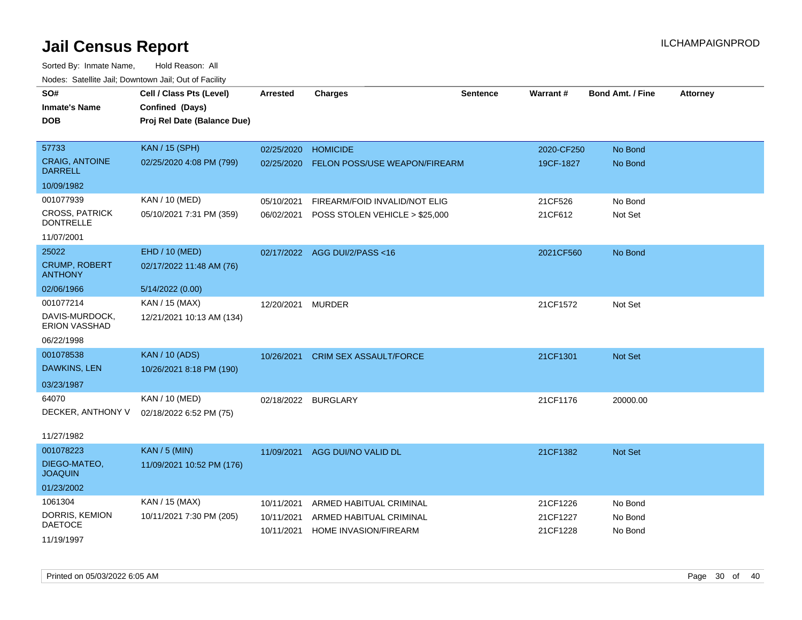| roaco. Catolino cali, Downtown cali, Out of Fability |                             |                     |                                |          |            |                         |                 |
|------------------------------------------------------|-----------------------------|---------------------|--------------------------------|----------|------------|-------------------------|-----------------|
| SO#                                                  | Cell / Class Pts (Level)    | <b>Arrested</b>     | <b>Charges</b>                 | Sentence | Warrant#   | <b>Bond Amt. / Fine</b> | <b>Attorney</b> |
| <b>Inmate's Name</b>                                 | Confined (Days)             |                     |                                |          |            |                         |                 |
| <b>DOB</b>                                           | Proj Rel Date (Balance Due) |                     |                                |          |            |                         |                 |
|                                                      |                             |                     |                                |          |            |                         |                 |
| 57733                                                | <b>KAN / 15 (SPH)</b>       | 02/25/2020          | <b>HOMICIDE</b>                |          | 2020-CF250 | No Bond                 |                 |
| <b>CRAIG, ANTOINE</b><br><b>DARRELL</b>              | 02/25/2020 4:08 PM (799)    | 02/25/2020          | FELON POSS/USE WEAPON/FIREARM  |          | 19CF-1827  | No Bond                 |                 |
| 10/09/1982                                           |                             |                     |                                |          |            |                         |                 |
| 001077939                                            | KAN / 10 (MED)              | 05/10/2021          | FIREARM/FOID INVALID/NOT ELIG  |          | 21CF526    | No Bond                 |                 |
| <b>CROSS, PATRICK</b><br><b>DONTRELLE</b>            | 05/10/2021 7:31 PM (359)    | 06/02/2021          | POSS STOLEN VEHICLE > \$25,000 |          | 21CF612    | Not Set                 |                 |
| 11/07/2001                                           |                             |                     |                                |          |            |                         |                 |
| 25022                                                | EHD / 10 (MED)              |                     | 02/17/2022 AGG DUI/2/PASS<16   |          | 2021CF560  | No Bond                 |                 |
| <b>CRUMP, ROBERT</b><br><b>ANTHONY</b>               | 02/17/2022 11:48 AM (76)    |                     |                                |          |            |                         |                 |
| 02/06/1966                                           | 5/14/2022 (0.00)            |                     |                                |          |            |                         |                 |
| 001077214                                            | KAN / 15 (MAX)              | 12/20/2021          | <b>MURDER</b>                  |          | 21CF1572   | Not Set                 |                 |
| DAVIS-MURDOCK,<br><b>ERION VASSHAD</b>               | 12/21/2021 10:13 AM (134)   |                     |                                |          |            |                         |                 |
| 06/22/1998                                           |                             |                     |                                |          |            |                         |                 |
| 001078538                                            | <b>KAN / 10 (ADS)</b>       | 10/26/2021          | <b>CRIM SEX ASSAULT/FORCE</b>  |          | 21CF1301   | Not Set                 |                 |
| DAWKINS, LEN                                         | 10/26/2021 8:18 PM (190)    |                     |                                |          |            |                         |                 |
| 03/23/1987                                           |                             |                     |                                |          |            |                         |                 |
| 64070                                                | KAN / 10 (MED)              | 02/18/2022 BURGLARY |                                |          | 21CF1176   | 20000.00                |                 |
| DECKER, ANTHONY V                                    | 02/18/2022 6:52 PM (75)     |                     |                                |          |            |                         |                 |
|                                                      |                             |                     |                                |          |            |                         |                 |
| 11/27/1982                                           |                             |                     |                                |          |            |                         |                 |
| 001078223                                            | <b>KAN / 5 (MIN)</b>        | 11/09/2021          | AGG DUI/NO VALID DL            |          | 21CF1382   | Not Set                 |                 |
| DIEGO-MATEO,<br><b>JOAQUIN</b>                       | 11/09/2021 10:52 PM (176)   |                     |                                |          |            |                         |                 |
| 01/23/2002                                           |                             |                     |                                |          |            |                         |                 |
| 1061304                                              | KAN / 15 (MAX)              | 10/11/2021          | ARMED HABITUAL CRIMINAL        |          | 21CF1226   | No Bond                 |                 |
| DORRIS, KEMION                                       | 10/11/2021 7:30 PM (205)    | 10/11/2021          | ARMED HABITUAL CRIMINAL        |          | 21CF1227   | No Bond                 |                 |
| <b>DAETOCE</b>                                       |                             | 10/11/2021          | HOME INVASION/FIREARM          |          | 21CF1228   | No Bond                 |                 |
| 11/19/1997                                           |                             |                     |                                |          |            |                         |                 |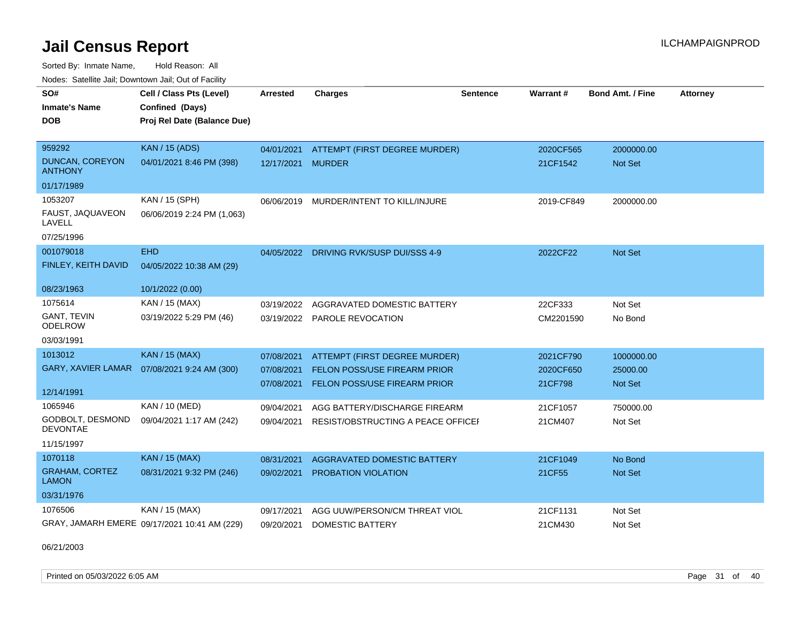Sorted By: Inmate Name, Hold Reason: All Nodes: Satellite Jail; Downtown Jail; Out of Facility

| SO#                                   | Cell / Class Pts (Level)                     | Arrested   | <b>Charges</b>                          | <b>Sentence</b> | Warrant#   | <b>Bond Amt. / Fine</b> | <b>Attorney</b> |
|---------------------------------------|----------------------------------------------|------------|-----------------------------------------|-----------------|------------|-------------------------|-----------------|
| <b>Inmate's Name</b>                  | Confined (Days)                              |            |                                         |                 |            |                         |                 |
| <b>DOB</b>                            | Proj Rel Date (Balance Due)                  |            |                                         |                 |            |                         |                 |
|                                       |                                              |            |                                         |                 |            |                         |                 |
| 959292                                | <b>KAN / 15 (ADS)</b>                        | 04/01/2021 | ATTEMPT (FIRST DEGREE MURDER)           |                 | 2020CF565  | 2000000.00              |                 |
| DUNCAN, COREYON<br>ANTHONY            | 04/01/2021 8:46 PM (398)                     | 12/17/2021 | <b>MURDER</b>                           |                 | 21CF1542   | Not Set                 |                 |
| 01/17/1989                            |                                              |            |                                         |                 |            |                         |                 |
| 1053207                               | KAN / 15 (SPH)                               |            | 06/06/2019 MURDER/INTENT TO KILL/INJURE |                 | 2019-CF849 | 2000000.00              |                 |
| FAUST, JAQUAVEON<br>LAVELL            | 06/06/2019 2:24 PM (1,063)                   |            |                                         |                 |            |                         |                 |
| 07/25/1996                            |                                              |            |                                         |                 |            |                         |                 |
| 001079018                             | <b>EHD</b>                                   | 04/05/2022 | DRIVING RVK/SUSP DUI/SSS 4-9            |                 | 2022CF22   | <b>Not Set</b>          |                 |
| FINLEY, KEITH DAVID                   | 04/05/2022 10:38 AM (29)                     |            |                                         |                 |            |                         |                 |
|                                       |                                              |            |                                         |                 |            |                         |                 |
| 08/23/1963                            | 10/1/2022 (0.00)                             |            |                                         |                 |            |                         |                 |
| 1075614                               | KAN / 15 (MAX)                               | 03/19/2022 | AGGRAVATED DOMESTIC BATTERY             |                 | 22CF333    | Not Set                 |                 |
| GANT, TEVIN<br><b>ODELROW</b>         | 03/19/2022 5:29 PM (46)                      |            | 03/19/2022 PAROLE REVOCATION            |                 | CM2201590  | No Bond                 |                 |
| 03/03/1991                            |                                              |            |                                         |                 |            |                         |                 |
| 1013012                               | <b>KAN / 15 (MAX)</b>                        | 07/08/2021 | ATTEMPT (FIRST DEGREE MURDER)           |                 | 2021CF790  | 1000000.00              |                 |
|                                       | GARY, XAVIER LAMAR  07/08/2021 9:24 AM (300) | 07/08/2021 | FELON POSS/USE FIREARM PRIOR            |                 | 2020CF650  | 25000.00                |                 |
|                                       |                                              | 07/08/2021 | <b>FELON POSS/USE FIREARM PRIOR</b>     |                 | 21CF798    | <b>Not Set</b>          |                 |
| 12/14/1991                            |                                              |            |                                         |                 |            |                         |                 |
| 1065946                               | KAN / 10 (MED)                               | 09/04/2021 | AGG BATTERY/DISCHARGE FIREARM           |                 | 21CF1057   | 750000.00               |                 |
| GODBOLT, DESMOND<br><b>DEVONTAE</b>   | 09/04/2021 1:17 AM (242)                     | 09/04/2021 | RESIST/OBSTRUCTING A PEACE OFFICEF      |                 | 21CM407    | Not Set                 |                 |
| 11/15/1997                            |                                              |            |                                         |                 |            |                         |                 |
| 1070118                               | <b>KAN / 15 (MAX)</b>                        | 08/31/2021 | <b>AGGRAVATED DOMESTIC BATTERY</b>      |                 | 21CF1049   | No Bond                 |                 |
| <b>GRAHAM, CORTEZ</b><br><b>LAMON</b> | 08/31/2021 9:32 PM (246)                     | 09/02/2021 | <b>PROBATION VIOLATION</b>              |                 | 21CF55     | <b>Not Set</b>          |                 |
| 03/31/1976                            |                                              |            |                                         |                 |            |                         |                 |
| 1076506                               | KAN / 15 (MAX)                               | 09/17/2021 | AGG UUW/PERSON/CM THREAT VIOL           |                 | 21CF1131   | Not Set                 |                 |
|                                       | GRAY, JAMARH EMERE 09/17/2021 10:41 AM (229) | 09/20/2021 | <b>DOMESTIC BATTERY</b>                 |                 | 21CM430    | Not Set                 |                 |

06/21/2003

Printed on 05/03/2022 6:05 AM Page 31 of 40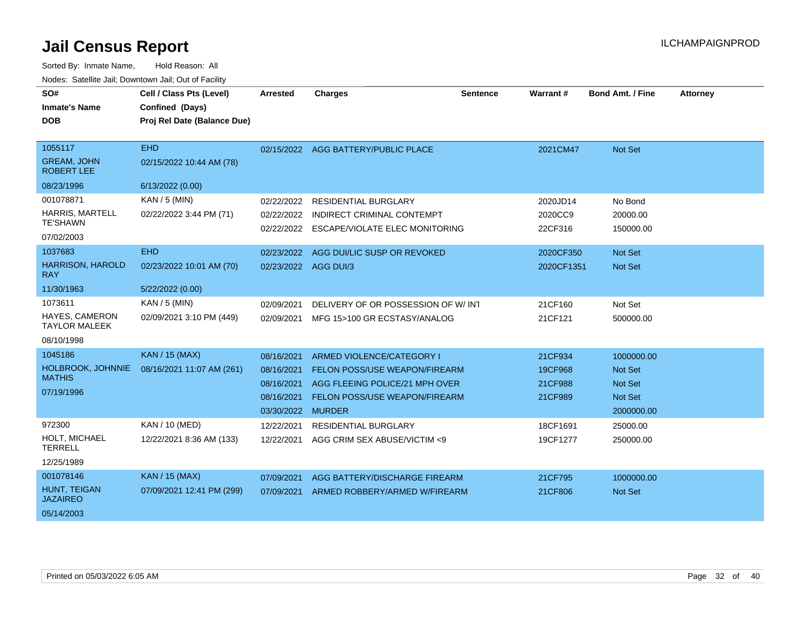| SO#                                     | Cell / Class Pts (Level)    | <b>Arrested</b>      | <b>Charges</b>                       | <b>Sentence</b> | Warrant #  | <b>Bond Amt. / Fine</b> | <b>Attorney</b> |
|-----------------------------------------|-----------------------------|----------------------|--------------------------------------|-----------------|------------|-------------------------|-----------------|
| <b>Inmate's Name</b>                    | Confined (Days)             |                      |                                      |                 |            |                         |                 |
| <b>DOB</b>                              | Proj Rel Date (Balance Due) |                      |                                      |                 |            |                         |                 |
|                                         |                             |                      |                                      |                 |            |                         |                 |
| 1055117                                 | <b>EHD</b>                  |                      | 02/15/2022 AGG BATTERY/PUBLIC PLACE  |                 | 2021CM47   | <b>Not Set</b>          |                 |
| <b>GREAM, JOHN</b><br><b>ROBERT LEE</b> | 02/15/2022 10:44 AM (78)    |                      |                                      |                 |            |                         |                 |
| 08/23/1996                              | 6/13/2022 (0.00)            |                      |                                      |                 |            |                         |                 |
| 001078871                               | KAN / 5 (MIN)               | 02/22/2022           | <b>RESIDENTIAL BURGLARY</b>          |                 | 2020JD14   | No Bond                 |                 |
| <b>HARRIS, MARTELL</b>                  | 02/22/2022 3:44 PM (71)     | 02/22/2022           | <b>INDIRECT CRIMINAL CONTEMPT</b>    |                 | 2020CC9    | 20000.00                |                 |
| <b>TE'SHAWN</b>                         |                             | 02/22/2022           | ESCAPE/VIOLATE ELEC MONITORING       |                 | 22CF316    | 150000.00               |                 |
| 07/02/2003                              |                             |                      |                                      |                 |            |                         |                 |
| 1037683                                 | <b>EHD</b>                  | 02/23/2022           | AGG DUI/LIC SUSP OR REVOKED          |                 | 2020CF350  | <b>Not Set</b>          |                 |
| <b>HARRISON, HAROLD</b><br><b>RAY</b>   | 02/23/2022 10:01 AM (70)    | 02/23/2022 AGG DUI/3 |                                      |                 | 2020CF1351 | <b>Not Set</b>          |                 |
| 11/30/1963                              | 5/22/2022 (0.00)            |                      |                                      |                 |            |                         |                 |
| 1073611                                 | KAN / 5 (MIN)               | 02/09/2021           | DELIVERY OF OR POSSESSION OF W/INT   |                 | 21CF160    | Not Set                 |                 |
| HAYES, CAMERON<br><b>TAYLOR MALEEK</b>  | 02/09/2021 3:10 PM (449)    | 02/09/2021           | MFG 15>100 GR ECSTASY/ANALOG         |                 | 21CF121    | 500000.00               |                 |
| 08/10/1998                              |                             |                      |                                      |                 |            |                         |                 |
| 1045186                                 | <b>KAN / 15 (MAX)</b>       | 08/16/2021           | ARMED VIOLENCE/CATEGORY I            |                 | 21CF934    | 1000000.00              |                 |
| HOLBROOK, JOHNNIE                       | 08/16/2021 11:07 AM (261)   | 08/16/2021           | <b>FELON POSS/USE WEAPON/FIREARM</b> |                 | 19CF968    | <b>Not Set</b>          |                 |
| <b>MATHIS</b>                           |                             | 08/16/2021           | AGG FLEEING POLICE/21 MPH OVER       |                 | 21CF988    | <b>Not Set</b>          |                 |
| 07/19/1996                              |                             | 08/16/2021           | FELON POSS/USE WEAPON/FIREARM        |                 | 21CF989    | <b>Not Set</b>          |                 |
|                                         |                             | 03/30/2022 MURDER    |                                      |                 |            | 2000000.00              |                 |
| 972300                                  | KAN / 10 (MED)              | 12/22/2021           | <b>RESIDENTIAL BURGLARY</b>          |                 | 18CF1691   | 25000.00                |                 |
| <b>HOLT, MICHAEL</b><br><b>TERRELL</b>  | 12/22/2021 8:36 AM (133)    | 12/22/2021           | AGG CRIM SEX ABUSE/VICTIM <9         |                 | 19CF1277   | 250000.00               |                 |
| 12/25/1989                              |                             |                      |                                      |                 |            |                         |                 |
| 001078146                               | <b>KAN / 15 (MAX)</b>       | 07/09/2021           | AGG BATTERY/DISCHARGE FIREARM        |                 | 21CF795    | 1000000.00              |                 |
| HUNT, TEIGAN<br><b>JAZAIREO</b>         | 07/09/2021 12:41 PM (299)   | 07/09/2021           | ARMED ROBBERY/ARMED W/FIREARM        |                 | 21CF806    | <b>Not Set</b>          |                 |
| 05/14/2003                              |                             |                      |                                      |                 |            |                         |                 |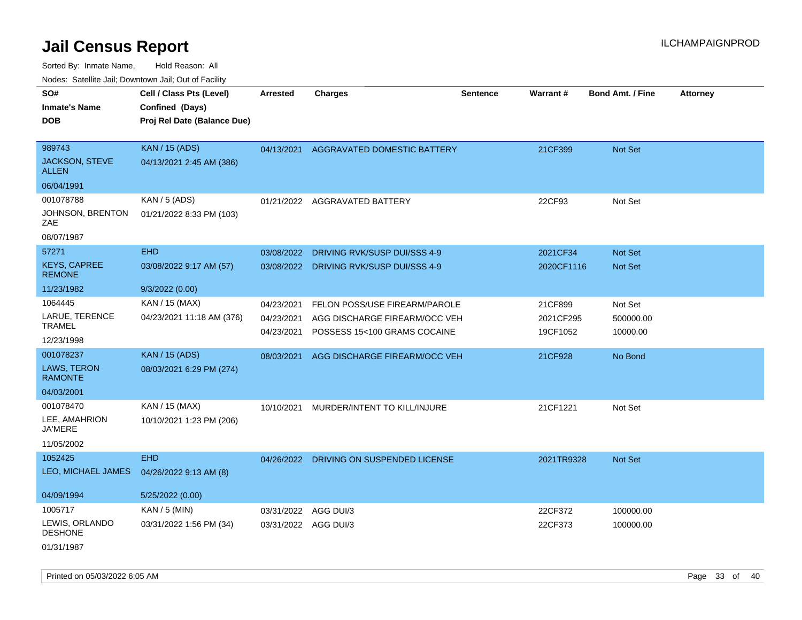Sorted By: Inmate Name, Hold Reason: All

|                                      | Nodes: Satellite Jail; Downtown Jail; Out of Facility |                 |                                         |                 |                 |                         |                 |  |  |  |
|--------------------------------------|-------------------------------------------------------|-----------------|-----------------------------------------|-----------------|-----------------|-------------------------|-----------------|--|--|--|
| SO#                                  | Cell / Class Pts (Level)                              | <b>Arrested</b> | <b>Charges</b>                          | <b>Sentence</b> | <b>Warrant#</b> | <b>Bond Amt. / Fine</b> | <b>Attorney</b> |  |  |  |
| <b>Inmate's Name</b>                 | Confined (Days)                                       |                 |                                         |                 |                 |                         |                 |  |  |  |
| <b>DOB</b>                           | Proj Rel Date (Balance Due)                           |                 |                                         |                 |                 |                         |                 |  |  |  |
|                                      |                                                       |                 |                                         |                 |                 |                         |                 |  |  |  |
| 989743                               | <b>KAN / 15 (ADS)</b>                                 |                 | 04/13/2021 AGGRAVATED DOMESTIC BATTERY  |                 | 21CF399         | Not Set                 |                 |  |  |  |
| JACKSON, STEVE<br><b>ALLEN</b>       | 04/13/2021 2:45 AM (386)                              |                 |                                         |                 |                 |                         |                 |  |  |  |
| 06/04/1991                           |                                                       |                 |                                         |                 |                 |                         |                 |  |  |  |
| 001078788                            | KAN / 5 (ADS)                                         |                 | 01/21/2022 AGGRAVATED BATTERY           |                 | 22CF93          | Not Set                 |                 |  |  |  |
| JOHNSON, BRENTON<br><b>ZAE</b>       | 01/21/2022 8:33 PM (103)                              |                 |                                         |                 |                 |                         |                 |  |  |  |
| 08/07/1987                           |                                                       |                 |                                         |                 |                 |                         |                 |  |  |  |
| 57271                                | <b>EHD</b>                                            | 03/08/2022      | DRIVING RVK/SUSP DUI/SSS 4-9            |                 | 2021CF34        | Not Set                 |                 |  |  |  |
| <b>KEYS, CAPREE</b><br><b>REMONE</b> | 03/08/2022 9:17 AM (57)                               |                 | 03/08/2022 DRIVING RVK/SUSP DUI/SSS 4-9 |                 | 2020CF1116      | Not Set                 |                 |  |  |  |
| 11/23/1982                           | 9/3/2022 (0.00)                                       |                 |                                         |                 |                 |                         |                 |  |  |  |
| 1064445                              | KAN / 15 (MAX)                                        | 04/23/2021      | FELON POSS/USE FIREARM/PAROLE           |                 | 21CF899         | Not Set                 |                 |  |  |  |
| LARUE, TERENCE                       | 04/23/2021 11:18 AM (376)                             | 04/23/2021      | AGG DISCHARGE FIREARM/OCC VEH           |                 | 2021CF295       | 500000.00               |                 |  |  |  |
| <b>TRAMEL</b>                        |                                                       | 04/23/2021      | POSSESS 15<100 GRAMS COCAINE            |                 | 19CF1052        | 10000.00                |                 |  |  |  |
| 12/23/1998                           |                                                       |                 |                                         |                 |                 |                         |                 |  |  |  |
| 001078237                            | <b>KAN / 15 (ADS)</b>                                 | 08/03/2021      | AGG DISCHARGE FIREARM/OCC VEH           |                 | 21CF928         | No Bond                 |                 |  |  |  |
| LAWS, TERON<br><b>RAMONTE</b>        | 08/03/2021 6:29 PM (274)                              |                 |                                         |                 |                 |                         |                 |  |  |  |
| 04/03/2001                           |                                                       |                 |                                         |                 |                 |                         |                 |  |  |  |
| 001078470                            | KAN / 15 (MAX)                                        | 10/10/2021      | MURDER/INTENT TO KILL/INJURE            |                 | 21CF1221        | Not Set                 |                 |  |  |  |
| LEE, AMAHRION<br><b>JA'MERE</b>      | 10/10/2021 1:23 PM (206)                              |                 |                                         |                 |                 |                         |                 |  |  |  |
| 11/05/2002                           |                                                       |                 |                                         |                 |                 |                         |                 |  |  |  |
| 1052425                              | <b>EHD</b>                                            |                 | 04/26/2022 DRIVING ON SUSPENDED LICENSE |                 | 2021TR9328      | Not Set                 |                 |  |  |  |
| LEO, MICHAEL JAMES                   | 04/26/2022 9:13 AM (8)                                |                 |                                         |                 |                 |                         |                 |  |  |  |
|                                      |                                                       |                 |                                         |                 |                 |                         |                 |  |  |  |
| 04/09/1994                           | 5/25/2022 (0.00)                                      |                 |                                         |                 |                 |                         |                 |  |  |  |
| 1005717                              | KAN / 5 (MIN)                                         |                 | 03/31/2022 AGG DUI/3                    |                 | 22CF372         | 100000.00               |                 |  |  |  |
| LEWIS, ORLANDO<br><b>DESHONE</b>     | 03/31/2022 1:56 PM (34)                               |                 | 03/31/2022 AGG DUI/3                    |                 | 22CF373         | 100000.00               |                 |  |  |  |
| 01/31/1987                           |                                                       |                 |                                         |                 |                 |                         |                 |  |  |  |

Printed on 05/03/2022 6:05 AM Page 33 of 40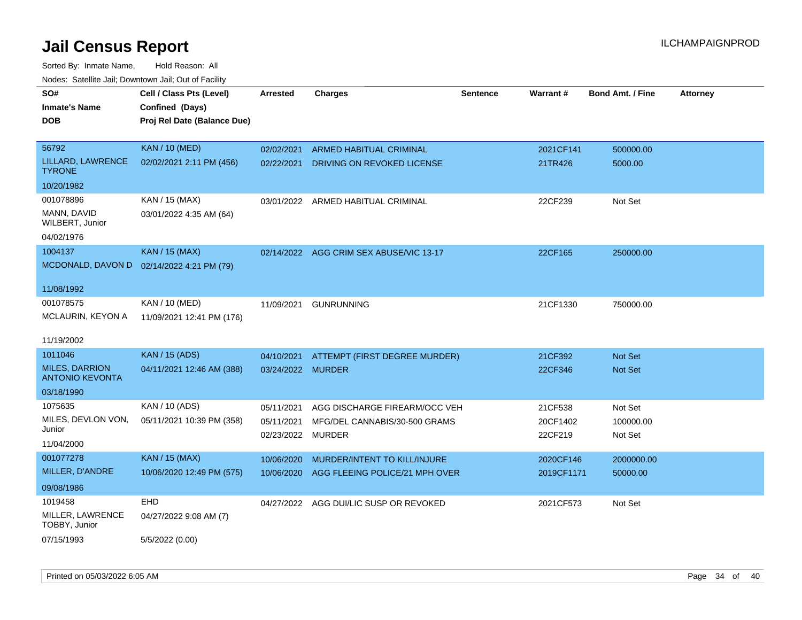| SO#                                | Cell / Class Pts (Level)                  | <b>Arrested</b>   | <b>Charges</b>                 | <b>Sentence</b> | Warrant#   | <b>Bond Amt. / Fine</b> | <b>Attorney</b> |
|------------------------------------|-------------------------------------------|-------------------|--------------------------------|-----------------|------------|-------------------------|-----------------|
| <b>Inmate's Name</b>               | Confined (Days)                           |                   |                                |                 |            |                         |                 |
| DOB                                | Proj Rel Date (Balance Due)               |                   |                                |                 |            |                         |                 |
|                                    |                                           |                   |                                |                 |            |                         |                 |
| 56792                              | <b>KAN / 10 (MED)</b>                     | 02/02/2021        | ARMED HABITUAL CRIMINAL        |                 | 2021CF141  | 500000.00               |                 |
| LILLARD, LAWRENCE<br><b>TYRONE</b> | 02/02/2021 2:11 PM (456)                  | 02/22/2021        | DRIVING ON REVOKED LICENSE     |                 | 21TR426    | 5000.00                 |                 |
| 10/20/1982                         |                                           |                   |                                |                 |            |                         |                 |
| 001078896                          | KAN / 15 (MAX)                            | 03/01/2022        | ARMED HABITUAL CRIMINAL        |                 | 22CF239    | Not Set                 |                 |
| MANN, DAVID<br>WILBERT, Junior     | 03/01/2022 4:35 AM (64)                   |                   |                                |                 |            |                         |                 |
| 04/02/1976                         |                                           |                   |                                |                 |            |                         |                 |
| 1004137                            | <b>KAN / 15 (MAX)</b>                     | 02/14/2022        | AGG CRIM SEX ABUSE/VIC 13-17   |                 | 22CF165    | 250000.00               |                 |
|                                    | MCDONALD, DAVON D 02/14/2022 4:21 PM (79) |                   |                                |                 |            |                         |                 |
|                                    |                                           |                   |                                |                 |            |                         |                 |
| 11/08/1992                         |                                           |                   |                                |                 |            |                         |                 |
| 001078575                          | KAN / 10 (MED)                            | 11/09/2021        | <b>GUNRUNNING</b>              |                 | 21CF1330   | 750000.00               |                 |
| MCLAURIN, KEYON A                  | 11/09/2021 12:41 PM (176)                 |                   |                                |                 |            |                         |                 |
|                                    |                                           |                   |                                |                 |            |                         |                 |
| 11/19/2002                         |                                           |                   |                                |                 |            |                         |                 |
| 1011046                            | <b>KAN / 15 (ADS)</b>                     | 04/10/2021        | ATTEMPT (FIRST DEGREE MURDER)  |                 | 21CF392    | <b>Not Set</b>          |                 |
| <b>MILES, DARRION</b>              | 04/11/2021 12:46 AM (388)                 | 03/24/2022 MURDER |                                |                 | 22CF346    | <b>Not Set</b>          |                 |
| <b>ANTONIO KEVONTA</b>             |                                           |                   |                                |                 |            |                         |                 |
| 03/18/1990                         |                                           |                   |                                |                 |            |                         |                 |
| 1075635                            | KAN / 10 (ADS)                            | 05/11/2021        | AGG DISCHARGE FIREARM/OCC VEH  |                 | 21CF538    | Not Set                 |                 |
| MILES, DEVLON VON,                 | 05/11/2021 10:39 PM (358)                 | 05/11/2021        | MFG/DEL CANNABIS/30-500 GRAMS  |                 | 20CF1402   | 100000.00               |                 |
| Junior                             |                                           | 02/23/2022        | <b>MURDER</b>                  |                 | 22CF219    | Not Set                 |                 |
| 11/04/2000                         |                                           |                   |                                |                 |            |                         |                 |
| 001077278                          | <b>KAN / 15 (MAX)</b>                     | 10/06/2020        | MURDER/INTENT TO KILL/INJURE   |                 | 2020CF146  | 2000000.00              |                 |
| MILLER, D'ANDRE                    | 10/06/2020 12:49 PM (575)                 | 10/06/2020        | AGG FLEEING POLICE/21 MPH OVER |                 | 2019CF1171 | 50000.00                |                 |
| 09/08/1986                         |                                           |                   |                                |                 |            |                         |                 |
| 1019458                            | <b>EHD</b>                                | 04/27/2022        | AGG DUI/LIC SUSP OR REVOKED    |                 | 2021CF573  | Not Set                 |                 |
| MILLER, LAWRENCE<br>TOBBY, Junior  | 04/27/2022 9:08 AM (7)                    |                   |                                |                 |            |                         |                 |
| 07/15/1993                         | 5/5/2022 (0.00)                           |                   |                                |                 |            |                         |                 |
|                                    |                                           |                   |                                |                 |            |                         |                 |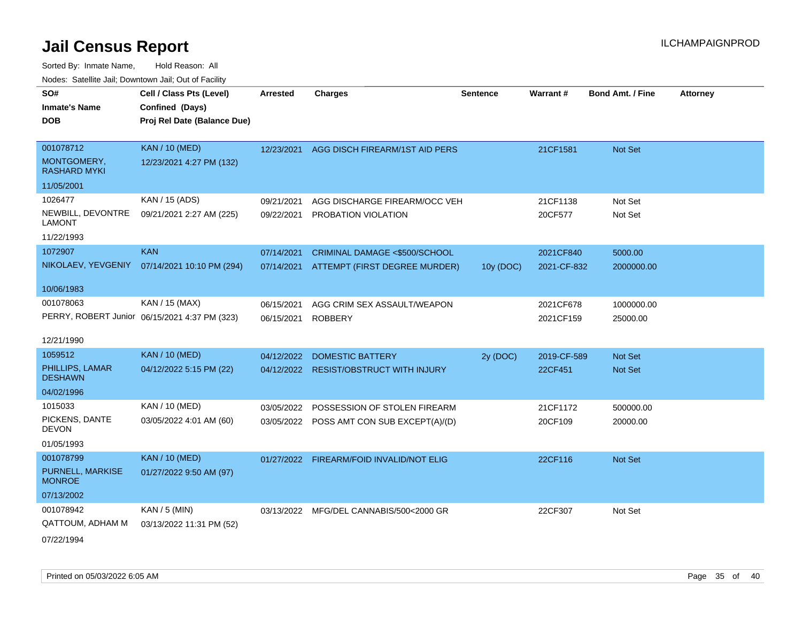| SO#                                | Cell / Class Pts (Level)                      | <b>Arrested</b> | <b>Charges</b>                            | <b>Sentence</b> | Warrant #   | <b>Bond Amt. / Fine</b> | <b>Attorney</b> |
|------------------------------------|-----------------------------------------------|-----------------|-------------------------------------------|-----------------|-------------|-------------------------|-----------------|
| <b>Inmate's Name</b>               | Confined (Days)                               |                 |                                           |                 |             |                         |                 |
| <b>DOB</b>                         | Proj Rel Date (Balance Due)                   |                 |                                           |                 |             |                         |                 |
|                                    |                                               |                 |                                           |                 |             |                         |                 |
| 001078712                          | <b>KAN / 10 (MED)</b>                         | 12/23/2021      | AGG DISCH FIREARM/1ST AID PERS            |                 | 21CF1581    | Not Set                 |                 |
| MONTGOMERY,<br><b>RASHARD MYKI</b> | 12/23/2021 4:27 PM (132)                      |                 |                                           |                 |             |                         |                 |
| 11/05/2001                         |                                               |                 |                                           |                 |             |                         |                 |
| 1026477                            | KAN / 15 (ADS)                                | 09/21/2021      | AGG DISCHARGE FIREARM/OCC VEH             |                 | 21CF1138    | Not Set                 |                 |
| NEWBILL, DEVONTRE<br><b>LAMONT</b> | 09/21/2021 2:27 AM (225)                      | 09/22/2021      | PROBATION VIOLATION                       |                 | 20CF577     | Not Set                 |                 |
| 11/22/1993                         |                                               |                 |                                           |                 |             |                         |                 |
| 1072907                            | <b>KAN</b>                                    | 07/14/2021      | CRIMINAL DAMAGE <\$500/SCHOOL             |                 | 2021CF840   | 5000.00                 |                 |
| NIKOLAEV, YEVGENIY                 | 07/14/2021 10:10 PM (294)                     |                 | 07/14/2021 ATTEMPT (FIRST DEGREE MURDER)  | 10y (DOC)       | 2021-CF-832 | 2000000.00              |                 |
|                                    |                                               |                 |                                           |                 |             |                         |                 |
| 10/06/1983                         |                                               |                 |                                           |                 |             |                         |                 |
| 001078063                          | KAN / 15 (MAX)                                | 06/15/2021      | AGG CRIM SEX ASSAULT/WEAPON               |                 | 2021CF678   | 1000000.00              |                 |
|                                    | PERRY, ROBERT Junior 06/15/2021 4:37 PM (323) | 06/15/2021      | <b>ROBBERY</b>                            |                 | 2021CF159   | 25000.00                |                 |
| 12/21/1990                         |                                               |                 |                                           |                 |             |                         |                 |
| 1059512                            | <b>KAN / 10 (MED)</b>                         | 04/12/2022      | <b>DOMESTIC BATTERY</b>                   | 2y (DOC)        | 2019-CF-589 | <b>Not Set</b>          |                 |
| PHILLIPS, LAMAR<br><b>DESHAWN</b>  | 04/12/2022 5:15 PM (22)                       |                 | 04/12/2022 RESIST/OBSTRUCT WITH INJURY    |                 | 22CF451     | Not Set                 |                 |
| 04/02/1996                         |                                               |                 |                                           |                 |             |                         |                 |
| 1015033                            | KAN / 10 (MED)                                | 03/05/2022      | POSSESSION OF STOLEN FIREARM              |                 | 21CF1172    | 500000.00               |                 |
| PICKENS, DANTE<br><b>DEVON</b>     | 03/05/2022 4:01 AM (60)                       |                 | 03/05/2022 POSS AMT CON SUB EXCEPT(A)/(D) |                 | 20CF109     | 20000.00                |                 |
| 01/05/1993                         |                                               |                 |                                           |                 |             |                         |                 |
| 001078799                          | <b>KAN / 10 (MED)</b>                         |                 | 01/27/2022 FIREARM/FOID INVALID/NOT ELIG  |                 | 22CF116     | Not Set                 |                 |
| PURNELL, MARKISE<br><b>MONROE</b>  | 01/27/2022 9:50 AM (97)                       |                 |                                           |                 |             |                         |                 |
| 07/13/2002                         |                                               |                 |                                           |                 |             |                         |                 |
| 001078942                          | $KAN / 5$ (MIN)                               |                 | 03/13/2022 MFG/DEL CANNABIS/500<2000 GR   |                 | 22CF307     | Not Set                 |                 |
| QATTOUM, ADHAM M                   | 03/13/2022 11:31 PM (52)                      |                 |                                           |                 |             |                         |                 |
| 07/22/1994                         |                                               |                 |                                           |                 |             |                         |                 |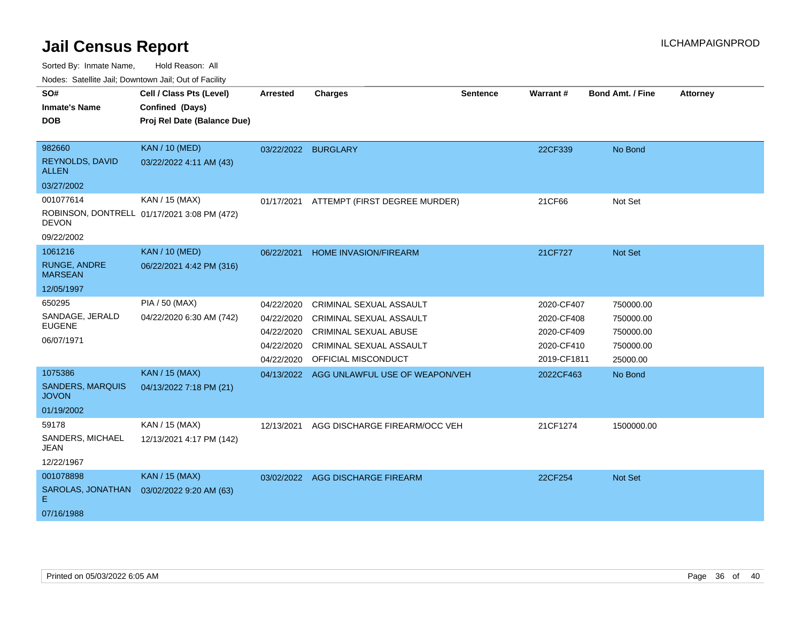Sorted By: Inmate Name, Hold Reason: All

| Nodes: Satellite Jail; Downtown Jail; Out of Facility |  |
|-------------------------------------------------------|--|
|                                                       |  |

| SO#<br><b>Inmate's Name</b><br><b>DOB</b><br>982660<br>REYNOLDS, DAVID<br><b>ALLEN</b> | Cell / Class Pts (Level)<br>Confined (Days)<br>Proj Rel Date (Balance Due)<br><b>KAN / 10 (MED)</b><br>03/22/2022 4:11 AM (43) | <b>Arrested</b><br>03/22/2022 BURGLARY                             | <b>Charges</b>                                                                                                                              | <b>Sentence</b> | <b>Warrant#</b><br>22CF339                                          | <b>Bond Amt. / Fine</b><br>No Bond                           | <b>Attorney</b> |
|----------------------------------------------------------------------------------------|--------------------------------------------------------------------------------------------------------------------------------|--------------------------------------------------------------------|---------------------------------------------------------------------------------------------------------------------------------------------|-----------------|---------------------------------------------------------------------|--------------------------------------------------------------|-----------------|
| 03/27/2002                                                                             |                                                                                                                                |                                                                    |                                                                                                                                             |                 |                                                                     |                                                              |                 |
| 001077614<br><b>DEVON</b><br>09/22/2002                                                | KAN / 15 (MAX)<br>ROBINSON, DONTRELL 01/17/2021 3:08 PM (472)                                                                  | 01/17/2021                                                         | ATTEMPT (FIRST DEGREE MURDER)                                                                                                               |                 | 21CF66                                                              | Not Set                                                      |                 |
| 1061216<br><b>RUNGE, ANDRE</b><br><b>MARSEAN</b><br>12/05/1997                         | <b>KAN / 10 (MED)</b><br>06/22/2021 4:42 PM (316)                                                                              | 06/22/2021                                                         | <b>HOME INVASION/FIREARM</b>                                                                                                                |                 | 21CF727                                                             | Not Set                                                      |                 |
| 650295<br>SANDAGE, JERALD<br><b>EUGENE</b><br>06/07/1971                               | PIA / 50 (MAX)<br>04/22/2020 6:30 AM (742)                                                                                     | 04/22/2020<br>04/22/2020<br>04/22/2020<br>04/22/2020<br>04/22/2020 | <b>CRIMINAL SEXUAL ASSAULT</b><br>CRIMINAL SEXUAL ASSAULT<br>CRIMINAL SEXUAL ABUSE<br><b>CRIMINAL SEXUAL ASSAULT</b><br>OFFICIAL MISCONDUCT |                 | 2020-CF407<br>2020-CF408<br>2020-CF409<br>2020-CF410<br>2019-CF1811 | 750000.00<br>750000.00<br>750000.00<br>750000.00<br>25000.00 |                 |
| 1075386<br><b>SANDERS, MARQUIS</b><br><b>JOVON</b><br>01/19/2002                       | <b>KAN / 15 (MAX)</b><br>04/13/2022 7:18 PM (21)                                                                               | 04/13/2022                                                         | AGG UNLAWFUL USE OF WEAPON/VEH                                                                                                              |                 | 2022CF463                                                           | No Bond                                                      |                 |
| 59178<br>SANDERS, MICHAEL<br><b>JEAN</b><br>12/22/1967                                 | KAN / 15 (MAX)<br>12/13/2021 4:17 PM (142)                                                                                     | 12/13/2021                                                         | AGG DISCHARGE FIREARM/OCC VEH                                                                                                               |                 | 21CF1274                                                            | 1500000.00                                                   |                 |
| 001078898<br>SAROLAS, JONATHAN<br>Е<br>07/16/1988                                      | <b>KAN / 15 (MAX)</b><br>03/02/2022 9:20 AM (63)                                                                               |                                                                    | 03/02/2022 AGG DISCHARGE FIREARM                                                                                                            |                 | 22CF254                                                             | Not Set                                                      |                 |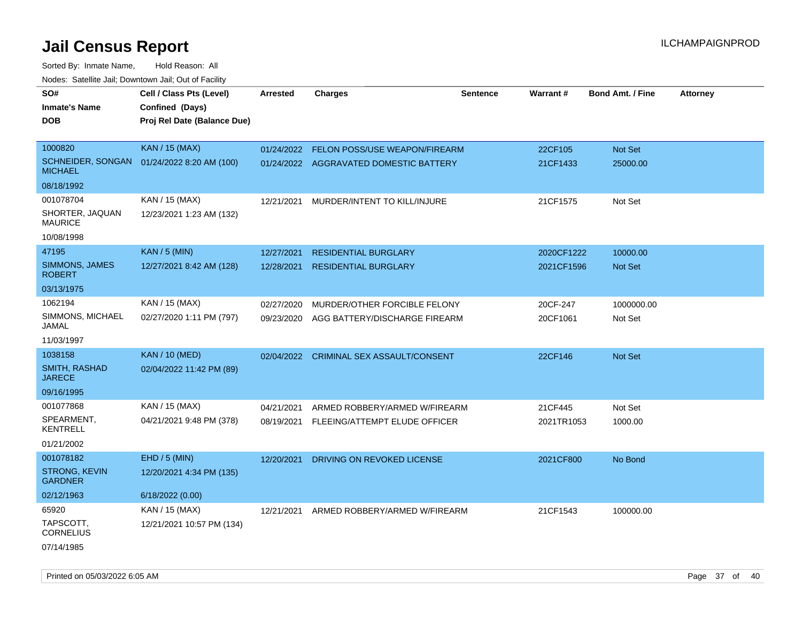| rouco. Calcinic Jan, Downtown Jan, Out of Facility |                                            |                 |                                         |                 |                 |                         |                 |
|----------------------------------------------------|--------------------------------------------|-----------------|-----------------------------------------|-----------------|-----------------|-------------------------|-----------------|
| SO#                                                | Cell / Class Pts (Level)                   | <b>Arrested</b> | <b>Charges</b>                          | <b>Sentence</b> | <b>Warrant#</b> | <b>Bond Amt. / Fine</b> | <b>Attorney</b> |
| <b>Inmate's Name</b>                               | Confined (Days)                            |                 |                                         |                 |                 |                         |                 |
| <b>DOB</b>                                         | Proj Rel Date (Balance Due)                |                 |                                         |                 |                 |                         |                 |
|                                                    |                                            |                 |                                         |                 |                 |                         |                 |
| 1000820                                            | <b>KAN / 15 (MAX)</b>                      | 01/24/2022      | FELON POSS/USE WEAPON/FIREARM           |                 | 22CF105         | Not Set                 |                 |
| <b>MICHAEL</b>                                     | SCHNEIDER, SONGAN 01/24/2022 8:20 AM (100) |                 | 01/24/2022 AGGRAVATED DOMESTIC BATTERY  |                 | 21CF1433        | 25000.00                |                 |
| 08/18/1992                                         |                                            |                 |                                         |                 |                 |                         |                 |
| 001078704                                          | KAN / 15 (MAX)                             | 12/21/2021      | MURDER/INTENT TO KILL/INJURE            |                 | 21CF1575        | Not Set                 |                 |
| SHORTER, JAQUAN<br><b>MAURICE</b>                  | 12/23/2021 1:23 AM (132)                   |                 |                                         |                 |                 |                         |                 |
| 10/08/1998                                         |                                            |                 |                                         |                 |                 |                         |                 |
| 47195                                              | <b>KAN / 5 (MIN)</b>                       | 12/27/2021      | <b>RESIDENTIAL BURGLARY</b>             |                 | 2020CF1222      | 10000.00                |                 |
| SIMMONS, JAMES<br><b>ROBERT</b>                    | 12/27/2021 8:42 AM (128)                   | 12/28/2021      | <b>RESIDENTIAL BURGLARY</b>             |                 | 2021CF1596      | Not Set                 |                 |
| 03/13/1975                                         |                                            |                 |                                         |                 |                 |                         |                 |
| 1062194                                            | KAN / 15 (MAX)                             | 02/27/2020      | MURDER/OTHER FORCIBLE FELONY            |                 | 20CF-247        | 1000000.00              |                 |
| SIMMONS, MICHAEL<br>JAMAL                          | 02/27/2020 1:11 PM (797)                   | 09/23/2020      | AGG BATTERY/DISCHARGE FIREARM           |                 | 20CF1061        | Not Set                 |                 |
| 11/03/1997                                         |                                            |                 |                                         |                 |                 |                         |                 |
| 1038158                                            | <b>KAN / 10 (MED)</b>                      |                 | 02/04/2022 CRIMINAL SEX ASSAULT/CONSENT |                 | 22CF146         | Not Set                 |                 |
| SMITH, RASHAD<br><b>JARECE</b>                     | 02/04/2022 11:42 PM (89)                   |                 |                                         |                 |                 |                         |                 |
| 09/16/1995                                         |                                            |                 |                                         |                 |                 |                         |                 |
| 001077868                                          | KAN / 15 (MAX)                             | 04/21/2021      | ARMED ROBBERY/ARMED W/FIREARM           |                 | 21CF445         | Not Set                 |                 |
| SPEARMENT,<br><b>KENTRELL</b>                      | 04/21/2021 9:48 PM (378)                   | 08/19/2021      | FLEEING/ATTEMPT ELUDE OFFICER           |                 | 2021TR1053      | 1000.00                 |                 |
| 01/21/2002                                         |                                            |                 |                                         |                 |                 |                         |                 |
| 001078182                                          | EHD / 5 (MIN)                              | 12/20/2021      | DRIVING ON REVOKED LICENSE              |                 | 2021CF800       | No Bond                 |                 |
| <b>STRONG, KEVIN</b><br><b>GARDNER</b>             | 12/20/2021 4:34 PM (135)                   |                 |                                         |                 |                 |                         |                 |
| 02/12/1963                                         | 6/18/2022 (0.00)                           |                 |                                         |                 |                 |                         |                 |
| 65920                                              | KAN / 15 (MAX)                             | 12/21/2021      | ARMED ROBBERY/ARMED W/FIREARM           |                 | 21CF1543        | 100000.00               |                 |
| TAPSCOTT,<br><b>CORNELIUS</b>                      | 12/21/2021 10:57 PM (134)                  |                 |                                         |                 |                 |                         |                 |
| 07/14/1985                                         |                                            |                 |                                         |                 |                 |                         |                 |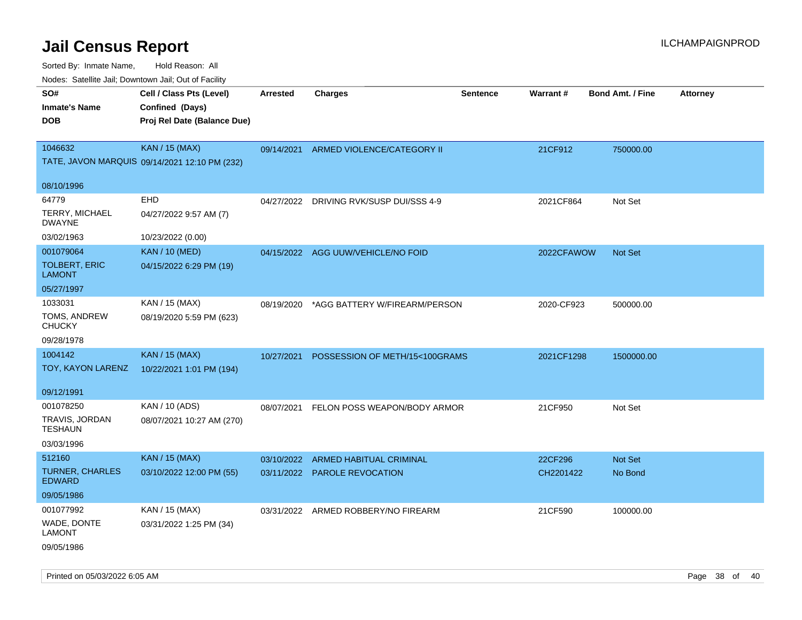Sorted By: Inmate Name, Hold Reason: All

| Nodes: Satellite Jail; Downtown Jail; Out of Facility |                                               |                 |                                    |                 |            |                         |                 |  |
|-------------------------------------------------------|-----------------------------------------------|-----------------|------------------------------------|-----------------|------------|-------------------------|-----------------|--|
| SO#                                                   | Cell / Class Pts (Level)                      | <b>Arrested</b> | <b>Charges</b>                     | <b>Sentence</b> | Warrant#   | <b>Bond Amt. / Fine</b> | <b>Attorney</b> |  |
| <b>Inmate's Name</b>                                  | Confined (Days)                               |                 |                                    |                 |            |                         |                 |  |
| <b>DOB</b>                                            | Proj Rel Date (Balance Due)                   |                 |                                    |                 |            |                         |                 |  |
|                                                       |                                               |                 |                                    |                 |            |                         |                 |  |
| 1046632                                               | <b>KAN / 15 (MAX)</b>                         | 09/14/2021      | ARMED VIOLENCE/CATEGORY II         |                 | 21CF912    | 750000.00               |                 |  |
|                                                       | TATE, JAVON MARQUIS 09/14/2021 12:10 PM (232) |                 |                                    |                 |            |                         |                 |  |
| 08/10/1996                                            |                                               |                 |                                    |                 |            |                         |                 |  |
| 64779                                                 | EHD                                           | 04/27/2022      | DRIVING RVK/SUSP DUI/SSS 4-9       |                 | 2021CF864  | Not Set                 |                 |  |
| TERRY, MICHAEL<br><b>DWAYNE</b>                       | 04/27/2022 9:57 AM (7)                        |                 |                                    |                 |            |                         |                 |  |
| 03/02/1963                                            | 10/23/2022 (0.00)                             |                 |                                    |                 |            |                         |                 |  |
| 001079064                                             | <b>KAN / 10 (MED)</b>                         |                 | 04/15/2022 AGG UUW/VEHICLE/NO FOID |                 | 2022CFAWOW | Not Set                 |                 |  |
| <b>TOLBERT, ERIC</b><br><b>LAMONT</b>                 | 04/15/2022 6:29 PM (19)                       |                 |                                    |                 |            |                         |                 |  |
| 05/27/1997                                            |                                               |                 |                                    |                 |            |                         |                 |  |
| 1033031                                               | KAN / 15 (MAX)                                | 08/19/2020      | *AGG BATTERY W/FIREARM/PERSON      |                 | 2020-CF923 | 500000.00               |                 |  |
| TOMS, ANDREW<br><b>CHUCKY</b>                         | 08/19/2020 5:59 PM (623)                      |                 |                                    |                 |            |                         |                 |  |
| 09/28/1978                                            |                                               |                 |                                    |                 |            |                         |                 |  |
| 1004142                                               | <b>KAN / 15 (MAX)</b>                         | 10/27/2021      | POSSESSION OF METH/15<100GRAMS     |                 | 2021CF1298 | 1500000.00              |                 |  |
| TOY, KAYON LARENZ                                     | 10/22/2021 1:01 PM (194)                      |                 |                                    |                 |            |                         |                 |  |
| 09/12/1991                                            |                                               |                 |                                    |                 |            |                         |                 |  |
| 001078250                                             | KAN / 10 (ADS)                                | 08/07/2021      | FELON POSS WEAPON/BODY ARMOR       |                 | 21CF950    | Not Set                 |                 |  |
| TRAVIS, JORDAN<br><b>TESHAUN</b>                      | 08/07/2021 10:27 AM (270)                     |                 |                                    |                 |            |                         |                 |  |
| 03/03/1996                                            |                                               |                 |                                    |                 |            |                         |                 |  |
| 512160                                                | <b>KAN / 15 (MAX)</b>                         |                 | 03/10/2022 ARMED HABITUAL CRIMINAL |                 | 22CF296    | <b>Not Set</b>          |                 |  |
| <b>TURNER, CHARLES</b><br><b>EDWARD</b>               | 03/10/2022 12:00 PM (55)                      |                 | 03/11/2022 PAROLE REVOCATION       |                 | CH2201422  | No Bond                 |                 |  |
| 09/05/1986                                            |                                               |                 |                                    |                 |            |                         |                 |  |
| 001077992                                             | KAN / 15 (MAX)                                | 03/31/2022      | ARMED ROBBERY/NO FIREARM           |                 | 21CF590    | 100000.00               |                 |  |
| WADE, DONTE<br><b>LAMONT</b>                          | 03/31/2022 1:25 PM (34)                       |                 |                                    |                 |            |                         |                 |  |
| 09/05/1986                                            |                                               |                 |                                    |                 |            |                         |                 |  |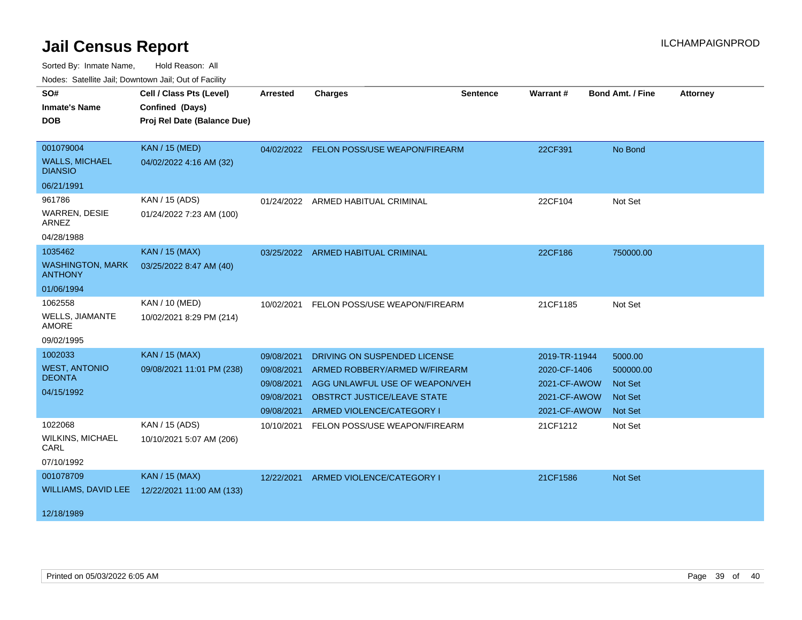| SO#                                       | Cell / Class Pts (Level)    | Arrested   | <b>Charges</b>                           | <b>Sentence</b> | <b>Warrant#</b> | <b>Bond Amt. / Fine</b> | <b>Attorney</b> |
|-------------------------------------------|-----------------------------|------------|------------------------------------------|-----------------|-----------------|-------------------------|-----------------|
| <b>Inmate's Name</b>                      | Confined (Days)             |            |                                          |                 |                 |                         |                 |
| <b>DOB</b>                                | Proj Rel Date (Balance Due) |            |                                          |                 |                 |                         |                 |
|                                           |                             |            |                                          |                 |                 |                         |                 |
| 001079004                                 | <b>KAN / 15 (MED)</b>       |            | 04/02/2022 FELON POSS/USE WEAPON/FIREARM |                 | 22CF391         | No Bond                 |                 |
| <b>WALLS, MICHAEL</b><br><b>DIANSIO</b>   | 04/02/2022 4:16 AM (32)     |            |                                          |                 |                 |                         |                 |
| 06/21/1991                                |                             |            |                                          |                 |                 |                         |                 |
| 961786                                    | KAN / 15 (ADS)              | 01/24/2022 | ARMED HABITUAL CRIMINAL                  |                 | 22CF104         | Not Set                 |                 |
| <b>WARREN, DESIE</b><br>ARNEZ             | 01/24/2022 7:23 AM (100)    |            |                                          |                 |                 |                         |                 |
| 04/28/1988                                |                             |            |                                          |                 |                 |                         |                 |
| 1035462                                   | <b>KAN / 15 (MAX)</b>       | 03/25/2022 | ARMED HABITUAL CRIMINAL                  |                 | 22CF186         | 750000.00               |                 |
| <b>WASHINGTON, MARK</b><br><b>ANTHONY</b> | 03/25/2022 8:47 AM (40)     |            |                                          |                 |                 |                         |                 |
| 01/06/1994                                |                             |            |                                          |                 |                 |                         |                 |
| 1062558                                   | KAN / 10 (MED)              |            | 10/02/2021 FELON POSS/USE WEAPON/FIREARM |                 | 21CF1185        | Not Set                 |                 |
| WELLS, JIAMANTE<br><b>AMORE</b>           | 10/02/2021 8:29 PM (214)    |            |                                          |                 |                 |                         |                 |
| 09/02/1995                                |                             |            |                                          |                 |                 |                         |                 |
| 1002033                                   | <b>KAN / 15 (MAX)</b>       | 09/08/2021 | DRIVING ON SUSPENDED LICENSE             |                 | 2019-TR-11944   | 5000.00                 |                 |
| <b>WEST, ANTONIO</b>                      | 09/08/2021 11:01 PM (238)   | 09/08/2021 | ARMED ROBBERY/ARMED W/FIREARM            |                 | 2020-CF-1406    | 500000.00               |                 |
| <b>DEONTA</b>                             |                             | 09/08/2021 | AGG UNLAWFUL USE OF WEAPON/VEH           |                 | 2021-CF-AWOW    | <b>Not Set</b>          |                 |
| 04/15/1992                                |                             | 09/08/2021 | <b>OBSTRCT JUSTICE/LEAVE STATE</b>       |                 | 2021-CF-AWOW    | <b>Not Set</b>          |                 |
|                                           |                             | 09/08/2021 | ARMED VIOLENCE/CATEGORY I                |                 | 2021-CF-AWOW    | <b>Not Set</b>          |                 |
| 1022068                                   | KAN / 15 (ADS)              | 10/10/2021 | FELON POSS/USE WEAPON/FIREARM            |                 | 21CF1212        | Not Set                 |                 |
| <b>WILKINS, MICHAEL</b><br>CARL           | 10/10/2021 5:07 AM (206)    |            |                                          |                 |                 |                         |                 |
| 07/10/1992                                |                             |            |                                          |                 |                 |                         |                 |
| 001078709                                 | <b>KAN / 15 (MAX)</b>       | 12/22/2021 | ARMED VIOLENCE/CATEGORY I                |                 | 21CF1586        | Not Set                 |                 |
| WILLIAMS, DAVID LEE                       | 12/22/2021 11:00 AM (133)   |            |                                          |                 |                 |                         |                 |
| 12/18/1989                                |                             |            |                                          |                 |                 |                         |                 |